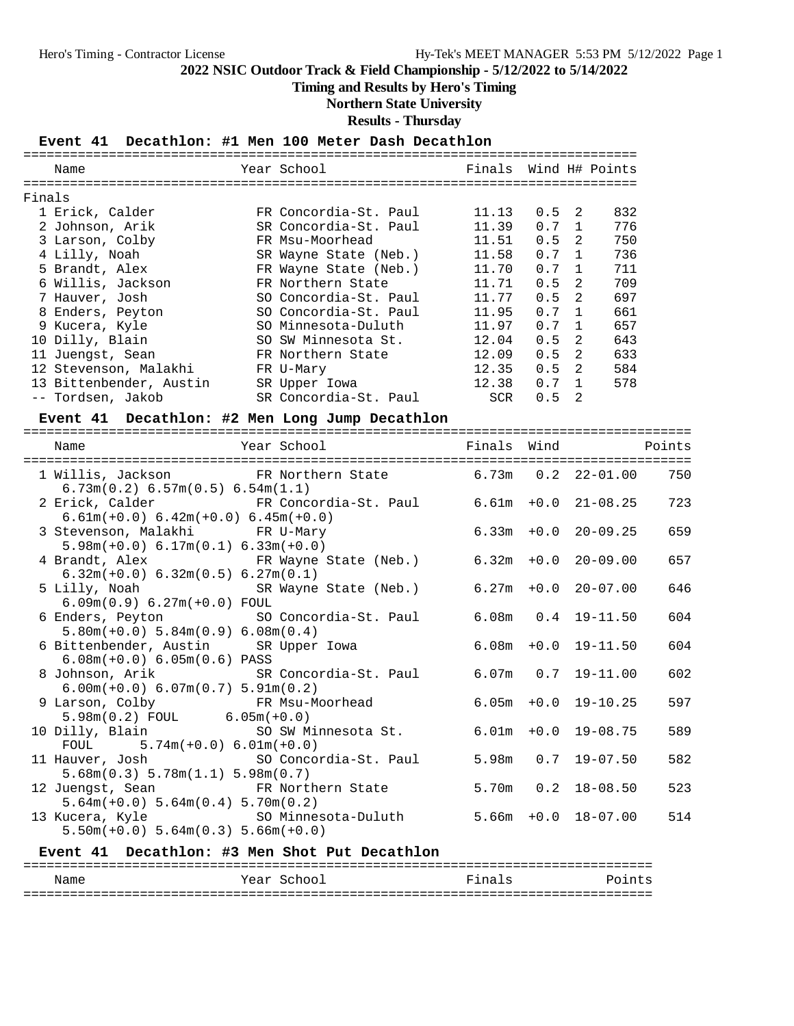## **Timing and Results by Hero's Timing**

## **Northern State University**

**Results - Thursday**

## **Event 41 Decathlon: #1 Men 100 Meter Dash Decathlon**

|        | Name                    | Year School           | Finals Wind H# Points |               |                |     |
|--------|-------------------------|-----------------------|-----------------------|---------------|----------------|-----|
|        |                         |                       |                       |               |                |     |
| Finals |                         |                       |                       |               |                |     |
|        | 1 Erick, Calder         | FR Concordia-St. Paul | 11.13                 | $0.5 \quad 2$ |                | 832 |
|        | 2 Johnson, Arik         | SR Concordia-St. Paul | 11.39                 | $0.7 \quad 1$ |                | 776 |
|        | 3 Larson, Colby         | FR Msu-Moorhead       | 11.51                 | 0.5           | 2              | 750 |
|        | 4 Lilly, Noah           | SR Wayne State (Neb.) | 11.58                 | 0.7           | $\overline{1}$ | 736 |
|        | 5 Brandt, Alex          | FR Wayne State (Neb.) | 11.70                 | 0.7           | $\overline{1}$ | 711 |
|        | 6 Willis, Jackson       | FR Northern State     | 11.71                 | $0.5 \quad 2$ |                | 709 |
|        | 7 Hauver, Josh          | SO Concordia-St. Paul | 11.77                 | $0.5 \quad 2$ |                | 697 |
|        | 8 Enders, Peyton        | SO Concordia-St. Paul | 11.95                 | 0.7           | $\overline{1}$ | 661 |
|        | 9 Kucera, Kyle          | SO Minnesota-Duluth   | 11.97                 | 0.7           | $\overline{1}$ | 657 |
|        | 10 Dilly, Blain         | SO SW Minnesota St.   | 12.04                 | 0.5           | 2              | 643 |
|        | 11 Juengst, Sean        | FR Northern State     | 12.09                 | 0.5           | 2              | 633 |
|        | 12 Stevenson, Malakhi   | FR U-Mary             | 12.35                 | 0.5           | $\overline{2}$ | 584 |
|        | 13 Bittenbender, Austin | SR Upper Iowa         | 12.38                 | 0.7           | $\overline{1}$ | 578 |
|        | -- Tordsen, Jakob       | SR Concordia-St. Paul | SCR                   | 0.5           | 2              |     |

#### **Event 41 Decathlon: #2 Men Long Jump Decathlon**

| Name                                                                                                             | Year School <b>Finals</b> Wind Points |  |                          |     |
|------------------------------------------------------------------------------------------------------------------|---------------------------------------|--|--------------------------|-----|
| 1 Willis, Jackson FR Northern State 6.73m 0.2 22-01.00 750<br>6.73m(0.2) 6.57m(0.5) 6.54m(1.1)                   |                                       |  |                          |     |
| 2 Erick, Calder FR Concordia-St. Paul 6.61m +0.0 21-08.25<br>$6.61m(+0.0) 6.42m(+0.0) 6.45m(+0.0)$               |                                       |  |                          | 723 |
| 3 Stevenson, Malakhi FR U-Mary<br>$5.98m(+0.0)$ 6.17 $m(0.1)$ 6.33 $m(+0.0)$                                     |                                       |  | $6.33m + 0.0$ 20-09.25   | 659 |
| 4 Brandt, Alex FR Wayne State (Neb.) 6.32m +0.0 20-09.00<br>$6.32m(+0.0) 6.32m(0.5) 6.27m(0.1)$                  |                                       |  |                          | 657 |
| 5 Lilly, Noah                 SR Wayne State (Neb.)         6.27m +0.0 20-07.00<br>$6.09m(0.9) 6.27m(+0.0) F0UL$ |                                       |  |                          | 646 |
| 6 Enders, Peyton SO Concordia-St. Paul<br>$5.80m(+0.0) 5.84m(0.9) 6.08m(0.4)$                                    |                                       |  | $6.08m$ $0.4$ $19-11.50$ | 604 |
| 6 Bittenbender, Austin SR Upper Iowa<br>$6.08m(+0.0) 6.05m(0.6) PASS$                                            |                                       |  | $6.08m + 0.0 19 - 11.50$ | 604 |
| 8 Johnson, Arik                 SR Concordia-St. Paul<br>$6.00m(+0.0) 6.07m(0.7) 5.91m(0.2)$                     |                                       |  | $6.07m$ $0.7$ $19-11.00$ | 602 |
| 9 Larson, Colby               FR Msu-Moorhead<br>$5.98m(0.2)$ FOUL 6.05m(+0.0)                                   |                                       |  | $6.05m + 0.0 19-10.25$   | 597 |
| 10 Dilly, Blain SO SW Minnesota St.<br>FOUL $5.74m(+0.0) 6.01m(+0.0)$                                            |                                       |  | $6.01m + 0.0$ 19-08.75   | 589 |
| 11 Hauver, Josh SO Concordia-St. Paul<br>5.68m(0.3) 5.78m(1.1) 5.98m(0.7)                                        |                                       |  | $5.98m$ 0.7 19-07.50     | 582 |
| 12 Juengst, Sean Mark FR Northern State<br>$5.64m(+0.0) 5.64m(0.4) 5.70m(0.2)$                                   |                                       |  | $5.70m$ 0.2 18-08.50     | 523 |
| 13 Kucera, Kyle                       SO Minnesota-Duluth<br>$5.50m(+0.0) 5.64m(0.3) 5.66m(+0.0)$                |                                       |  | $5.66m + 0.0$ $18-07.00$ | 514 |

### **Event 41 Decathlon: #3 Men Shot Put Decathlon**

|                   |      |        |        | - - -              |
|-------------------|------|--------|--------|--------------------|
| Name              | Year | School | Finals | $D \cap i$<br>ınts |
| _________________ |      |        |        | ---<br>- - -       |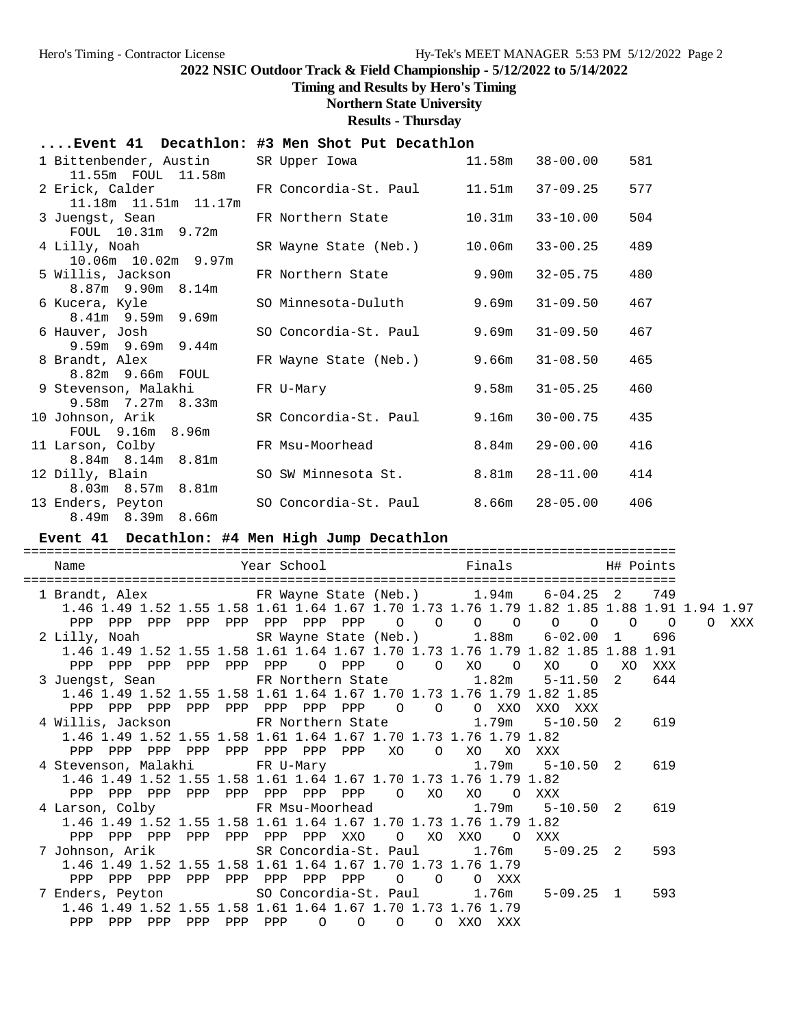# **Timing and Results by Hero's Timing**

# **Northern State University**

**Results - Thursday**

## **....Event 41 Decathlon: #3 Men Shot Put Decathlon**

| 1 Bittenbender, Austin<br>11.55m FOUL 11.58m  | SR Upper Iowa                        |        | 11.58m 38-00.00    | 581 |
|-----------------------------------------------|--------------------------------------|--------|--------------------|-----|
| 2 Erick, Calder                               | FR Concordia-St. Paul                |        | 11.51m 37-09.25    | 577 |
| 11.18m  11.51m  11.17m<br>3 Juengst, Sean     | FR Northern State                    | 10.31m | $33 - 10.00$       | 504 |
| FOUL 10.31m 9.72m<br>4 Lilly, Noah            | SR Wayne State (Neb.)                | 10.06m | $33 - 00.25$       | 489 |
| 10.06m  10.02m  9.97m<br>5 Willis, Jackson    | FR Northern State                    | 9.90m  | $32 - 05.75$       | 480 |
| 8.87m 9.90m 8.14m<br>6 Kucera, Kyle           | SO Minnesota-Duluth                  | 9.69m  | $31 - 09.50$       | 467 |
| 8.41m 9.59m 9.69m<br>6 Hauver, Josh           | SO Concordia-St. Paul                | 9.69m  | $31 - 09.50$       | 467 |
| $9.59m$ 9.69m 9.44m<br>8 Brandt, Alex         | FR Wayne State (Neb.)                | 9.66m  | $31 - 08.50$       | 465 |
| 8.82m 9.66m FOUL<br>9 Stevenson, Malakhi      | FR U-Mary                            | 9.58m  | $31 - 05.25$       | 460 |
| $9.58m$ 7.27 $m$ 8.33 $m$<br>10 Johnson, Arik | SR Concordia-St. Paul                | 9.16m  | $30 - 00.75$       | 435 |
| FOUL 9.16m 8.96m<br>11 Larson, Colby          | FR Msu-Moorhead                      |        | $8.84m$ $29-00.00$ | 416 |
| 8.84m 8.14m 8.81m<br>12 Dilly, Blain          | SO SW Minnesota St.                  |        | $8.81m$ $28-11.00$ | 414 |
| 8.03m 8.57m 8.81m<br>13 Enders, Peyton        | SO Concordia-St. Paul 8.66m 28-05.00 |        |                    | 406 |
| 8.49m 8.39m 8.66m                             |                                      |        |                    |     |

## **Event 41 Decathlon: #4 Men High Jump Decathlon**

| Name                                                                                                                                                                                         |  |  |  |  | Year School <a>&gt; School <a> Finals <br/> SH# Points</a></a> |                |                |       |
|----------------------------------------------------------------------------------------------------------------------------------------------------------------------------------------------|--|--|--|--|----------------------------------------------------------------|----------------|----------------|-------|
| 1 Brandt, Alex 6-04.25 FR Wayne State (Neb.) 1.94m 6-04.25 2 749<br>1.46 1.49 1.52 1.55 1.58 1.61 1.64 1.67 1.70 1.73 1.76 1.79 1.82 1.85 1.88 1.91 1.94 1.97                                |  |  |  |  |                                                                |                | $\overline{O}$ | O XXX |
| 2 Lilly, Noah SR Wayne State (Neb.) 1.88m 6-02.00 1 696<br>1.46 1.49 1.52 1.55 1.58 1.61 1.64 1.67 1.70 1.73 1.76 1.79 1.82 1.85 1.88 1.91<br>PPP PPP PPP PPP PPP PPP O PPP O O XO O XO      |  |  |  |  |                                                                | O XO XXX       |                |       |
| 3 Juengst, Sean FR Northern State 1.82m 5-11.50<br>1.46 1.49 1.52 1.55 1.58 1.61 1.64 1.67 1.70 1.73 1.76 1.79 1.82 1.85<br>PPP PPP PPP PPP PPP PPP PPP PPP 0 0 0 XXO                        |  |  |  |  | XXO XXX                                                        | $\overline{2}$ | 644            |       |
| 4 Willis, Jackson         FR Northern State           1.79m     5-10.50  2<br>1.46 1.49 1.52 1.55 1.58 1.61 1.64 1.67 1.70 1.73 1.76 1.79 1.82<br>PPP PPP PPP PPP PPP PPP PPP PPP XO O XO XO |  |  |  |  | XXX                                                            |                | 619            |       |
| 4 Stevenson, Malakhi KR U-Mary 1.79m 5-10.50 2 619<br>1.46 1.49 1.52 1.55 1.58 1.61 1.64 1.67 1.70 1.73 1.76 1.79 1.82<br>PPP PPP PPP PPP PPP PPP PPP PPP O XO XO O XXX                      |  |  |  |  |                                                                |                |                |       |
| 4 Larson, Colby FR Msu-Moorhead 1.79m 5-10.50 2 619<br>1.46 1.49 1.52 1.55 1.58 1.61 1.64 1.67 1.70 1.73 1.76 1.79 1.82<br>PPP PPP PPP PPP PPP PPP PPP XXO O XO XXO O XXX                    |  |  |  |  |                                                                |                |                |       |
| 7 Johnson, Arik               SR Concordia-St. Paul       1.76m     5-09.25   2<br>1.46 1.49 1.52 1.55 1.58 1.61 1.64 1.67 1.70 1.73 1.76 1.79<br>PPP PPP PPP PPP PPP PPP PPP PPP 0 0 0 XXX  |  |  |  |  |                                                                |                | 593            |       |
| 7 Enders, Peyton 5-80 Concordia-St. Paul 1.76m 5-09.25 1 593<br>1.46 1.49 1.52 1.55 1.58 1.61 1.64 1.67 1.70 1.73 1.76 1.79<br>PPP PPP PPP PPP PPP PPP 0 0 0 0 XXO XXX                       |  |  |  |  |                                                                |                |                |       |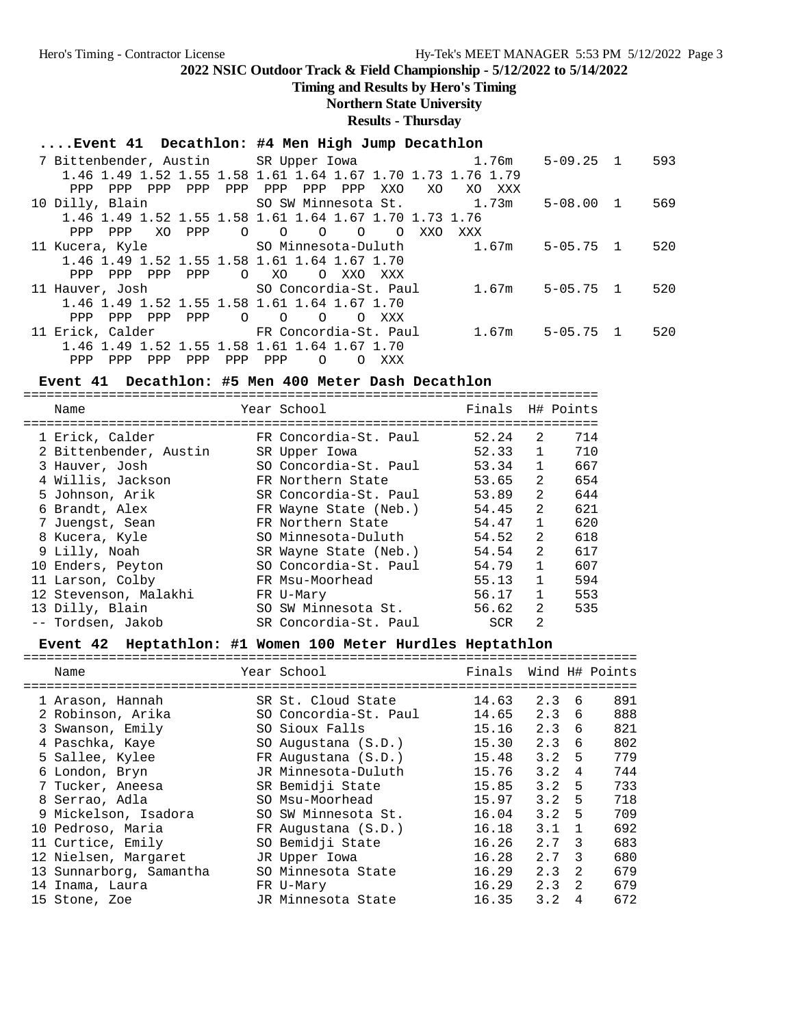**Timing and Results by Hero's Timing**

## **Northern State University**

**Results - Thursday**

## **....Event 41 Decathlon: #4 Men High Jump Decathlon**

|                                               |     | 7 Bittenbender, Austin      SR Upper Iowa                            1.76m           |            | $5 - 09.25$ 1 | 593 |
|-----------------------------------------------|-----|--------------------------------------------------------------------------------------|------------|---------------|-----|
|                                               |     | 1.46 1.49 1.52 1.55 1.58 1.61 1.64 1.67 1.70 1.73 1.76 1.79                          |            |               |     |
| <b>PPP</b><br>PPP<br><b>PPP</b><br><b>PPP</b> | PPP | PPP<br>PPP<br>PPP<br>XXO<br>XO.                                                      | XO.<br>XXX |               |     |
|                                               |     | 10 Dilly, Blain The SO SW Minnesota St. 1.73m                                        |            | $5 - 08.00 1$ | 569 |
|                                               |     | 1.46 1.49 1.52 1.55 1.58 1.61 1.64 1.67 1.70 1.73 1.76                               |            |               |     |
| XO<br>PPP<br>PPP<br>PPP                       |     | $\begin{array}{ccccccccc}\n0 & 0 & 0 & \n\end{array}$<br>$\Omega$<br>$\Omega$<br>XXO | XXX        |               |     |
|                                               |     |                                                                                      |            | $5 - 05.75$ 1 | 520 |
| 1.46 1.49 1.52 1.55 1.58 1.61 1.64 1.67 1.70  |     |                                                                                      |            |               |     |
| PPP<br>PPP<br><b>PPP</b><br>PPP               |     | $O$ XO<br>$\circ$<br>XXO<br>XXX                                                      |            |               |     |
| 11 Hauver, Josh SO Concordia-St. Paul         |     |                                                                                      | 1.67m      | $5 - 05.75$ 1 | 520 |
| 1.46 1.49 1.52 1.55 1.58 1.61 1.64 1.67 1.70  |     |                                                                                      |            |               |     |
| PPP<br>PPP<br>PPP<br>PPP                      |     | $\circ$ 0<br>$\circ$<br>$\Omega$<br>XXX                                              |            |               |     |
| 11 Erick, Calder TR Concordia-St. Paul        |     |                                                                                      | 1.67m      | $5 - 05.75$ 1 | 520 |
| 1.46 1.49 1.52 1.55 1.58 1.61 1.64 1.67 1.70  |     |                                                                                      |            |               |     |
| PPP<br>PPP<br>PPP<br>PPP                      | PPP | PPP<br>$\Omega$<br>XXX<br>∩                                                          |            |               |     |

## **Event 41 Decathlon: #5 Men 400 Meter Dash Decathlon**

| Name                   | Year School           | Finals |                | H# Points |
|------------------------|-----------------------|--------|----------------|-----------|
| 1 Erick, Calder        | FR Concordia-St. Paul | 52.24  | 2              | 714       |
| 2 Bittenbender, Austin | SR Upper Iowa         | 52.33  |                | 710       |
| 3 Hauver, Josh         | SO Concordia-St. Paul | 53.34  | 1              | 667       |
| 4 Willis, Jackson      | FR Northern State     | 53.65  | $\mathfrak{D}$ | 654       |
| 5 Johnson, Arik        | SR Concordia-St. Paul | 53.89  | $\mathfrak{D}$ | 644       |
| 6 Brandt, Alex         | FR Wayne State (Neb.) | 54.45  | $\mathfrak{D}$ | 621       |
| 7 Juengst, Sean        | FR Northern State     | 54.47  |                | 620       |
| 8 Kucera, Kyle         | SO Minnesota-Duluth   | 54.52  | 2              | 618       |
| 9 Lilly, Noah          | SR Wayne State (Neb.) | 54.54  | $\mathfrak{D}$ | 617       |
| 10 Enders, Peyton      | SO Concordia-St. Paul | 54.79  | $\mathbf{1}$   | 607       |
| 11 Larson, Colby       | FR Msu-Moorhead       | 55.13  |                | 594       |
| 12 Stevenson, Malakhi  | FR U-Mary             | 56.17  |                | 553       |
| 13 Dilly, Blain        | SO SW Minnesota St.   | 56.62  | $\mathfrak{D}$ | 535       |
| -- Tordsen, Jakob      | SR Concordia-St. Paul | SCR    | 2              |           |

## **Event 42 Heptathlon: #1 Women 100 Meter Hurdles Heptathlon**

| Name                    | Year School                                     | Finals Wind H# Points |     |               |     |
|-------------------------|-------------------------------------------------|-----------------------|-----|---------------|-----|
| 1 Arason, Hannah        | =========================<br>SR St. Cloud State | 14.63                 | 2.3 | 6             | 891 |
| 2 Robinson, Arika       | SO Concordia-St. Paul                           | 14.65                 | 2.3 | 6             | 888 |
| 3 Swanson, Emily        | SO Sioux Falls                                  | 15.16                 | 2.3 | 6             | 821 |
| 4 Paschka, Kaye         | SO Augustana (S.D.)                             | 15.30                 | 2.3 | 6             | 802 |
| 5 Sallee, Kylee         | FR Augustana (S.D.)                             | 15.48                 | 3.2 | 5             | 779 |
| 6 London, Bryn          | JR Minnesota-Duluth                             | 15.76                 | 3.2 | 4             | 744 |
| 7 Tucker, Aneesa        | SR Bemidji State                                | 15.85                 | 3.2 | 5             | 733 |
| 8 Serrao, Adla          | SO Msu-Moorhead                                 | 15.97                 | 3.2 | 5             | 718 |
| 9 Mickelson, Isadora    | SO SW Minnesota St.                             | 16.04                 | 3.2 | 5             | 709 |
| 10 Pedroso, Maria       | FR Augustana (S.D.)                             | 16.18                 | 3.1 |               | 692 |
| 11 Curtice, Emily       | SO Bemidji State                                | 16.26                 | 2.7 | -3            | 683 |
| 12 Nielsen, Margaret    | JR Upper Iowa                                   | 16.28                 | 2.7 | 3             | 680 |
| 13 Sunnarborg, Samantha | SO Minnesota State                              | 16.29                 | 2.3 | 2             | 679 |
| 14 Inama, Laura         | FR U-Mary                                       | 16.29                 | 2.3 | $\mathcal{L}$ | 679 |
| 15 Stone, Zoe           | JR Minnesota State                              | 16.35                 | 3.2 | 4             | 672 |
|                         |                                                 |                       |     |               |     |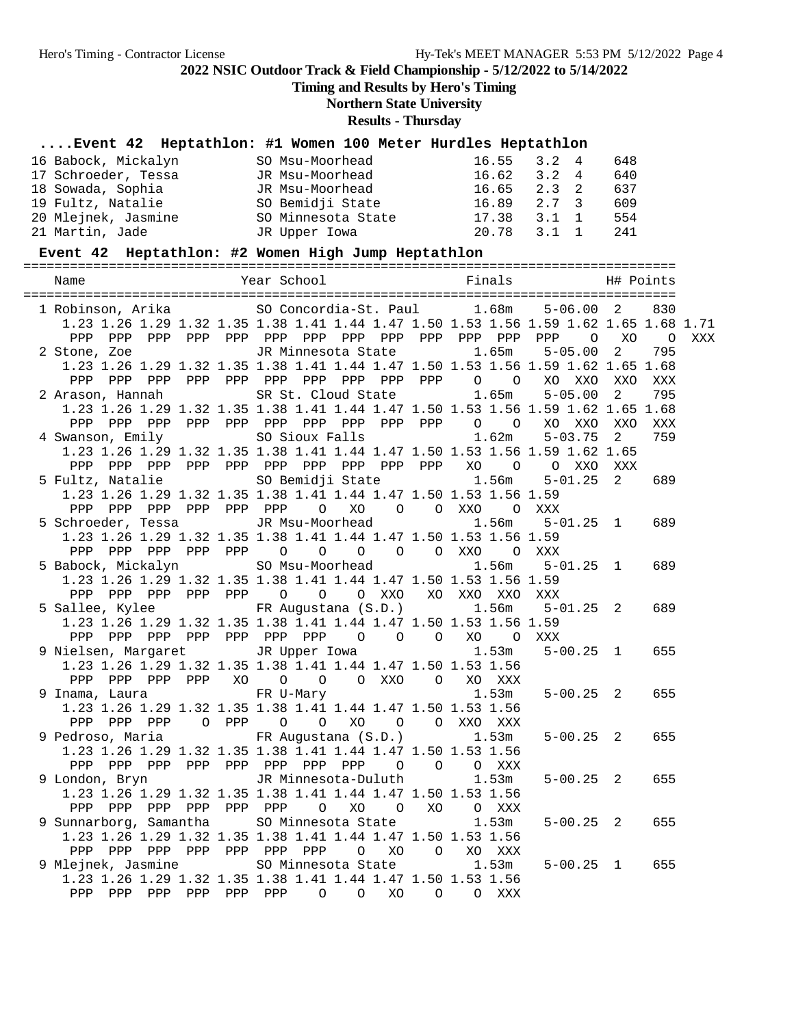**Timing and Results by Hero's Timing**

**Northern State University**

**Results - Thursday**

# **....Event 42 Heptathlon: #1 Women 100 Meter Hurdles Heptathlon**

| 16 Babock, Mickalyn | SO Msu-Moorhead    | $16.55$ $3.2$ 4 |               | 648 |
|---------------------|--------------------|-----------------|---------------|-----|
| 17 Schroeder, Tessa | JR Msu-Moorhead    | 16.62           | $3.2 \quad 4$ | 640 |
| 18 Sowada, Sophia   | JR Msu-Moorhead    | $16.65$ $2.3$ 2 |               | 637 |
| 19 Fultz, Natalie   | SO Bemidji State   | 16.89           | 2.7 3         | 609 |
| 20 Mlejnek, Jasmine | SO Minnesota State | 17.38           | 3.1 1         | 554 |
| 21 Martin, Jade     | JR Upper Iowa      | 20.78           | 3.1 1         | 241 |

## **Event 42 Heptathlon: #2 Women High Jump Heptathlon**

|                                                                                                                 |                                              | 1 Robinson, Arika (SO Concordia-St. Paul 1.68m 5-06.00 2<br>1.23 1.26 1.29 1.32 1.35 1.38 1.41 1.44 1.47 1.50 1.53 1.56 1.59 1.62 1.65 1.68 1.71 | 830                |
|-----------------------------------------------------------------------------------------------------------------|----------------------------------------------|--------------------------------------------------------------------------------------------------------------------------------------------------|--------------------|
|                                                                                                                 |                                              |                                                                                                                                                  | XXX                |
|                                                                                                                 |                                              | 2 Stone, Zoe             JR Minnesota State         1.65m     5-05.00   2                                                                        | 795                |
|                                                                                                                 |                                              | 1.23 1.26 1.29 1.32 1.35 1.38 1.41 1.44 1.47 1.50 1.53 1.56 1.59 1.62 1.65 1.68                                                                  |                    |
|                                                                                                                 |                                              |                                                                                                                                                  | XXX                |
|                                                                                                                 |                                              | 2 Arason, Hannah SR St. Cloud State 1.65m 5-05.00                                                                                                | 795<br>$2^{\circ}$ |
|                                                                                                                 |                                              | 1.23 1.26 1.29 1.32 1.35 1.38 1.41 1.44 1.47 1.50 1.53 1.56 1.59 1.62 1.65 1.68                                                                  |                    |
|                                                                                                                 |                                              |                                                                                                                                                  | XXO<br>XXX         |
|                                                                                                                 |                                              |                                                                                                                                                  | 759<br>$2^{\circ}$ |
|                                                                                                                 |                                              | 1.23 1.26 1.29 1.32 1.35 1.38 1.41 1.44 1.47 1.50 1.53 1.56 1.59 1.62 1.65                                                                       |                    |
|                                                                                                                 |                                              | 5 Fultz, Natalie 30 Bemidji State 1.56m 5-01.25 2                                                                                                | XXX                |
| 1.23 1.26 1.29 1.32 1.35 1.38 1.41 1.44 1.47 1.50 1.53 1.56 1.59                                                |                                              |                                                                                                                                                  | 689                |
|                                                                                                                 | PPP PPP PPP PPP PPP PPP O XO O O XXO O XXX   |                                                                                                                                                  |                    |
|                                                                                                                 |                                              | 5 Schroeder, Tessa                JR Msu-Moorhead                       1.56m      5-01.25   1                                                   | 689                |
| 1.23 1.26 1.29 1.32 1.35 1.38 1.41 1.44 1.47 1.50 1.53 1.56 1.59                                                |                                              |                                                                                                                                                  |                    |
|                                                                                                                 | PPP PPP PPP PPP PPP 0 0 0 0 0 0 XXO 0 XXX    |                                                                                                                                                  |                    |
|                                                                                                                 |                                              | 5 Babock, Mickalyn SO Msu-Moorhead 1.56m 5-01.25 1                                                                                               | 689                |
| 1.23 1.26 1.29 1.32 1.35 1.38 1.41 1.44 1.47 1.50 1.53 1.56 1.59                                                |                                              |                                                                                                                                                  |                    |
|                                                                                                                 | PPP PPP PPP PPP PPP 0 0 0 XXO XO XXO XXO XXX |                                                                                                                                                  |                    |
|                                                                                                                 |                                              | 5 Sallee, Kylee 6 FR Augustana (S.D.) 1.56m 5-01.25 2                                                                                            | 689                |
| 1.23 1.26 1.29 1.32 1.35 1.38 1.41 1.44 1.47 1.50 1.53 1.56 1.59                                                |                                              |                                                                                                                                                  |                    |
|                                                                                                                 | PPP PPP PPP PPP PPP PPP PPP 0 0 0 XO 0 XXX   |                                                                                                                                                  |                    |
|                                                                                                                 |                                              | 9 Nielsen, Margaret 1.53m 5-00.25 1                                                                                                              | 655                |
| 1.23 1.26 1.29 1.32 1.35 1.38 1.41 1.44 1.47 1.50 1.53 1.56                                                     |                                              |                                                                                                                                                  |                    |
|                                                                                                                 | PPP PPP PPP PPP XO O O O XXO O XO XXX        |                                                                                                                                                  |                    |
| 9 Inama, Laura     FR U-Mary         1.53m                                                                      |                                              | $5 - 00.25$ 2                                                                                                                                    | 655                |
| 1.23 1.26 1.29 1.32 1.35 1.38 1.41 1.44 1.47 1.50 1.53 1.56                                                     |                                              |                                                                                                                                                  |                    |
| PPP PPP PPP 0 PPP 0 0 XO 0 0 XXO XXX                                                                            |                                              |                                                                                                                                                  |                    |
| 9 Pedroso, Maria (S.D.) 1.53m                                                                                   |                                              | $5 - 00.25$ 2                                                                                                                                    | 655                |
| 1.23 1.26 1.29 1.32 1.35 1.38 1.41 1.44 1.47 1.50 1.53 1.56                                                     |                                              |                                                                                                                                                  |                    |
| PPP PPP PPP PPP PPP PPP PPP PPP 0 0 0 XXX<br>9 London, Bryn                 JR Minnesota-Duluth           1.53m |                                              |                                                                                                                                                  |                    |
|                                                                                                                 |                                              | $5 - 00.25$ 2                                                                                                                                    | 655                |
| 1.23 1.26 1.29 1.32 1.35 1.38 1.41 1.44 1.47 1.50 1.53 1.56                                                     |                                              |                                                                                                                                                  |                    |
|                                                                                                                 | PPP PPP PPP PPP PPP PPP 0 XO 0 XO 0 XXX      |                                                                                                                                                  |                    |
| 9 Sunnarborg, Samantha SO Minnesota State                                                                       |                                              | 1.53m<br>$5 - 00.25$ 2                                                                                                                           | 655                |
| 1.23 1.26 1.29 1.32 1.35 1.38 1.41 1.44 1.47 1.50 1.53 1.56                                                     |                                              |                                                                                                                                                  |                    |
|                                                                                                                 |                                              |                                                                                                                                                  | 655                |
| 1.23 1.26 1.29 1.32 1.35 1.38 1.41 1.44 1.47 1.50 1.53 1.56                                                     |                                              | $5 - 00.25$ 1                                                                                                                                    |                    |
| PPP PPP PPP PPP PPP PPP 0 0 XO 0 0 XXX                                                                          |                                              |                                                                                                                                                  |                    |
|                                                                                                                 |                                              |                                                                                                                                                  |                    |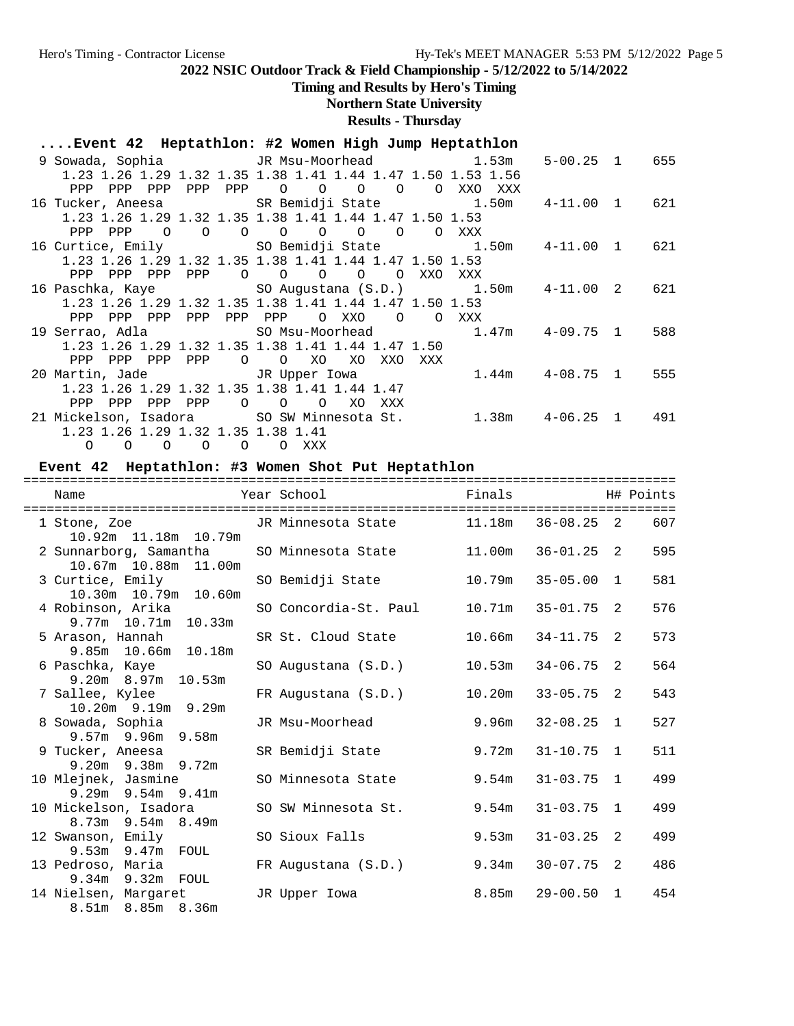# **Timing and Results by Hero's Timing**

# **Northern State University**

**Results - Thursday**

|  | Event 42 Heptathlon: #2 Women High Jump Heptathlon |  |  |  |  |  |
|--|----------------------------------------------------|--|--|--|--|--|
|--|----------------------------------------------------|--|--|--|--|--|

|                                       |                            | 9 Sowada, Sophia               JR Msu-Moorhead                 1.53m |                               | $5 - 00.25$ 1 | 655 |
|---------------------------------------|----------------------------|----------------------------------------------------------------------|-------------------------------|---------------|-----|
|                                       |                            | 1.23 1.26 1.29 1.32 1.35 1.38 1.41 1.44 1.47 1.50 1.53 1.56          |                               |               |     |
| PPP<br>PPP PPP                        |                            | PPP PPP 0 0 0 0 0                                                    | XXO<br>XXX                    |               |     |
|                                       |                            | 16 Tucker, Aneesa SR Bemidji State 1.50m  4-11.00 1                  |                               |               | 621 |
|                                       |                            | 1.23 1.26 1.29 1.32 1.35 1.38 1.41 1.44 1.47 1.50 1.53               |                               |               |     |
| PPP<br>$\circ$<br>PPP                 | $\Omega$<br>$\overline{O}$ | $\begin{matrix} 0 & 0 & 0 \end{matrix}$<br>$\circ$<br>$\circ$        | XXX                           |               |     |
|                                       |                            |                                                                      |                               |               | 621 |
|                                       |                            | 1.23 1.26 1.29 1.32 1.35 1.38 1.41 1.44 1.47 1.50 1.53               |                               |               |     |
| PPP<br>PPP<br>PPP<br>PPP              |                            | $\begin{matrix} 0 & 0 & 0 \end{matrix}$<br>$\circ$<br>O XXO          | XXX                           |               |     |
|                                       |                            |                                                                      |                               |               | 621 |
|                                       |                            | 1.23 1.26 1.29 1.32 1.35 1.38 1.41 1.44 1.47 1.50 1.53               |                               |               |     |
| PPP<br>PPP PPP<br>PPP                 |                            | PPP PPP<br>O XXO<br>$\overline{O}$<br>$\Omega$                       | XXX                           |               |     |
|                                       |                            |                                                                      |                               | 4-09.75 1     | 588 |
|                                       |                            | 1.23 1.26 1.29 1.32 1.35 1.38 1.41 1.44 1.47 1.50                    |                               |               |     |
| PPP<br>PPP PPP<br>PPP                 |                            | XO<br>$\overline{O}$ $\overline{O}$<br>XO<br>XXO<br>XXX              |                               |               |     |
|                                       |                            | 20 Martin, Jade                   JR Upper Iowa                      | 1.44m        4-08.75        1 |               | 555 |
|                                       |                            | 1.23 1.26 1.29 1.32 1.35 1.38 1.41 1.44 1.47                         |                               |               |     |
| PPP<br>PPP<br>PPP<br>PPP              |                            | $\begin{matrix} 0 & 0 & 0 \end{matrix}$<br>XO<br>XXX                 |                               |               |     |
|                                       |                            | 21 Mickelson, Isadora SO SW Minnesota St.                            | $1.38m$ $4-06.25$ 1 $491$     |               |     |
| 1.23 1.26 1.29 1.32 1.35 1.38 1.41    |                            |                                                                      |                               |               |     |
| $O$ $O$ $O$ $O$ $O$ $XXX$<br>$\Omega$ |                            |                                                                      |                               |               |     |

## **Event 42 Heptathlon: #3 Women Shot Put Heptathlon**

| Name                                                           | Year School           | Finals |                |   | H# Points |
|----------------------------------------------------------------|-----------------------|--------|----------------|---|-----------|
| 1 Stone, Zoe TR Minnesota State 11.18m<br>10.92m 11.18m 10.79m |                       |        | $36 - 08.25$ 2 |   | 607       |
| 2 Sunnarborg, Samantha<br>10.67m  10.88m  11.00m               | SO Minnesota State    | 11.00m | $36 - 01.25$ 2 |   | 595       |
| 3 Curtice, Emily<br>10.30m  10.79m  10.60m                     | SO Bemidji State      | 10.79m | $35 - 05.00$ 1 |   | 581       |
| 4 Robinson, Arika<br>$9.77m$ 10.71m 10.33m                     | SO Concordia-St. Paul | 10.71m | $35 - 01.75$ 2 |   | 576       |
| 5 Arason, Hannah<br>9.85m 10.66m 10.18m                        | SR St. Cloud State    | 10.66m | $34 - 11.75$ 2 |   | 573       |
| 6 Paschka, Kaye<br>$9.20m$ 8.97m 10.53m                        | SO Augustana (S.D.)   | 10.53m | $34 - 06.75$   | 2 | 564       |
| 7 Sallee, Kylee<br>$10.20m$ 9.19m 9.29m                        | FR Augustana (S.D.)   | 10.20m | $33 - 05.75$ 2 |   | 543       |
| 8 Sowada, Sophia<br>$9.57m$ 9.96m 9.58m                        | JR Msu-Moorhead       | 9.96m  | $32 - 08.25$ 1 |   | 527       |
| 9 Tucker, Aneesa<br>$9.20m$ $9.38m$ $9.72m$                    | SR Bemidji State      | 9.72m  | $31 - 10.75$ 1 |   | 511       |
| 10 Mlejnek, Jasmine<br>$9.29m$ $9.54m$ $9.41m$                 | SO Minnesota State    | 9.54m  | $31 - 03.75$ 1 |   | 499       |
| 10 Mickelson, Isadora<br>8.73m 9.54m 8.49m                     | SO SW Minnesota St.   | 9.54m  | $31 - 03.75$ 1 |   | 499       |
| 12 Swanson, Emily<br>9.53m 9.47m FOUL                          | SO Sioux Falls        | 9.53m  | $31 - 03.25$ 2 |   | 499       |
| 13 Pedroso, Maria<br>9.34m 9.32m FOUL                          | FR Augustana (S.D.)   | 9.34m  | $30 - 07.75$ 2 |   | 486       |
| 14 Nielsen, Margaret<br>8.51m 8.85m 8.36m                      | JR Upper Iowa         | 8.85m  | $29 - 00.50$ 1 |   | 454       |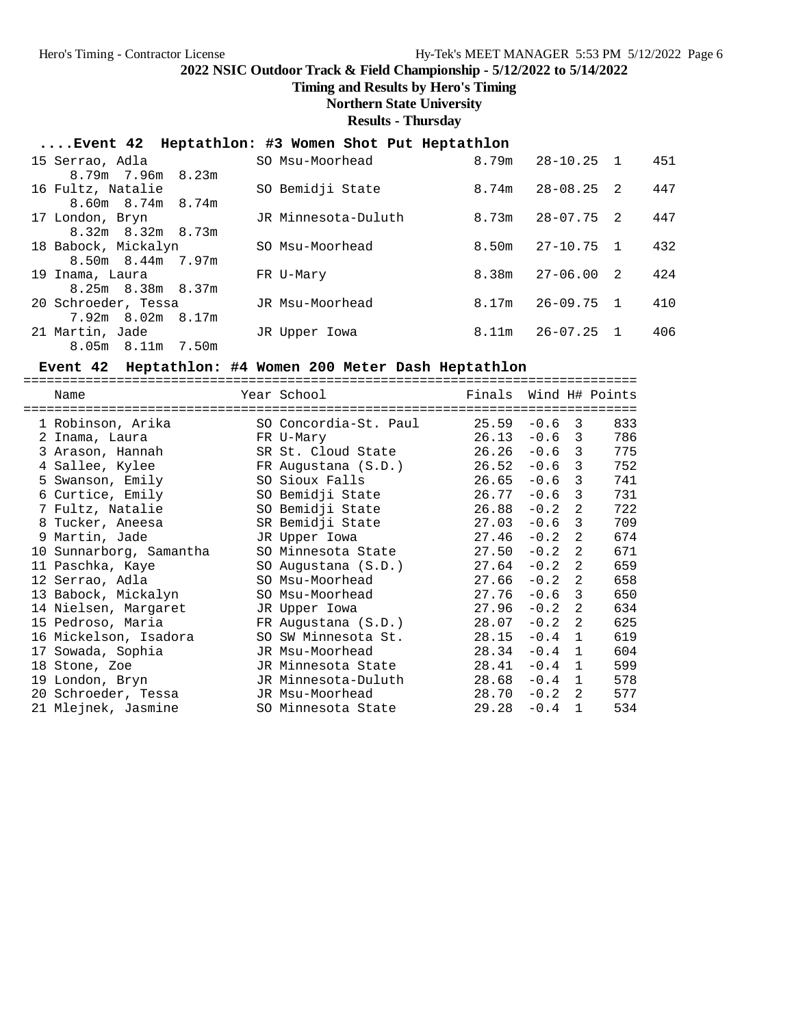**Timing and Results by Hero's Timing**

**Northern State University**

**Results - Thursday**

## **....Event 42 Heptathlon: #3 Women Shot Put Heptathlon**

| 15 Serrao, Adla                                | SO Msu-Moorhead     | 8.79m | $28 - 10.25$ 1 |                | 451 |
|------------------------------------------------|---------------------|-------|----------------|----------------|-----|
| $8.79m$ 7.96 $m$ 8.23 $m$<br>16 Fultz, Natalie | SO Bemidji State    | 8.74m | $28 - 08.25$ 2 |                | 447 |
| $8.60m$ $8.74m$ $8.74m$                        |                     |       |                |                |     |
| 17 London, Bryn                                | JR Minnesota-Duluth | 8.73m | 28-07.75       | $\overline{2}$ | 447 |
| $8.32m$ $8.32m$ $8.73m$                        |                     |       |                |                |     |
| 18 Babock, Mickalyn                            | SO Msu-Moorhead     | 8.50m | 27-10.75 1     |                | 432 |
| 8.50m 8.44m 7.97m                              |                     |       |                |                |     |
| 19 Inama, Laura                                | FR U-Mary           | 8.38m | 27-06.00       | -2.            | 424 |
| 8.25m 8.38m 8.37m                              |                     |       |                |                |     |
| 20 Schroeder, Tessa                            | JR Msu-Moorhead     | 8.17m | $26 - 09.75$   | $\mathbf{1}$   | 410 |
| $7.92m$ 8.02m 8.17m                            |                     |       |                |                |     |
| 21 Martin, Jade                                | JR Upper Iowa       | 8.11m | 26-07.25 1     |                | 406 |
| 8.05m 8.11m 7.50m                              |                     |       |                |                |     |

## **Event 42 Heptathlon: #4 Women 200 Meter Dash Heptathlon**

| Name                    | Year School           | Finals |        |              | Wind H# Points |
|-------------------------|-----------------------|--------|--------|--------------|----------------|
| 1 Robinson, Arika       | SO Concordia-St. Paul | 25.59  | $-0.6$ | 3            | 833            |
| 2 Inama, Laura          | FR U-Mary             | 26.13  | $-0.6$ | 3            | 786            |
| 3 Arason, Hannah        | SR St. Cloud State    | 26.26  | $-0.6$ | 3            | 775            |
| 4 Sallee, Kylee         | FR Augustana (S.D.)   | 26.52  | $-0.6$ | 3            | 752            |
| 5 Swanson, Emily        | SO Sioux Falls        | 26.65  | $-0.6$ | 3            | 741            |
| 6 Curtice, Emily        | SO Bemidji State      | 26.77  | $-0.6$ | 3            | 731            |
| 7 Fultz, Natalie        | SO Bemidji State      | 26.88  | $-0.2$ | 2            | 722            |
| 8 Tucker, Aneesa        | SR Bemidji State      | 27.03  | $-0.6$ | 3            | 709            |
| 9 Martin, Jade          | JR Upper Iowa         | 27.46  | $-0.2$ | 2            | 674            |
| 10 Sunnarborg, Samantha | SO Minnesota State    | 27.50  | $-0.2$ | 2            | 671            |
| 11 Paschka, Kaye        | SO Augustana (S.D.)   | 27.64  | $-0.2$ | 2            | 659            |
| 12 Serrao, Adla         | SO Msu-Moorhead       | 27.66  | $-0.2$ | 2            | 658            |
| 13 Babock, Mickalyn     | SO Msu-Moorhead       | 27.76  | $-0.6$ | 3            | 650            |
| 14 Nielsen, Margaret    | JR Upper Iowa         | 27.96  | $-0.2$ | 2            | 634            |
| 15 Pedroso, Maria       | FR Augustana (S.D.)   | 28.07  | $-0.2$ | 2            | 625            |
| 16 Mickelson, Isadora   | SO SW Minnesota St.   | 28.15  | $-0.4$ | 1            | 619            |
| 17 Sowada, Sophia       | JR Msu-Moorhead       | 28.34  | $-0.4$ | 1            | 604            |
| 18 Stone, Zoe           | JR Minnesota State    | 28.41  | $-0.4$ | 1            | 599            |
| 19 London, Bryn         | JR Minnesota-Duluth   | 28.68  | $-0.4$ | 1            | 578            |
| 20 Schroeder, Tessa     | JR Msu-Moorhead       | 28.70  | $-0.2$ | 2            | 577            |
| 21 Mlejnek, Jasmine     | SO Minnesota State    | 29.28  | $-0.4$ | $\mathbf{1}$ | 534            |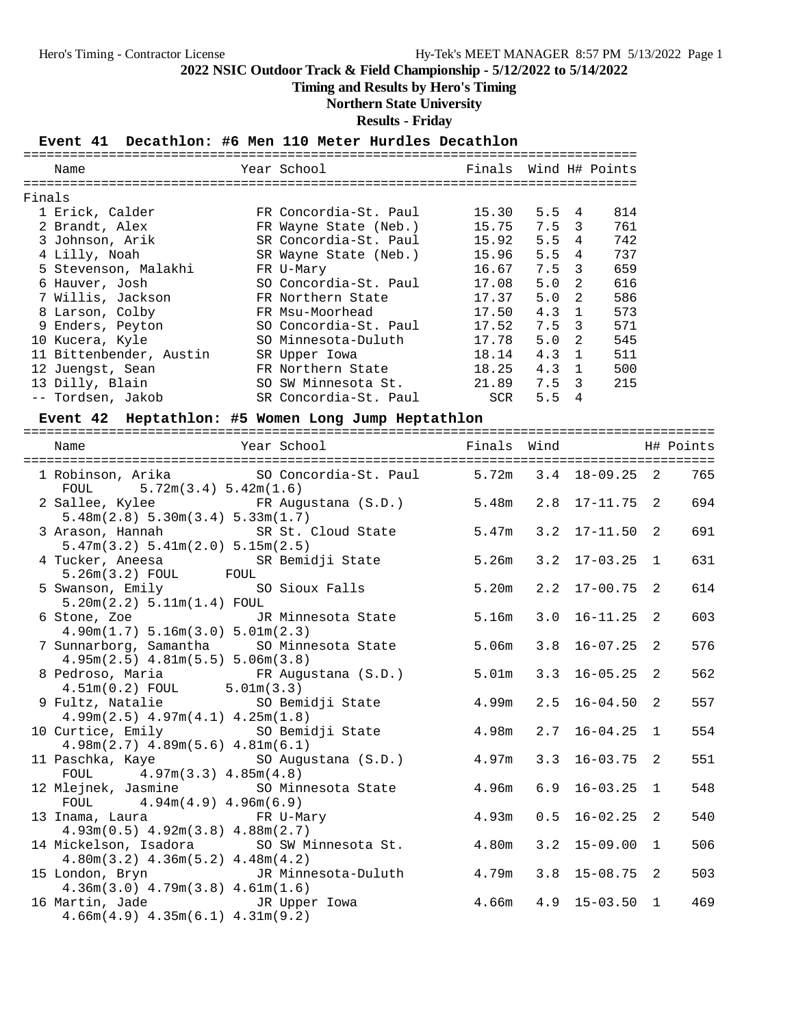## **Timing and Results by Hero's Timing**

**Northern State University**

**Results - Friday**

#### **Event 41 Decathlon: #6 Men 110 Meter Hurdles Decathlon**

|        | Name                    | Year School           | Finals Wind H# Points |               |                |     |
|--------|-------------------------|-----------------------|-----------------------|---------------|----------------|-----|
|        |                         |                       |                       |               |                |     |
| Finals |                         |                       |                       |               |                |     |
|        | 1 Erick, Calder         | FR Concordia-St. Paul | 15.30                 | $5.5 \quad 4$ |                | 814 |
|        | 2 Brandt, Alex          | FR Wayne State (Neb.) | 15.75                 | 7.5 3         |                | 761 |
|        | 3 Johnson, Arik         | SR Concordia-St. Paul | 15.92                 | 5.5           | 4              | 742 |
|        | 4 Lilly, Noah           | SR Wayne State (Neb.) | 15.96                 | 5.5           | 4              | 737 |
|        | 5 Stevenson, Malakhi    | FR U-Mary             | 16.67                 | $7.5 \quad 3$ |                | 659 |
|        | 6 Hauver, Josh          | SO Concordia-St. Paul | 17.08                 | 5.0           | $\overline{2}$ | 616 |
|        | 7 Willis, Jackson       | FR Northern State     | 17.37                 | 5.0           | $\overline{2}$ | 586 |
|        | 8 Larson, Colby         | FR Msu-Moorhead       | 17.50                 | 4.3           | $\mathbf{1}$   | 573 |
|        | 9 Enders, Peyton        | SO Concordia-St. Paul | 17.52                 | 7.5 3         |                | 571 |
|        | 10 Kucera, Kyle         | SO Minnesota-Duluth   | 17.78                 | 5.0           | 2              | 545 |
|        | 11 Bittenbender, Austin | SR Upper Iowa         | 18.14                 | 4.3           | $\overline{1}$ | 511 |
|        | 12 Juengst, Sean        | FR Northern State     | 18.25                 | 4.3           | $\overline{1}$ | 500 |
|        | 13 Dilly, Blain         | SO SW Minnesota St.   | 21.89                 | 7.5 3         |                | 215 |
|        | -- Tordsen, Jakob       | SR Concordia-St. Paul | SCR                   | 5.5           | 4              |     |

## **Event 42 Heptathlon: #5 Women Long Jump Heptathlon**

| Year School National School Finals Wind Number H# Points<br>Name                                |       |     |                    |     |
|-------------------------------------------------------------------------------------------------|-------|-----|--------------------|-----|
| 1 Robinson, Arika 69 SO Concordia-St. Paul 5.72m 3.4 18-09.25 2<br>FOUL $5.72m(3.4) 5.42m(1.6)$ |       |     |                    | 765 |
| 2 Sallee, Kylee 6 FR Augustana (S.D.) 5.48m 2.8 17-11.75 2<br>5.48m(2.8) 5.30m(3.4) 5.33m(1.7)  |       |     |                    | 694 |
| 3 Arason, Hannah SR St. Cloud State 5.47m 3.2 17-11.50 2<br>5.47m(3.2) 5.41m(2.0) 5.15m(2.5)    |       |     |                    | 691 |
| 4 Tucker, Aneesa SR Bemidji State<br>5.26m(3.2) FOUL FOUL                                       | 5.26m |     | $3.2$ $17-03.25$ 1 | 631 |
| 5 Swanson, Emily SO Sioux Falls<br>5.20m(2.2) 5.11m(1.4) F0UL                                   | 5.20m |     | $2.2$ 17-00.75 2   | 614 |
| 6 Stone, Zoe The JR Minnesota State<br>4.90m(1.7) 5.16m(3.0) 5.01m(2.3)                         | 5.16m | 3.0 | $16 - 11.25$ 2     | 603 |
| 7 Sunnarborg, Samantha SO Minnesota State<br>$4.95m(2.5)$ $4.81m(5.5)$ $5.06m(3.8)$             | 5.06m | 3.8 | $16 - 07.25$ 2     | 576 |
| 8 Pedroso, Maria (S.D.) 5.01m<br>$4.51m(0.2)$ FOUL $5.01m(3.3)$                                 |       |     | $3.3$ $16-05.25$ 2 | 562 |
| 9 Fultz, Natalie SO Bemidji State<br>$4.99m(2.5)$ $4.97m(4.1)$ $4.25m(1.8)$                     | 4.99m |     | $2.5$ 16-04.50 2   | 557 |
| 10 Curtice, Emily 50 Bemidji State 4.98m<br>$4.98m(2.7)$ $4.89m(5.6)$ $4.81m(6.1)$              |       | 2.7 | $16 - 04.25$ 1     | 554 |
| 11 Paschka, Kaye 50 Augustana (S.D.) 4.97m 3.3 16-03.75 2<br>FOUL $4.97m(3.3) 4.85m(4.8)$       |       |     |                    | 551 |
| 12 Mlejnek, Jasmine SO Minnesota State<br>FOUL $4.94m(4.9) 4.96m(6.9)$                          | 4.96m | 6.9 | $16 - 03.25$ 1     | 548 |
| 13 Inama, Laura FR U-Mary<br>$4.93m(0.5)$ $4.92m(3.8)$ $4.88m(2.7)$                             | 4.93m |     | $0.5$ 16-02.25 2   | 540 |
| 14 Mickelson, Isadora SO SW Minnesota St. 4.80m<br>$4.80m(3.2)$ $4.36m(5.2)$ $4.48m(4.2)$       |       |     | $3.2$ 15-09.00 1   | 506 |
| 15 London, Bryn JR Minnesota-Duluth<br>$4.36m(3.0)$ $4.79m(3.8)$ $4.61m(1.6)$                   | 4.79m |     | $3.8$ 15-08.75 2   | 503 |
| 16 Martin, Jade Gassell JR Upper Iowa<br>$4.66m(4.9)$ $4.35m(6.1)$ $4.31m(9.2)$                 | 4.66m |     | $4.9$ 15-03.50 1   | 469 |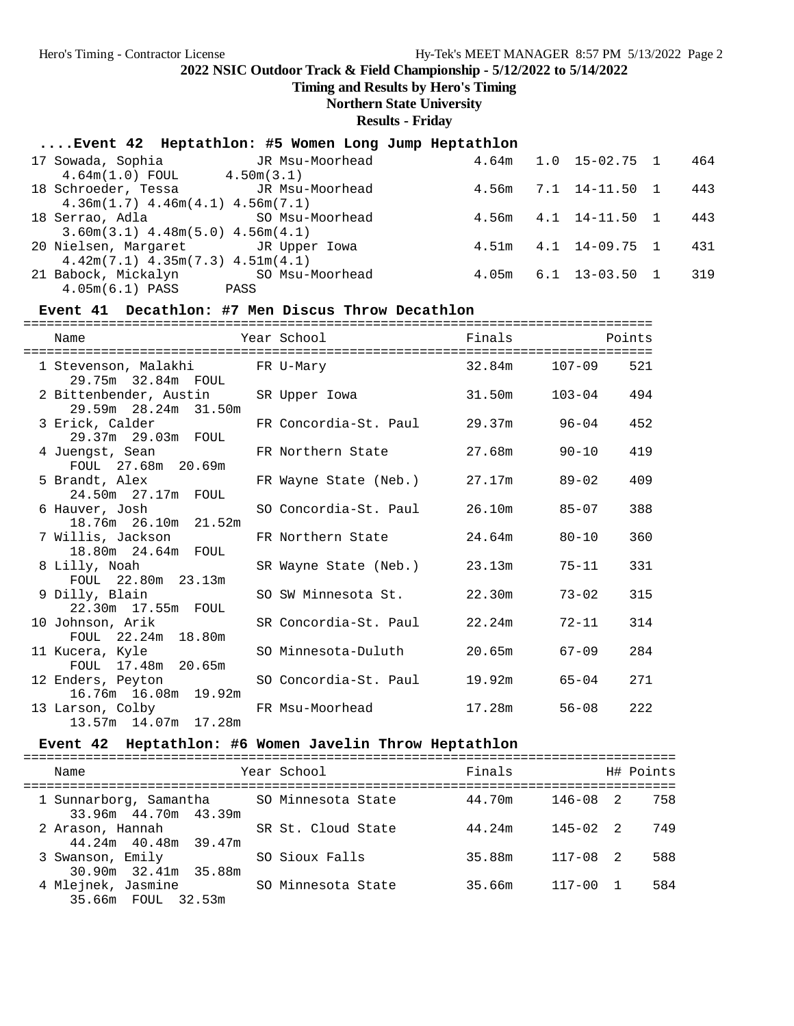**Timing and Results by Hero's Timing**

**Northern State University**

**Results - Friday**

## **....Event 42 Heptathlon: #5 Women Long Jump Heptathlon**

| 17 Sowada, Sophia<br>$4.64m(1.0)$ FOUL                                             | JR Msu-Moorhead<br>4.50m(3.1) | 4.64m |     | $1.0$ 15-02.75 1 | 464 |
|------------------------------------------------------------------------------------|-------------------------------|-------|-----|------------------|-----|
| 18 Schroeder, Tessa<br>$4.36m(1.7)$ $4.46m(4.1)$ $4.56m(7.1)$                      | JR Msu-Moorhead               | 4.56m |     | 7.1 14-11.50     | 443 |
| 18 Serrao, Adla<br>$3.60m(3.1)$ 4.48m(5.0) 4.56m(4.1)                              | SO Msu-Moorhead               | 4.56m | 4.1 | 14-11.50         | 443 |
| 20 Nielsen, Margaret Gould JR Upper Lowa<br>$4.42m(7.1)$ $4.35m(7.3)$ $4.51m(4.1)$ |                               | 4.51m |     | 4.1 14-09.75 1   | 431 |
| 21 Babock, Mickalyn<br>$4.05m(6.1)$ PASS                                           | SO Msu-Moorhead<br>PASS       | 4.05m |     | 6.1 13-03.50     | 319 |

### **Event 41 Decathlon: #7 Men Discus Throw Decathlon**

|                                                             |                       | -------------------------------- |                          |     |
|-------------------------------------------------------------|-----------------------|----------------------------------|--------------------------|-----|
| Name                                                        | Year School           | Finals                           | <b>Example 19</b> Points |     |
| 1 Stevenson, Malakhi Kantur PR U-Mary<br>29.75m 32.84m FOUL |                       |                                  | 32.84m 107-09            | 521 |
| 2 Bittenbender, Austin<br>29.59m 28.24m 31.50m              | SR Upper Iowa         | 31.50m                           | $103 - 04$               | 494 |
| 3 Erick, Calder<br>29.37m 29.03m FOUL                       | FR Concordia-St. Paul | 29.37m                           | 96-04                    | 452 |
| 4 Juengst, Sean<br>FOUL 27.68m 20.69m                       | FR Northern State     | 27.68m                           | $90 - 10$                | 419 |
| 5 Brandt, Alex<br>24.50m 27.17m FOUL                        | FR Wayne State (Neb.) | 27.17m                           | $89 - 02$                | 409 |
| 6 Hauver, Josh<br>18.76m 26.10m 21.52m                      | SO Concordia-St. Paul | 26.10m 85-07                     |                          | 388 |
| 7 Willis, Jackson<br>18.80m 24.64m FOUL                     | FR Northern State     | 24.64m                           | $80 - 10$                | 360 |
| 8 Lilly, Noah<br>FOUL 22.80m 23.13m                         | SR Wayne State (Neb.) | 23.13m                           | $75 - 11$                | 331 |
| 9 Dilly, Blain<br>22.30m 17.55m FOUL                        | SO SW Minnesota St.   | 22.30m                           | $73 - 02$                | 315 |
| 10 Johnson, Arik<br>FOUL 22.24m 18.80m                      | SR Concordia-St. Paul | 22.24m                           | $72 - 11$                | 314 |
| 11 Kucera, Kyle<br>FOUL 17.48m 20.65m                       | SO Minnesota-Duluth   | 20.65m                           | $67 - 09$                | 284 |
| 12 Enders, Peyton<br>16.76m  16.08m  19.92m                 | SO Concordia-St. Paul | 19.92m                           | $65 - 04$                | 271 |
| 13 Larson, Colby<br>13.57m 14.07m 17.28m                    | FR Msu-Moorhead       | 17.28m                           | $56 - 08$                | 222 |

#### Event 42 Heptathlon: #6 Women Javelin Throw Heptathlon

| Name                                                              | Year School        | Finals |              | H# Points |
|-------------------------------------------------------------------|--------------------|--------|--------------|-----------|
| 1 Sunnarborg, Samantha SO Minnesota State<br>33.96m 44.70m 43.39m |                    | 44.70m | 146-08 2     | 758       |
| 2 Arason, Hannah<br>44.24m 40.48m 39.47m                          | SR St. Cloud State | 44.24m | $145 - 02$ 2 | 749       |
| 3 Swanson, Emily<br>30.90m 32.41m 35.88m                          | SO Sioux Falls     | 35.88m | $117 - 08$ 2 | 588       |
| 4 Mlejnek, Jasmine<br>35.66m FOUL 32.53m                          | SO Minnesota State | 35.66m | $117 - 00$ 1 | 584       |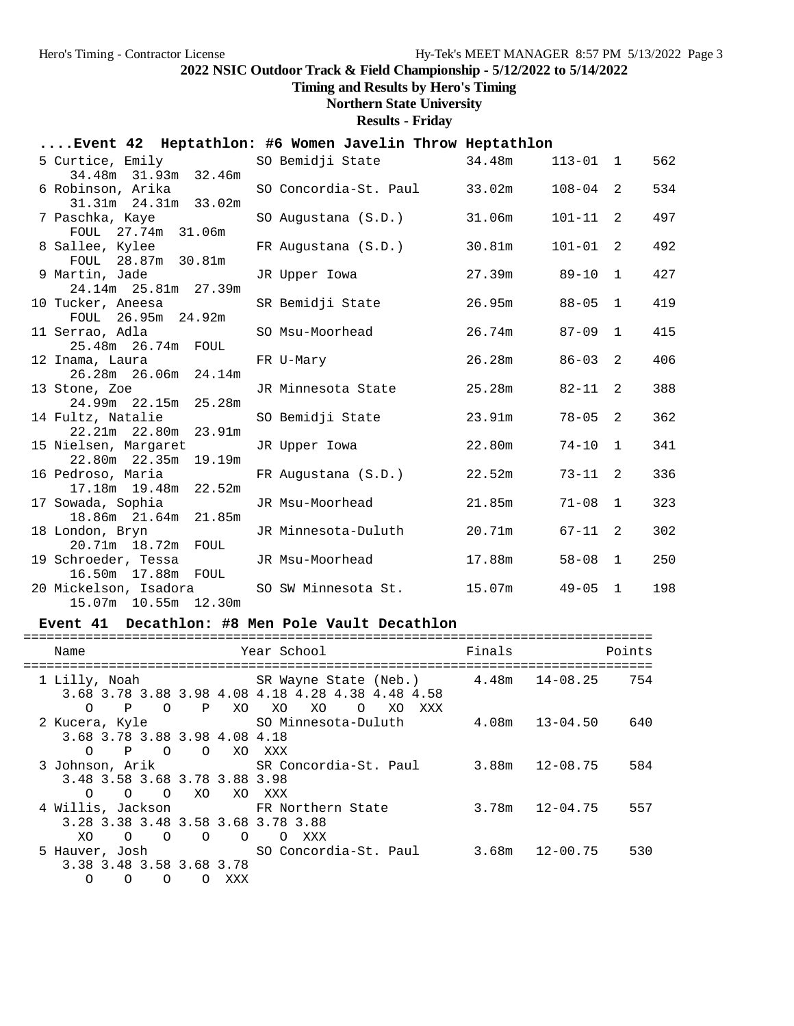**Timing and Results by Hero's Timing**

## **Northern State University**

**Results - Friday**

## **....Event 42 Heptathlon: #6 Women Javelin Throw Heptathlon**

|                        |                                                                                                                                                                                                                                                                                                                                                                                                                                                              |                                                                                                                                                                                            |                                             |                                                                                | 562                                                                                                                              |
|------------------------|--------------------------------------------------------------------------------------------------------------------------------------------------------------------------------------------------------------------------------------------------------------------------------------------------------------------------------------------------------------------------------------------------------------------------------------------------------------|--------------------------------------------------------------------------------------------------------------------------------------------------------------------------------------------|---------------------------------------------|--------------------------------------------------------------------------------|----------------------------------------------------------------------------------------------------------------------------------|
|                        | SO Concordia-St. Paul                                                                                                                                                                                                                                                                                                                                                                                                                                        | 33.02m                                                                                                                                                                                     |                                             | 2                                                                              | 534                                                                                                                              |
|                        | SO Augustana (S.D.)                                                                                                                                                                                                                                                                                                                                                                                                                                          | 31.06m                                                                                                                                                                                     |                                             | 2                                                                              | 497                                                                                                                              |
|                        | FR Augustana (S.D.)                                                                                                                                                                                                                                                                                                                                                                                                                                          | 30.81m                                                                                                                                                                                     |                                             | 2                                                                              | 492                                                                                                                              |
|                        | JR Upper Iowa                                                                                                                                                                                                                                                                                                                                                                                                                                                | 27.39m                                                                                                                                                                                     | $89 - 10$                                   | $\mathbf{1}$                                                                   | 427                                                                                                                              |
|                        | SR Bemidji State                                                                                                                                                                                                                                                                                                                                                                                                                                             |                                                                                                                                                                                            |                                             | $\mathbf{1}$                                                                   | 419                                                                                                                              |
| FOUL 26.95m 24.92m     |                                                                                                                                                                                                                                                                                                                                                                                                                                                              |                                                                                                                                                                                            |                                             | $\mathbf{1}$                                                                   | 415                                                                                                                              |
| 25.48m  26.74m  FOUL   |                                                                                                                                                                                                                                                                                                                                                                                                                                                              | 26.28m                                                                                                                                                                                     | $86 - 03$                                   | 2                                                                              | 406                                                                                                                              |
| 26.28m 26.06m 24.14m   |                                                                                                                                                                                                                                                                                                                                                                                                                                                              |                                                                                                                                                                                            |                                             |                                                                                | 388                                                                                                                              |
| 24.99m 22.15m 25.28m   |                                                                                                                                                                                                                                                                                                                                                                                                                                                              |                                                                                                                                                                                            |                                             |                                                                                |                                                                                                                                  |
| 22.21m  22.80m  23.91m |                                                                                                                                                                                                                                                                                                                                                                                                                                                              |                                                                                                                                                                                            |                                             |                                                                                | 362                                                                                                                              |
| 22.80m 22.35m 19.19m   |                                                                                                                                                                                                                                                                                                                                                                                                                                                              |                                                                                                                                                                                            |                                             |                                                                                | 341                                                                                                                              |
| 17.18m  19.48m  22.52m | FR Augustana (S.D.)                                                                                                                                                                                                                                                                                                                                                                                                                                          | 22.52m                                                                                                                                                                                     | 73-11                                       | 2                                                                              | 336                                                                                                                              |
|                        | JR Msu-Moorhead                                                                                                                                                                                                                                                                                                                                                                                                                                              |                                                                                                                                                                                            |                                             | $\mathbf{1}$                                                                   | 323                                                                                                                              |
|                        | JR Minnesota-Duluth                                                                                                                                                                                                                                                                                                                                                                                                                                          | 20.71m                                                                                                                                                                                     | 67-11                                       | 2                                                                              | 302                                                                                                                              |
|                        | JR Msu-Moorhead                                                                                                                                                                                                                                                                                                                                                                                                                                              | 17.88m                                                                                                                                                                                     | $58 - 08$                                   | $\mathbf{1}$                                                                   | 250                                                                                                                              |
| 15.07m  10.55m  12.30m |                                                                                                                                                                                                                                                                                                                                                                                                                                                              |                                                                                                                                                                                            |                                             | $\mathbf{1}$                                                                   | 198                                                                                                                              |
|                        | 34.48m 31.93m 32.46m<br>6 Robinson, Arika<br>31.31m  24.31m  33.02m<br>7 Paschka, Kaye<br>FOUL 27.74m 31.06m<br>8 Sallee, Kylee<br>FOUL 28.87m 30.81m<br>9 Martin, Jade<br>24.14m  25.81m  27.39m<br>10 Tucker, Aneesa<br>11 Serrao, Adla<br>12 Inama, Laura<br>13 Stone, Zoe<br>14 Fultz, Natalie<br>16 Pedroso, Maria<br>17 Sowada, Sophia<br>18.86m 21.64m 21.85m<br>18 London, Bryn<br>20.71m 18.72m FOUL<br>19 Schroeder, Tessa<br>16.50m  17.88m  FOUL | 5 Curtice, Emily<br>SO Msu-Moorhead<br>FR U-Mary<br>JR Minnesota State<br>SO Bemidji State<br>15 Nielsen, Margaret<br>JR Upper Iowa<br>20 Mickelson, Isadora           SO SW Minnesota St. | SO Bemidji State 34.48m<br>23.91m<br>22.80m | $26.95m$ $88-05$<br>26.74m<br>25.28m<br>82-11<br>$74 - 10$<br>21.85m<br>15.07m | $113 - 01$ 1<br>$108 - 04$<br>$101 - 11$<br>$101 - 01$<br>$87 - 09$<br>2<br>2<br>$78 - 05$<br>$\mathbf{1}$<br>$71 - 08$<br>49-05 |

#### **Event 41 Decathlon: #8 Men Pole Vault Decathlon**

| Name                               |                      | Year School                                                 | Finals | Points                    |  |  |  |  |
|------------------------------------|----------------------|-------------------------------------------------------------|--------|---------------------------|--|--|--|--|
|                                    |                      | 1 Lilly, Noah SR Wayne State (Neb.) 4.48m 14-08.25 754      |        |                           |  |  |  |  |
|                                    |                      | 3.68 3.78 3.88 3.98 4.08 4.18 4.28 4.38 4.48 4.58           |        |                           |  |  |  |  |
| $\mathbf P$<br>$\circ$<br>$\Omega$ | P XO                 | XO<br>XO<br>XO XXX<br>$\circ$                               |        |                           |  |  |  |  |
|                                    |                      | 2 Kucera, Kyle     SO Minnesota-Duluth     4.08m   13-04.50 |        | 640                       |  |  |  |  |
| 3.68 3.78 3.88 3.98 4.08 4.18      |                      |                                                             |        |                           |  |  |  |  |
| O P O O XO XXX                     |                      |                                                             |        |                           |  |  |  |  |
|                                    |                      | 3 Johnson, Arik SR Concordia-St. Paul 3.88m 12-08.75        |        | 584                       |  |  |  |  |
| 3.48 3.58 3.68 3.78 3.88 3.98      |                      |                                                             |        |                           |  |  |  |  |
| $\circ$ $\circ$<br>$\Omega$        | XO XO XXX            |                                                             |        |                           |  |  |  |  |
|                                    |                      | 4 Willis, Jackson TR Northern State                         |        | 557                       |  |  |  |  |
| 3.28 3.38 3.48 3.58 3.68 3.78 3.88 |                      |                                                             |        |                           |  |  |  |  |
| $\overline{O}$<br>XO.<br>$\Omega$  | $\Omega$<br>$\Omega$ | XXX<br>$\Omega$                                             |        |                           |  |  |  |  |
|                                    |                      | 5 Hauver, Josh SO Concordia-St. Paul                        |        | $3.68m$ $12-00.75$<br>530 |  |  |  |  |
| 3.38 3.48 3.58 3.68 3.78           |                      |                                                             |        |                           |  |  |  |  |
| $\Omega$<br>$\Omega$<br>$\circ$    | XXX<br>$\Omega$      |                                                             |        |                           |  |  |  |  |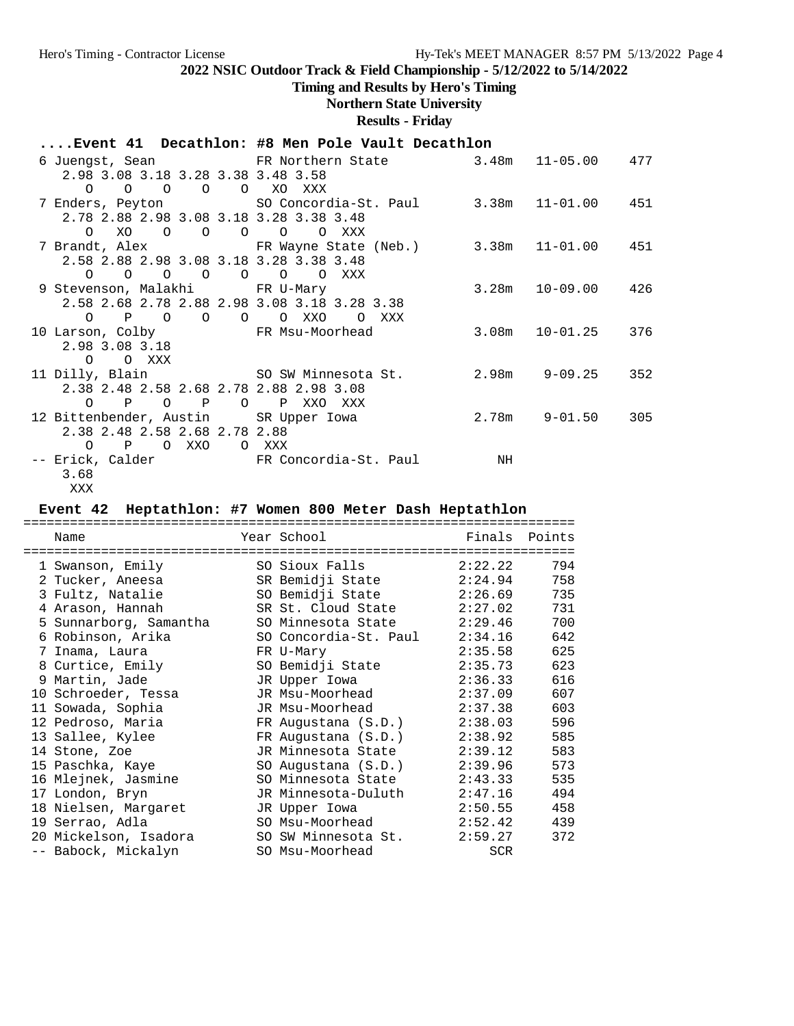# **Timing and Results by Hero's Timing**

# **Northern State University**

**Results - Friday**

|                                                        | Event 41 Decathlon: #8 Men Pole Vault Decathlon                 |                          |     |
|--------------------------------------------------------|-----------------------------------------------------------------|--------------------------|-----|
|                                                        | 6 Juengst, Sean FR Northern State 3.48m 11-05.00 477            |                          |     |
| 2.98 3.08 3.18 3.28 3.38 3.48 3.58                     |                                                                 |                          |     |
| 0 0 0 0 0 XO XXX                                       |                                                                 |                          |     |
|                                                        | 7 Enders, Peyton 50 Concordia-St. Paul 3.38m 11-01.00 451       |                          |     |
| 2.78 2.88 2.98 3.08 3.18 3.28 3.38 3.48                |                                                                 |                          |     |
| O XO O O O O O                                         | O XXX                                                           |                          |     |
|                                                        | 7 Brandt, Alex . TR Wayne State (Neb.) 3.38m 11-01.00 451       |                          |     |
| 2.58 2.88 2.98 3.08 3.18 3.28 3.38 3.48                |                                                                 |                          |     |
| 0 0 0 0 0 0 0 XXX                                      |                                                                 |                          |     |
| 9 Stevenson, Malakhi Kantur FR U-Mary                  |                                                                 | $3.28m$ $10-09.00$ $426$ |     |
| 2.58 2.68 2.78 2.88 2.98 3.08 3.18 3.28 3.38           |                                                                 |                          |     |
| 0 P O O O O XXO O XXX                                  |                                                                 |                          |     |
| 10 Larson, Colby                       FR Msu-Moorhead |                                                                 | $3.08m$ $10-01.25$ $376$ |     |
| 2.98 3.08 3.18                                         |                                                                 |                          |     |
| O O XXX                                                |                                                                 |                          |     |
|                                                        |                                                                 |                          | 352 |
| 2.38 2.48 2.58 2.68 2.78 2.88 2.98 3.08                |                                                                 |                          |     |
| O P O P O P XXO XXX                                    |                                                                 |                          |     |
| 12 Bittenbender, Austin SR Upper Iowa                  | $2.78m$ $9-01.50$ $305$                                         |                          |     |
| 2.38 2.48 2.58 2.68 2.78 2.88                          |                                                                 |                          |     |
| O P O XXO O XXX                                        |                                                                 |                          |     |
|                                                        | -- Erick, Calder           FR Concordia-St. Paul             NH |                          |     |
| 3.68                                                   |                                                                 |                          |     |
| XXX                                                    |                                                                 |                          |     |

# **Event 42 Heptathlon: #7 Women 800 Meter Dash Heptathlon**

| Name                                        | Year School                          | Finals     | Points |
|---------------------------------------------|--------------------------------------|------------|--------|
| -----------------------<br>1 Swanson, Emily | ------------------<br>SO Sioux Falls | 2:22.22    | 794    |
| 2 Tucker, Aneesa                            | SR Bemidji State                     | 2:24.94    | 758    |
| 3 Fultz, Natalie                            | SO Bemidji State                     | 2:26.69    | 735    |
| 4 Arason, Hannah                            | SR St. Cloud State                   | 2:27.02    | 731    |
| 5 Sunnarborg, Samantha                      | SO Minnesota State 2:29.46           |            | 700    |
| 6 Robinson, Arika                           | SO Concordia-St. Paul                | 2:34.16    | 642    |
| 7 Inama, Laura                              | FR U-Mary                            | 2:35.58    | 625    |
| 8 Curtice, Emily                            | SO Bemidji State                     | 2:35.73    | 623    |
| 9 Martin, Jade                              | JR Upper Iowa                        | 2:36.33    | 616    |
| 10 Schroeder, Tessa                         | JR Msu-Moorhead                      | 2:37.09    | 607    |
| 11 Sowada, Sophia                           | JR Msu-Moorhead                      | 2:37.38    | 603    |
| 12 Pedroso, Maria                           | FR Augustana (S.D.)                  | 2:38.03    | 596    |
| 13 Sallee, Kylee                            | FR Augustana (S.D.)                  | 2:38.92    | 585    |
| 14 Stone, Zoe                               | JR Minnesota State                   | 2:39.12    | 583    |
| 15 Paschka, Kaye                            | SO Augustana (S.D.)                  | 2:39.96    | 573    |
| 16 Mlejnek, Jasmine                         | SO Minnesota State                   | 2:43.33    | 535    |
| 17 London, Bryn                             | JR Minnesota-Duluth                  | 2:47.16    | 494    |
| 18 Nielsen, Margaret                        | JR Upper Iowa                        | 2:50.55    | 458    |
| 19 Serrao, Adla                             | SO Msu-Moorhead                      | 2:52.42    | 439    |
| 20 Mickelson, Isadora                       | SO SW Minnesota St.                  | 2:59.27    | 372    |
| -- Babock, Mickalyn                         | SO Msu-Moorhead                      | <b>SCR</b> |        |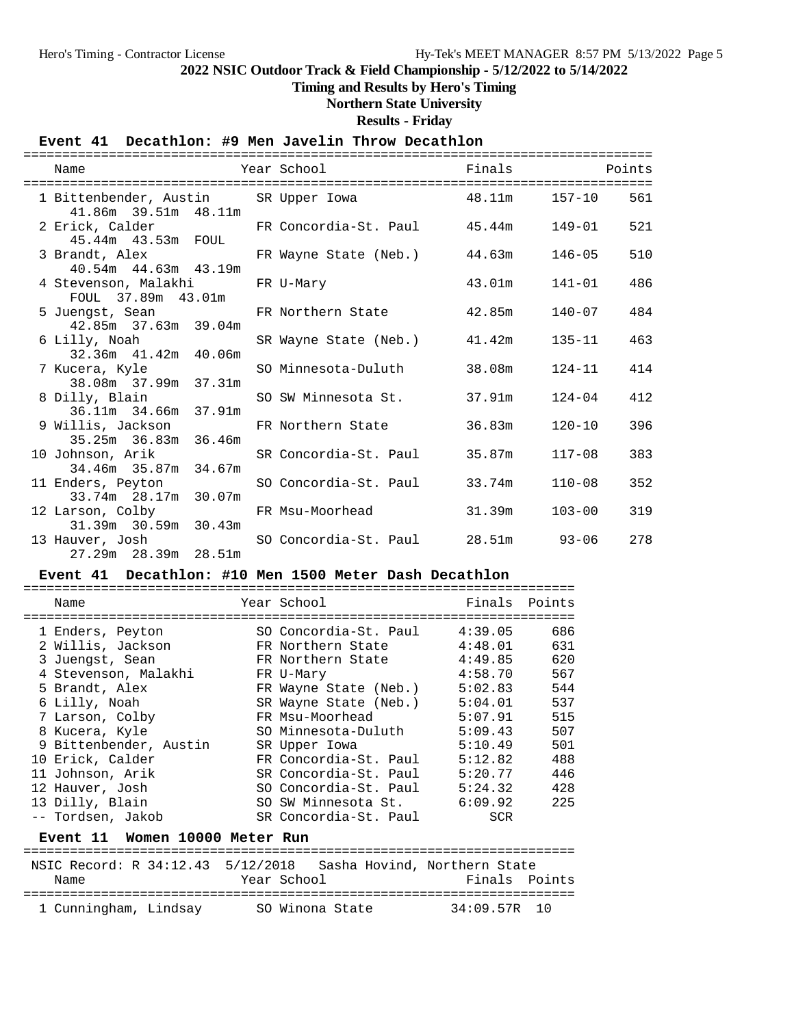## **Timing and Results by Hero's Timing**

## **Northern State University**

**Results - Friday**

## **Event 41 Decathlon: #9 Men Javelin Throw Decathlon**

| Name                                                                           | Year School                  | Finals Points |            |     |
|--------------------------------------------------------------------------------|------------------------------|---------------|------------|-----|
| 1 Bittenbender, Austin SR Upper Iowa 48.11m 157-10 561<br>41.86m 39.51m 48.11m |                              |               |            |     |
| 2 Erick, Calder TR Concordia-St. Paul 45.44m<br>45.44m  43.53m  FOUL           |                              |               | 149-01     | 521 |
| 3 Brandt, Alex<br>40.54m  44.63m  43.19m                                       | FR Wayne State (Neb.) 44.63m |               | 146-05     | 510 |
| 4 Stevenson, Malakhi<br>FOUL 37.89m 43.01m                                     | FR U-Mary                    | 43.01m        | 141-01     | 486 |
| 5 Juengst, Sean FR Northern State<br>42.85m 37.63m 39.04m                      |                              | 42.85m        | $140 - 07$ | 484 |
| 6 Lilly, Noah<br>32.36m 41.42m 40.06m                                          | SR Wayne State (Neb.) 41.42m |               | $135 - 11$ | 463 |
| 7 Kucera, Kyle<br>38.08m 37.99m 37.31m                                         | SO Minnesota-Duluth          | 38.08m        | $124 - 11$ | 414 |
| 8 Dilly, Blain<br>36.11m 34.66m 37.91m                                         | SO SW Minnesota St.          | 37.91m        | 124-04     | 412 |
| 9 Willis, Jackson<br>35.25m 36.83m 36.46m                                      | FR Northern State            | 36.83m        | $120 - 10$ | 396 |
| 10 Johnson, Arik<br>34.46m 35.87m 34.67m                                       | SR Concordia-St. Paul        | 35.87m        | $117 - 08$ | 383 |
| 11 Enders, Peyton<br>33.74m 28.17m 30.07m                                      | SO Concordia-St. Paul        | 33.74m        | $110 - 08$ | 352 |
| 12 Larson, Colby                                                               | FR Msu-Moorhead              | 31.39m        | $103 - 00$ | 319 |
| 31.39m 30.59m 30.43m<br>13 Hauver, Josh<br>27.29m 28.39m 28.51m                | SO Concordia-St. Paul        | 28.51m 93-06  |            | 278 |

# **Event 41 Decathlon: #10 Men 1500 Meter Dash Decathlon**

| Name                   | Year School           | Finals     | Points |
|------------------------|-----------------------|------------|--------|
|                        |                       |            |        |
| 1 Enders, Peyton       | SO Concordia-St. Paul | 4:39.05    | 686    |
| 2 Willis, Jackson      | FR Northern State     | 4:48.01    | 631    |
| 3 Juengst, Sean        | FR Northern State     | 4:49.85    | 620    |
| 4 Stevenson, Malakhi   | FR U-Mary             | 4:58.70    | 567    |
| 5 Brandt, Alex         | FR Wayne State (Neb.) | 5:02.83    | 544    |
| 6 Lilly, Noah          | SR Wayne State (Neb.) | 5:04.01    | 537    |
| 7 Larson, Colby        | FR Msu-Moorhead       | 5:07.91    | 515    |
| 8 Kucera, Kyle         | SO Minnesota-Duluth   | 5:09.43    | 507    |
| 9 Bittenbender, Austin | SR Upper Iowa         | 5:10.49    | 501    |
| 10 Erick, Calder       | FR Concordia-St. Paul | 5:12.82    | 488    |
| 11 Johnson, Arik       | SR Concordia-St. Paul | 5:20.77    | 446    |
| 12 Hauver, Josh        | SO Concordia-St. Paul | 5:24.32    | 428    |
| 13 Dilly, Blain        | SO SW Minnesota St.   | 6:09.92    | 225    |
| -- Tordsen, Jakob      | SR Concordia-St. Paul | <b>SCR</b> |        |

#### **Event 11 Women 10000 Meter Run**

| NSIC Record: R 34:12.43 5/12/2018 Sasha Hovind, Northern State |             |                 |               |  |
|----------------------------------------------------------------|-------------|-----------------|---------------|--|
| Name                                                           | Year School |                 | Finals Points |  |
|                                                                |             |                 |               |  |
| 1 Cunningham, Lindsay                                          |             | SO Winona State | 34:09.57R 10  |  |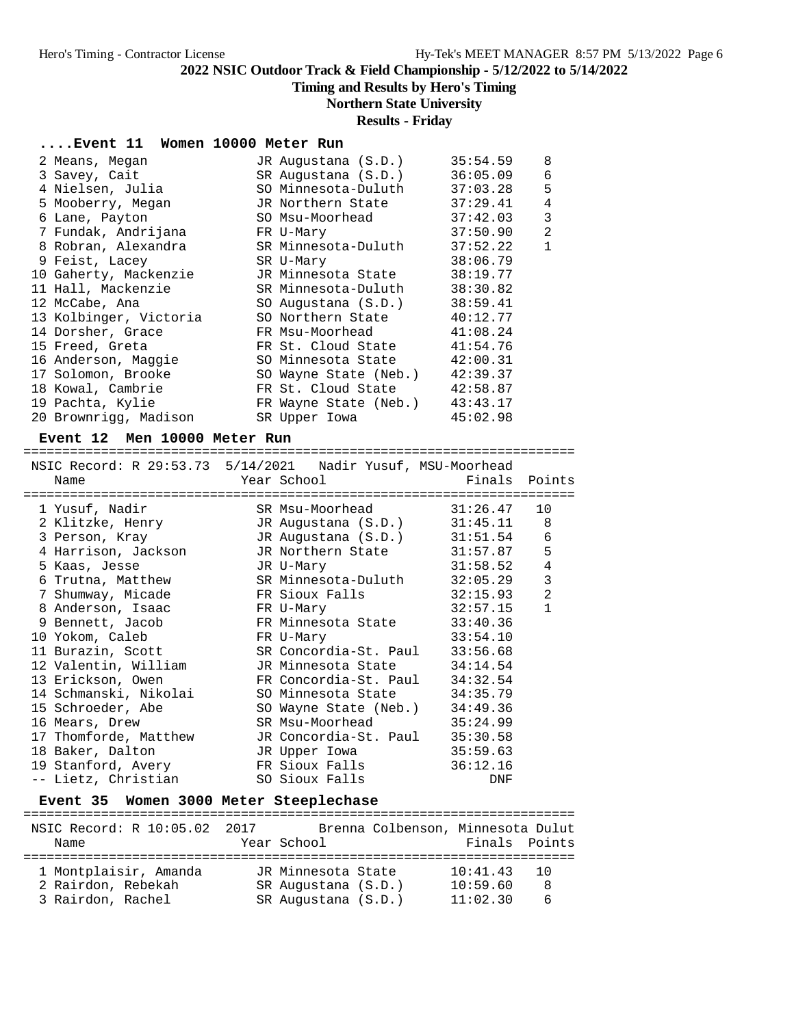## **Timing and Results by Hero's Timing**

## **Northern State University**

## **Results - Friday**

## **....Event 11 Women 10000 Meter Run**

| 2 Means, Megan         | JR Augustana (S.D.)   | 35:54.59 | 8              |
|------------------------|-----------------------|----------|----------------|
| 3 Savey, Cait          | SR Augustana (S.D.)   | 36:05.09 | 6              |
| 4 Nielsen, Julia       | SO Minnesota-Duluth   | 37:03.28 | 5              |
| 5 Mooberry, Megan      | JR Northern State     | 37:29.41 | 4              |
| 6 Lane, Payton         | SO Msu-Moorhead       | 37:42.03 | 3              |
| 7 Fundak, Andrijana    | FR U-Mary             | 37:50.90 | $\overline{2}$ |
| 8 Robran, Alexandra    | SR Minnesota-Duluth   | 37:52.22 | $\mathbf 1$    |
| 9 Feist, Lacey         | SR U-Mary             | 38:06.79 |                |
| 10 Gaherty, Mackenzie  | JR Minnesota State    | 38:19.77 |                |
| 11 Hall, Mackenzie     | SR Minnesota-Duluth   | 38:30.82 |                |
| 12 McCabe, Ana         | SO Augustana (S.D.)   | 38:59.41 |                |
| 13 Kolbinger, Victoria | SO Northern State     | 40:12.77 |                |
| 14 Dorsher, Grace      | FR Msu-Moorhead       | 41:08.24 |                |
| 15 Freed, Greta        | FR St. Cloud State    | 41:54.76 |                |
| 16 Anderson, Maggie    | SO Minnesota State    | 42:00.31 |                |
| 17 Solomon, Brooke     | SO Wayne State (Neb.) | 42:39.37 |                |
| 18 Kowal, Cambrie      | FR St. Cloud State    | 42:58.87 |                |
| 19 Pachta, Kylie       | FR Wayne State (Neb.) | 43:43.17 |                |
| 20 Brownrigg, Madison  | SR Upper Iowa         | 45:02.98 |                |

#### **Event 12 Men 10000 Meter Run**

#### =======================================================================  $NSTC$  Record: R 29:53.73  $5/14/2021$  Nadir Yusuf, MSU-Moorhead

| INSIC RECOLU. R 29.53.73 5/14/2021 NAUIL IUSUL, MSU-MOOLIIEAU<br>Name | Year School The Management of the Management of the Management of the Management of the Management of the Management of the Management of the Management of the Management of the Management of the Management of the Manageme | Finals Points                   |                |
|-----------------------------------------------------------------------|--------------------------------------------------------------------------------------------------------------------------------------------------------------------------------------------------------------------------------|---------------------------------|----------------|
|                                                                       |                                                                                                                                                                                                                                | =============================== |                |
| 1 Yusuf, Nadir                                                        | SR Msu-Moorhead 31:26.47 10                                                                                                                                                                                                    |                                 |                |
| 2 Klitzke, Henry JR Augustana (S.D.) 31:45.11 8                       |                                                                                                                                                                                                                                |                                 |                |
| 3 Person, Kray (S.D.)                                                 |                                                                                                                                                                                                                                | 31:51.54                        | 6              |
| 4 Harrison, Jackson             JR Northern State                     |                                                                                                                                                                                                                                | 31:57.87                        | 5              |
| 5 Kaas, Jesse                                                         | JR U-Mary                                                                                                                                                                                                                      | 31:58.52                        | $\bf 4$        |
| 6 Trutna, Matthew SR Minnesota-Duluth                                 |                                                                                                                                                                                                                                | 32:05.29                        | $\mathbf{3}$   |
| 7 Shumway, Micade                       FR Sioux Falls                |                                                                                                                                                                                                                                | 32:15.93                        | $\overline{2}$ |
| 8 Anderson, Isaac               FR U-Mary                             |                                                                                                                                                                                                                                | 32:57.15                        | $\mathbf{1}$   |
| 9 Bennett, Jacob FR Minnesota State                                   |                                                                                                                                                                                                                                | 33:40.36                        |                |
| 10 Yokom, Caleb                                                       | FR U-Mary                                                                                                                                                                                                                      | 33:54.10                        |                |
| 11 Burazin, Scott SR Concordia-St. Paul                               |                                                                                                                                                                                                                                | 33:56.68                        |                |
| 12 Valentin, William       JR Minnesota State                         |                                                                                                                                                                                                                                | 34:14.54                        |                |
| 13 Erickson, Owen TR Concordia-St. Paul                               |                                                                                                                                                                                                                                | 34:32.54                        |                |
| 14 Schmanski, Nikolai SO Minnesota State                              |                                                                                                                                                                                                                                | 34:35.79                        |                |
| 15 Schroeder, Abe                                                     | SO Wayne State (Neb.)                                                                                                                                                                                                          | 34:49.36                        |                |
| 16 Mears, Drew                                                        | SR Msu-Moorhead                                                                                                                                                                                                                | 35:24.99                        |                |
| 17 Thomforde, Matthew JR Concordia-St. Paul                           |                                                                                                                                                                                                                                | 35:30.58                        |                |
| 18 Baker, Dalton                                                      | JR Upper Iowa                                                                                                                                                                                                                  | 35:59.63                        |                |
|                                                                       |                                                                                                                                                                                                                                | 36:12.16                        |                |
| -- Lietz, Christian                                                   | SO Sioux Falls                                                                                                                                                                                                                 | DNF                             |                |
|                                                                       |                                                                                                                                                                                                                                |                                 |                |

## **Event 35 Women 3000 Meter Steeplechase**

| NSIC Record: R 10:05.02 2017<br>Name | Year School | Brenna Colbenson, Minnesota Dulut | Finals Points |           |
|--------------------------------------|-------------|-----------------------------------|---------------|-----------|
| 1 Montplaisir, Amanda                |             | JR Minnesota State                | 10:41.43      | <u>າດ</u> |
| 2 Rairdon, Rebekah                   |             | SR Augustana (S.D.)               | 10:59.60      | -8        |
| 3 Rairdon, Rachel                    |             | SR Augustana (S.D.)               | 11:02.30      | 6         |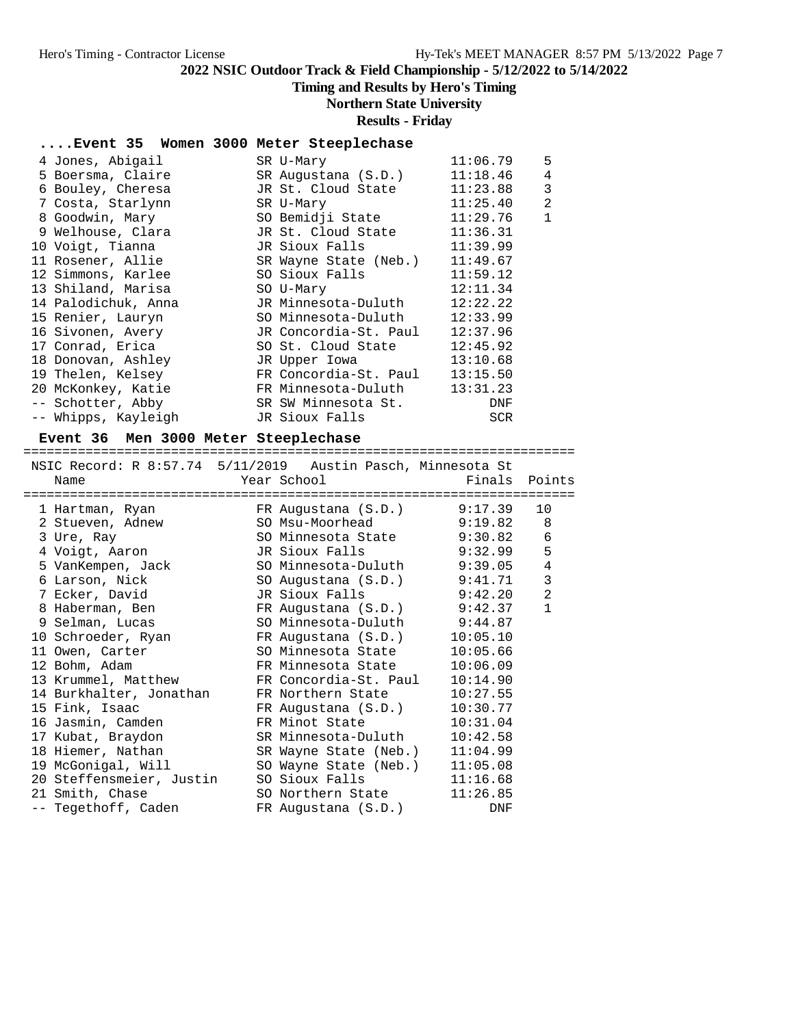# **Timing and Results by Hero's Timing**

## **Northern State University**

#### **Results - Friday**

### **....Event 35 Women 3000 Meter Steeplechase**

| 4 Jones, Abigail    | SR U-Mary             | 11:06.79   | 5            |
|---------------------|-----------------------|------------|--------------|
| 5 Boersma, Claire   | SR Augustana (S.D.)   | 11:18.46   | 4            |
| 6 Bouley, Cheresa   | JR St. Cloud State    | 11:23.88   | 3            |
| 7 Costa, Starlynn   | SR U-Mary             | 11:25.40   | 2            |
| 8 Goodwin, Mary     | SO Bemidji State      | 11:29.76   | $\mathbf{1}$ |
| 9 Welhouse, Clara   | JR St. Cloud State    | 11:36.31   |              |
| 10 Voigt, Tianna    | JR Sioux Falls        | 11:39.99   |              |
| 11 Rosener, Allie   | SR Wayne State (Neb.) | 11:49.67   |              |
| 12 Simmons, Karlee  | SO Sioux Falls        | 11:59.12   |              |
| 13 Shiland, Marisa  | SO U-Mary             | 12:11.34   |              |
| 14 Palodichuk, Anna | JR Minnesota-Duluth   | 12:22.22   |              |
| 15 Renier, Lauryn   | SO Minnesota-Duluth   | 12:33.99   |              |
| 16 Sivonen, Avery   | JR Concordia-St. Paul | 12:37.96   |              |
| 17 Conrad, Erica    | SO St. Cloud State    | 12:45.92   |              |
| 18 Donovan, Ashley  | JR Upper Iowa         | 13:10.68   |              |
| 19 Thelen, Kelsey   | FR Concordia-St. Paul | 13:15.50   |              |
| 20 McKonkey, Katie  | FR Minnesota-Duluth   | 13:31.23   |              |
| -- Schotter, Abby   | SR SW Minnesota St.   | DNF        |              |
| -- Whipps, Kayleigh | JR Sioux Falls        | <b>SCR</b> |              |

#### **Event 36 Men 3000 Meter Steeplechase**

======================================================================= NSIC Record: R 8:57.74 5/11/2019 Austin Pasch, Minnesota St

|  | NSIC RECOLU: R 0.37.74 371172019 AUSLIII PASCII, MIIIIIESOLA SL<br>Name | Year School and the Marian School                     | Finals Points |                |
|--|-------------------------------------------------------------------------|-------------------------------------------------------|---------------|----------------|
|  | 1 Hartman, Ryan               FR Augustana (S.D.)         9:17.39       |                                                       |               | 10             |
|  | 2 Stueven, Adnew SO Msu-Moorhead 9:19.82 8                              |                                                       |               |                |
|  | 3 Ure, Ray 6 SO Minnesota State 9:30.82 6                               |                                                       |               |                |
|  | 4 Voigt, Aaron                                                          | JR Sioux Falls 9:32.99                                |               | 5              |
|  |                                                                         |                                                       |               | $\overline{4}$ |
|  | 6 Larson, Nick Sandwick                                                 | SO Augustana (S.D.) 9:41.71<br>JR Sioux Falls 9:42.20 |               | $\mathbf{3}$   |
|  | 7 Ecker, David                                                          |                                                       |               | $\overline{2}$ |
|  | 8 Haberman, Ben BR Augustana (S.D.) 9:42.37                             |                                                       |               | $\mathbf{1}$   |
|  | 9 Selman, Lucas                                                         | SO Minnesota-Duluth 9:44.87                           |               |                |
|  | 10 Schroeder, Ryan Mark FR Augustana (S.D.)                             |                                                       | 10:05.10      |                |
|  | 11 Owen, Carter                                                         | SO Minnesota State                                    | 10:05.66      |                |
|  | 12 Bohm, Adam                                                           | FR Minnesota State                                    | 10:06.09      |                |
|  | 13 Krummel, Matthew FR Concordia-St. Paul                               |                                                       | 10:14.90      |                |
|  | 14 Burkhalter, Jonathan                                                 | FR Northern State                                     | 10:27.55      |                |
|  | 15 Fink, Isaac                                                          | FR Augustana (S.D.)                                   | 10:30.77      |                |
|  | 16 Jasmin, Camden                                                       | FR Minot State                                        | 10:31.04      |                |
|  | 17 Kubat, Braydon             SR Minnesota-Duluth                       |                                                       | 10:42.58      |                |
|  | 18 Hiemer, Nathan SR Wayne State (Neb.)                                 |                                                       | 11:04.99      |                |
|  | 19 McGonigal, Will SO Wayne State (Neb.) 11:05.08                       |                                                       |               |                |
|  | 20 Steffensmeier, Justin                                                | SO Sioux Falls                                        | 11:16.68      |                |
|  | 21 Smith, Chase                                                         | SO Northern State                                     | 11:26.85      |                |
|  | -- Tegethoff, Caden                                                     | FR Augustana (S.D.)                                   | DNF           |                |
|  |                                                                         |                                                       |               |                |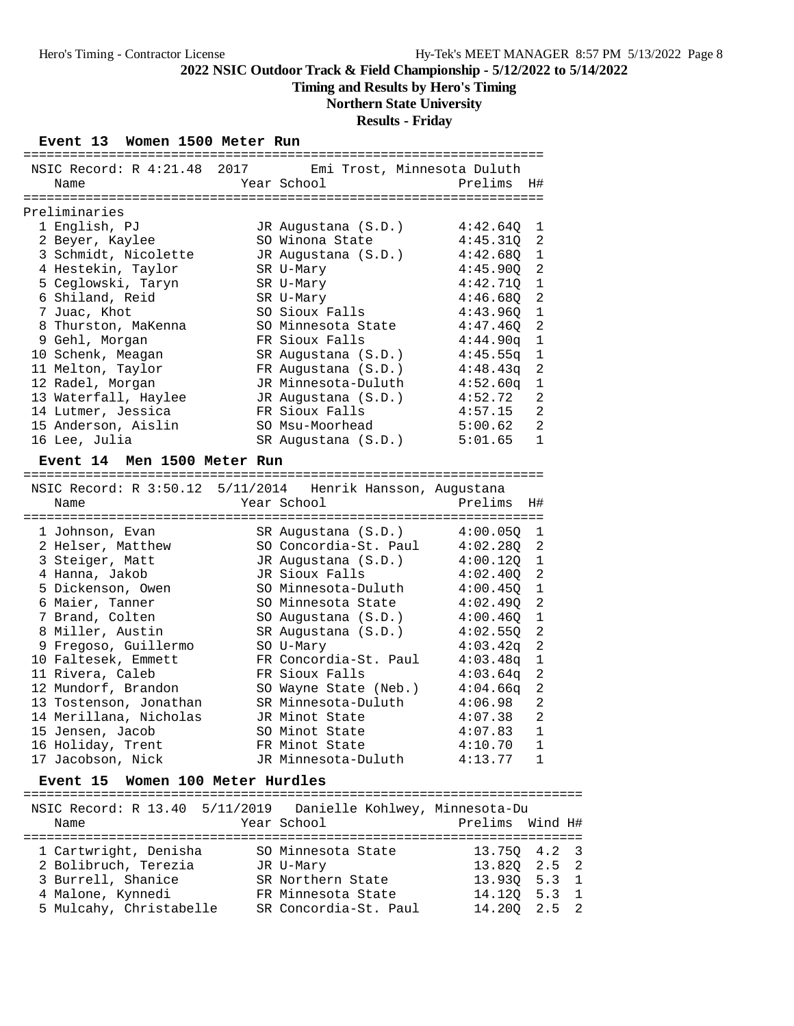**Timing and Results by Hero's Timing**

#### **Northern State University**

#### **Results - Friday**

#### **Event 13 Women 1500 Meter Run**

| NSIC Record: R 4:21.48 2017                                | Emi Trost, Minnesota Duluth |          |                |
|------------------------------------------------------------|-----------------------------|----------|----------------|
| Name                                                       | Year School                 | Prelims  | H#             |
|                                                            |                             |          |                |
| Preliminaries                                              |                             |          |                |
| 1 English, PJ                                              | JR Augustana (S.D.)         | 4:42.640 | 1              |
| 2 Beyer, Kaylee                                            | SO Winona State             | 4:45.31Q | 2              |
| 3 Schmidt, Nicolette                                       | JR Augustana (S.D.)         | 4:42.68Q | $\mathbf{1}$   |
| 4 Hestekin, Taylor                                         | SR U-Mary                   | 4:45.90Q | 2              |
| 5 Ceglowski, Taryn                                         | SR U-Mary                   | 4:42.71Q | $\mathbf 1$    |
| 6 Shiland, Reid                                            | SR U-Mary                   | 4:46.680 | $\overline{a}$ |
| 7 Juac, Khot                                               | SO Sioux Falls              | 4:43.960 | $\mathbf{1}$   |
| 8 Thurston, MaKenna                                        | SO Minnesota State          | 4:47.46Q | $\overline{a}$ |
| 9 Gehl, Morgan                                             | FR Sioux Falls              | 4:44.90q | $\mathbf{1}$   |
| 10 Schenk, Meagan                                          | SR Augustana (S.D.)         | 4:45.55q | $\mathbf 1$    |
| 11 Melton, Taylor                                          | FR Augustana (S.D.)         | 4:48.43q | $\overline{2}$ |
| 12 Radel, Morgan                                           | JR Minnesota-Duluth         | 4:52.60q | $1\,$          |
| 13 Waterfall, Haylee                                       | JR Augustana (S.D.)         | 4:52.72  | $\overline{a}$ |
| 14 Lutmer, Jessica                                         | FR Sioux Falls              | 4:57.15  | $\overline{2}$ |
| 15 Anderson, Aislin                                        | SO Msu-Moorhead             | 5:00.62  | $\overline{2}$ |
| 16 Lee, Julia                                              | SR Augustana (S.D.)         | 5:01.65  | $\mathbf{1}$   |
| Event 14 Men 1500 Meter Run                                |                             |          |                |
|                                                            |                             |          |                |
| NSIC Record: R 3:50.12 5/11/2014 Henrik Hansson, Augustana |                             |          |                |
| Name                                                       | Year School                 | Prelims  | H#             |
|                                                            |                             |          |                |
| 1 Johnson, Evan                                            | SR Augustana (S.D.)         | 4:00.05Q | 1              |
| 2 Helser, Matthew                                          | SO Concordia-St. Paul       | 4:02.280 | 2              |
| 3 Steiger, Matt                                            | JR Augustana (S.D.)         | 4:00.120 | $\mathbf{1}$   |
| 4 Hanna, Jakob                                             | JR Sioux Falls              | 4:02.40Q | $\overline{a}$ |
| 5 Dickenson, Owen                                          | SO Minnesota-Duluth         | 4:00.450 | $\mathbf{1}$   |
| 6 Maier, Tanner                                            | SO Minnesota State          | 4:02.490 | 2              |
| 7 Brand, Colten                                            | SO Augustana (S.D.)         | 4:00.46Q | $\mathbf 1$    |
| 8 Miller, Austin                                           | SR Augustana (S.D.)         | 4:02.55Q | $\overline{a}$ |
| 9 Fregoso, Guillermo                                       | SO U-Mary                   | 4:03.42q | $\overline{2}$ |
| 10 Faltesek, Emmett                                        | FR Concordia-St. Paul       | 4:03.48q | $\mathbf{1}$   |

 17 Jacobson, Nick JR Minnesota-Duluth 4:13.77 1 **Event 15 Women 100 Meter Hurdles** ======================================================================== NSIC Record: R 13.40 5/11/2019 Danielle Kohlwey, Minnesota-Du Name Year School Prelims Wind H#

 11 Rivera, Caleb FR Sioux Falls 4:03.64q 2 12 Mundorf, Brandon SO Wayne State (Neb.) 4:04.66q 2 13 Tostenson, Jonathan SR Minnesota-Duluth 4:06.98 2 14 Merillana, Nicholas JR Minot State 4:07.38 2 15 Jensen, Jacob SO Minot State 4:07.83 1 16 Holiday, Trent FR Minot State 4:10.70 1

| 1 Cartwright, Denisha   | SO Minnesota State    | 13.750 4.2 3 |  |
|-------------------------|-----------------------|--------------|--|
| 2 Bolibruch, Terezia    | JR U-Mary             | 13.820 2.5 2 |  |
| 3 Burrell, Shanice      | SR Northern State     | 13.930 5.3 1 |  |
| 4 Malone, Kynnedi       | FR Minnesota State    | 14.120 5.3 1 |  |
| 5 Mulcahy, Christabelle | SR Concordia-St. Paul | 14.200 2.5 2 |  |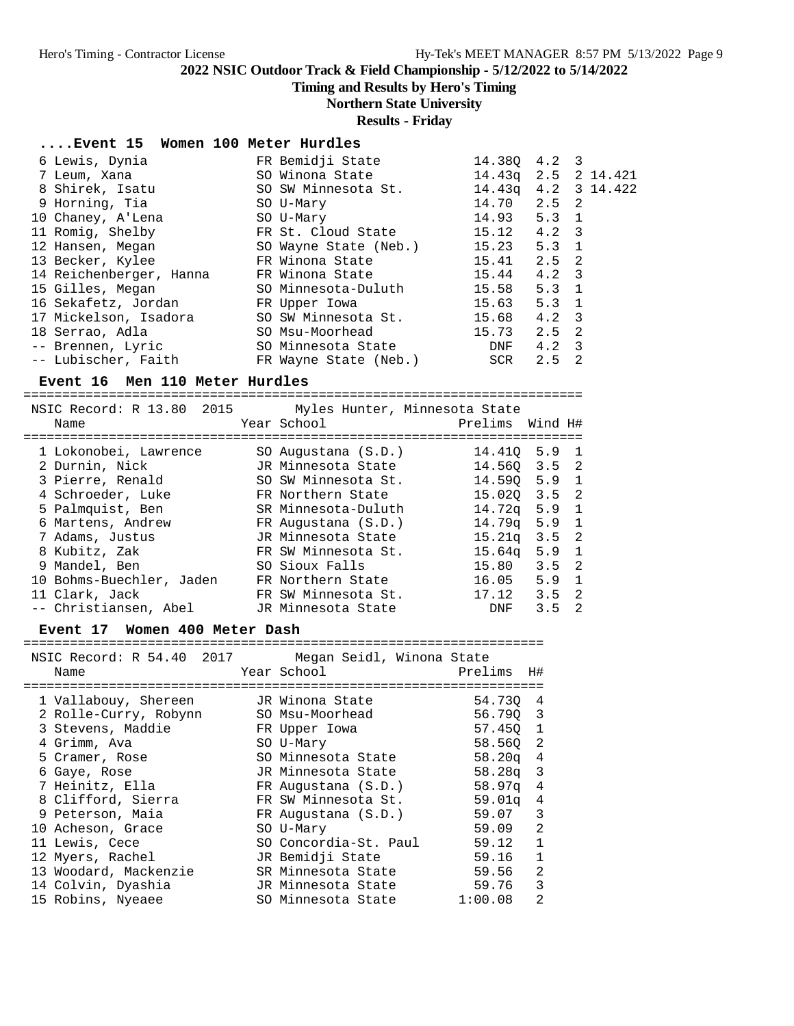**Timing and Results by Hero's Timing**

#### **Northern State University**

**Results - Friday**

#### **....Event 15 Women 100 Meter Hurdles**

| 6 Lewis, Dynia          | FR Bemidji State      | 14.380              | $4.2 \quad 3$ |    |  |
|-------------------------|-----------------------|---------------------|---------------|----|--|
| 7 Leum, Xana            | SO Winona State       | 14.43g 2.5 2 14.421 |               |    |  |
| 8 Shirek, Isatu         | SO SW Minnesota St.   | 14.43q 4.2 3 14.422 |               |    |  |
| 9 Horning, Tia          | SO U-Mary             | 14.70               | 2.5 2         |    |  |
| 10 Chaney, A'Lena       | SO U-Mary             | $14.93$ 5.3 1       |               |    |  |
| 11 Romig, Shelby        | FR St. Cloud State    | 15.12               | $4.2 \quad 3$ |    |  |
| 12 Hansen, Megan        | SO Wayne State (Neb.) | 15.23               | $5.3 \quad 1$ |    |  |
| 13 Becker, Kylee        | FR Winona State       | $15.41$ $2.5$ 2     |               |    |  |
| 14 Reichenberger, Hanna | FR Winona State       | 15.44               | $4.2 \quad 3$ |    |  |
| 15 Gilles, Megan        | SO Minnesota-Duluth   | 15.58               | $5.3 \quad 1$ |    |  |
| 16 Sekafetz, Jordan     | FR Upper Iowa         | 15.63               | $5.3 \quad 1$ |    |  |
| 17 Mickelson, Isadora   | SO SW Minnesota St.   | 15.68               | $4.2 \quad 3$ |    |  |
| 18 Serrao, Adla         | SO Msu-Moorhead       | 15.73               | 2.5 2         |    |  |
| -- Brennen, Lyric       | SO Minnesota State    | DNF                 | $4.2 \quad 3$ |    |  |
| -- Lubischer, Faith     | FR Wayne State (Neb.) | SCR                 | 2.5           | -2 |  |

#### **Event 16 Men 110 Meter Hurdles**

======================================================================== NSIC Record: R 13.80 2015 Myles Hunter, Minnesota State Name Year School Prelims Wind H# ======================================================================== 1 Lokonobei, Lawrence SO Augustana (S.D.) 14.41Q 5.9 1 2 Durnin, Nick JR Minnesota State 14.56Q 3.5 2 3 Pierre, Renald SO SW Minnesota St. 14.59Q 5.9 1 4 Schroeder, Luke FR Northern State 15.02Q 3.5 2 5 Palmquist, Ben SR Minnesota-Duluth 14.72q 5.9 1 6 Martens, Andrew FR Augustana (S.D.) 14.79q 5.9 1 7 Adams, Justus JR Minnesota State 15.21q 3.5 2 8 Kubitz, Zak FR SW Minnesota St. 15.64q 5.9 1 9 Mandel, Ben SO Sioux Falls 15.80 3.5 2 10 Bohms-Buechler, Jaden FR Northern State 16.05 5.9 1 11 Clark, Jack FR SW Minnesota St. 17.12 3.5 2 -- Christiansen, Abel JR Minnesota State DNF 3.5 2

#### **Event 17 Women 400 Meter Dash**

| NSIC Record: R 54.40 2017 | Megan Seidl, Winona State |          |                |
|---------------------------|---------------------------|----------|----------------|
| Name                      | Year School               | Prelims  | H#             |
|                           |                           |          |                |
| 1 Vallabouy, Shereen      | JR Winona State           | 54.730   | 4              |
| 2 Rolle-Curry, Robynn     | SO Msu-Moorhead           | 56.790 3 |                |
| 3 Stevens, Maddie         | FR Upper Iowa             | 57.450 1 |                |
| 4 Grimm, Ava              | SO U-Mary                 | 58.560 2 |                |
| 5 Cramer, Rose            | SO Minnesota State        | 58.20q   | 4              |
| 6 Gaye, Rose              | JR Minnesota State        | 58.28a   | $\overline{3}$ |
| 7 Heinitz, Ella           | FR Augustana (S.D.)       | 58.97q   | 4              |
| 8 Clifford, Sierra        | FR SW Minnesota St.       | 59.01q   | 4              |
| 9 Peterson, Maia          | FR Augustana (S.D.)       | 59.07    | 3              |
| 10 Acheson, Grace         | SO U-Mary                 | 59.09    | $\overline{2}$ |
| 11 Lewis, Cece            | SO Concordia-St. Paul     | 59.12    | 1              |
| 12 Myers, Rachel          | JR Bemidji State          | 59.16    | $\mathbf{1}$   |
| 13 Woodard, Mackenzie     | SR Minnesota State        | 59.56    | $\mathfrak{D}$ |
| 14 Colvin, Dyashia        | JR Minnesota State        | 59.76    | 3              |
| 15 Robins, Nyeaee         | SO Minnesota State        | 1:00.08  | $\mathfrak{D}$ |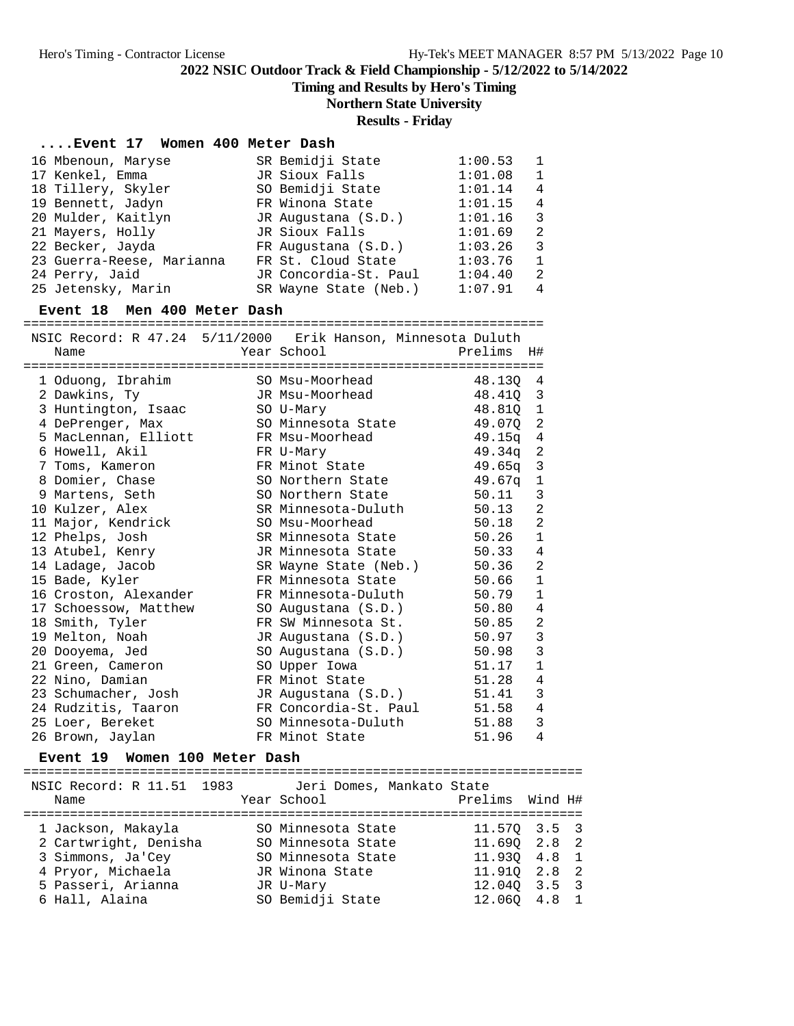**Timing and Results by Hero's Timing**

## **Northern State University**

## **Results - Friday**

#### **....Event 17 Women 400 Meter Dash**

| 16 Mbenoun, Maryse        | SR Bemidji State      | 1:00.53 | $\overline{1}$ |
|---------------------------|-----------------------|---------|----------------|
| 17 Kenkel, Emma           | JR Sioux Falls        | 1:01.08 | $\overline{1}$ |
| 18 Tillery, Skyler        | SO Bemidji State      | 1:01.14 | $\overline{4}$ |
| 19 Bennett, Jadyn         | FR Winona State       | 1:01.15 | $\overline{4}$ |
| 20 Mulder, Kaitlyn        | JR Augustana (S.D.)   | 1:01.16 | - 3            |
| 21 Mayers, Holly          | JR Sioux Falls        | 1:01.69 | - 2            |
| 22 Becker, Jayda          | FR Augustana (S.D.)   | 1:03.26 | - 3            |
| 23 Guerra-Reese, Marianna | FR St. Cloud State    | 1:03.76 | $\overline{1}$ |
| 24 Perry, Jaid            | JR Concordia-St. Paul | 1:04.40 | - 2            |
| 25 Jetensky, Marin        | SR Wayne State (Neb.) | 1:07.91 | $\overline{4}$ |
|                           |                       |         |                |

#### **Event 18 Men 400 Meter Dash**

===================================================================

| Name                  | NSIC Record: R 47.24 5/11/2000 Erik Hanson, Minnesota Duluth<br>Year School | Prelims  | H#               |
|-----------------------|-----------------------------------------------------------------------------|----------|------------------|
| 1 Oduong, Ibrahim     | SO Msu-Moorhead                                                             | 48.130 4 |                  |
| 2 Dawkins, Ty         | JR Msu-Moorhead                                                             | 48.41Q 3 |                  |
| 3 Huntington, Isaac   | SO U-Mary                                                                   | 48.810 1 |                  |
| 4 DePrenger, Max      | SO Minnesota State                                                          | 49.070   | $\overline{c}$   |
| 5 MacLennan, Elliott  | FR Msu-Moorhead                                                             | 49.15q   | $\overline{4}$   |
| 6 Howell, Akil        | FR U-Mary                                                                   | 49.34q 2 |                  |
| 7 Toms, Kameron       | FR Minot State                                                              | 49.65q   | 3                |
| 8 Domier, Chase       | SO Northern State                                                           | 49.67a   | $\mathbf{1}$     |
| 9 Martens, Seth       | SO Northern State                                                           | 50.11    | $\mathbf{3}$     |
| 10 Kulzer, Alex       | SR Minnesota-Duluth                                                         | 50.13    | $\overline{a}$   |
| 11 Major, Kendrick    | SO Msu-Moorhead                                                             | 50.18    | $\overline{2}$   |
| 12 Phelps, Josh       | SR Minnesota State                                                          | 50.26    | $\mathbf 1$      |
| 13 Atubel, Kenry      | JR Minnesota State                                                          | 50.33    | $\ensuremath{4}$ |
| 14 Ladage, Jacob      | SR Wayne State (Neb.)                                                       | 50.36    | $\overline{2}$   |
| 15 Bade, Kyler        | FR Minnesota State                                                          | 50.66    | $\mathbf{1}$     |
| 16 Croston, Alexander | FR Minnesota-Duluth                                                         | 50.79    | $\mathbf{1}$     |
| 17 Schoessow, Matthew | SO Augustana (S.D.)                                                         | 50.80    | $\overline{4}$   |
| 18 Smith, Tyler       | FR SW Minnesota St.                                                         | 50.85    | $\overline{c}$   |
| 19 Melton, Noah       | JR Augustana (S.D.)                                                         | 50.97    | $\mathbf{3}$     |
| 20 Dooyema, Jed       | SO Augustana (S.D.)                                                         | 50.98    | 3                |
| 21 Green, Cameron     | SO Upper Iowa                                                               | 51.17    | $\mathbf{1}$     |
| 22 Nino, Damian       | FR Minot State                                                              | 51.28    | $\,4$            |
| 23 Schumacher, Josh   | JR Augustana (S.D.)                                                         | 51.41    | $\mathbf{3}$     |
| 24 Rudzitis, Taaron   | FR Concordia-St. Paul                                                       | 51.58    | $\overline{4}$   |
| 25 Loer, Bereket      | SO Minnesota-Duluth                                                         | 51.88    | $\overline{3}$   |
| 26 Brown, Jaylan      | FR Minot State                                                              | 51.96    | $\overline{4}$   |

#### **Event 19 Women 100 Meter Dash**

========================================================================

| NSIC Record: R 11.51 1983 | Jeri Domes, Mankato State |                 |                  |
|---------------------------|---------------------------|-----------------|------------------|
| Name                      | Year School               | Prelims Wind H# |                  |
|                           |                           |                 |                  |
| 1 Jackson, Makayla        | SO Minnesota State        |                 | $11.570$ $3.5$ 3 |
| 2 Cartwright, Denisha     | SO Minnesota State        |                 | $11.690$ $2.8$ 2 |
| 3 Simmons, Ja'Cey         | SO Minnesota State        | 11.930 4.8 1    |                  |
| 4 Pryor, Michaela         | JR Winona State           | 11.910 2.8 2    |                  |
| 5 Passeri, Arianna        | JR U-Mary                 |                 | $12.040$ $3.5$ 3 |
| 6 Hall, Alaina            | SO Bemidji State          | 12.060 4.8 1    |                  |
|                           |                           |                 |                  |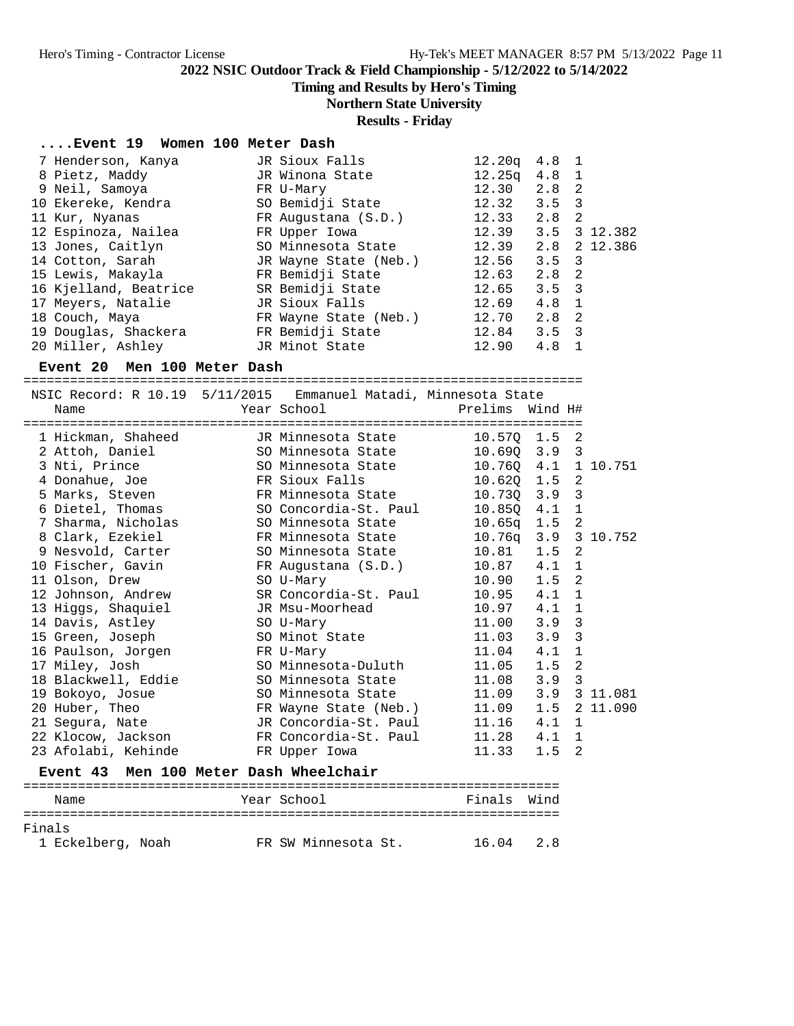**Timing and Results by Hero's Timing**

## **Northern State University**

**Results - Friday**

#### **....Event 19 Women 100 Meter Dash**

| JR Sioux Falls        |       |     |                                                                                                                                                                                                                                             |
|-----------------------|-------|-----|---------------------------------------------------------------------------------------------------------------------------------------------------------------------------------------------------------------------------------------------|
| JR Winona State       |       |     |                                                                                                                                                                                                                                             |
| FR U-Mary             | 12.30 |     |                                                                                                                                                                                                                                             |
| SO Bemidji State      |       |     |                                                                                                                                                                                                                                             |
| FR Augustana (S.D.)   |       |     |                                                                                                                                                                                                                                             |
| FR Upper Iowa         |       |     |                                                                                                                                                                                                                                             |
| SO Minnesota State    |       |     |                                                                                                                                                                                                                                             |
| JR Wayne State (Neb.) |       |     |                                                                                                                                                                                                                                             |
| FR Bemidji State      |       |     |                                                                                                                                                                                                                                             |
| SR Bemidji State      |       |     |                                                                                                                                                                                                                                             |
| JR Sioux Falls        | 12.69 |     |                                                                                                                                                                                                                                             |
| FR Wayne State (Neb.) | 12.70 |     |                                                                                                                                                                                                                                             |
| FR Bemidji State      |       |     |                                                                                                                                                                                                                                             |
| JR Minot State        | 12.90 | 4.8 |                                                                                                                                                                                                                                             |
|                       |       |     | 12.20a<br>4.8 1<br>$12.25q$ 4.8 1<br>$2.8 \quad 2$<br>$12.32$ $3.5$ 3<br>$12.33$ $2.8$ 2<br>12.39 3.5 3 12.382<br>12.39 2.8 2 12.386<br>$12.56$ $3.5$ 3<br>$2.8 \quad 2$<br>12.63<br>$12.65$ $3.5$ 3<br>4.8 1<br>$2.8$ 2<br>$12.84$ $3.5$ 3 |

#### **Event 20 Men 100 Meter Dash**

========================================================================

|                     | NSIC Record: R 10.19 5/11/2015 Emmanuel Matadi, Minnesota State    |                 |     |              |  |
|---------------------|--------------------------------------------------------------------|-----------------|-----|--------------|--|
| Name                |                                                                    |                 |     |              |  |
|                     | 1 Hickman, Shaheed JR Minnesota State 10.570 1.5 2                 |                 |     |              |  |
|                     | 2 Attoh, Daniel SO Minnesota State 10.69Q 3.9 3                    |                 |     |              |  |
|                     | 3 Nti, Prince 50 Minnesota State 10.760 4.1 1 10.751               |                 |     |              |  |
|                     |                                                                    |                 |     |              |  |
|                     | 4 Donahue, Joe             FR Sioux Falls             10.620 1.5 2 |                 |     |              |  |
|                     | 5 Marks, Steven FR Minnesota State 10.730 3.9 3                    |                 |     |              |  |
|                     | 6 Dietel, Thomas SO Concordia-St. Paul 10.85Q 4.1 1                |                 |     |              |  |
| 7 Sharma, Nicholas  | SO Minnesota State 10.65q 1.5 2                                    |                 |     |              |  |
| 8 Clark, Ezekiel    | FR Minnesota State 10.76q 3.9 3 10.752                             |                 |     |              |  |
| 9 Nesvold, Carter   | SO Minnesota State 10.81 1.5 2                                     |                 |     |              |  |
| 10 Fischer, Gavin   | FR Augustana (S.D.) 10.87 4.1 1                                    |                 |     |              |  |
| 11 Olson, Drew      | SO U-Mary                                                          | $10.90$ $1.5$ 2 |     |              |  |
| 12 Johnson, Andrew  | SR Concordia-St. Paul 10.95 4.1 1                                  |                 |     |              |  |
| 13 Higgs, Shaquiel  | JR Msu-Moorhead 10.97 4.1 1                                        |                 |     |              |  |
| 14 Davis, Astley    | SO U-Mary                                                          | $11.00$ $3.9$ 3 |     |              |  |
| 15 Green, Joseph    | SO Minot State 11.03 3.9                                           |                 |     | 3            |  |
| 16 Paulson, Jorgen  | FR U-Mary                                                          | $11.04$ $4.1$ 1 |     |              |  |
| 17 Miley, Josh      | SO Minnesota-Duluth 11.05 1.5                                      |                 |     | 2            |  |
| 18 Blackwell, Eddie | SO Minnesota State 11.08 3.9 3                                     |                 |     |              |  |
| 19 Bokoyo, Josue    | SO Minnesota State 11.09 3.9 3 11.081                              |                 |     |              |  |
| 20 Huber, Theo      | FR Wayne State (Neb.) 11.09 1.5 2 11.090                           |                 |     |              |  |
| 21 Segura, Nate     | JR Concordia-St. Paul 11.16 4.1 1                                  |                 |     |              |  |
|                     | 22 Klocow, Jackson FR Concordia-St. Paul 11.28 4.1                 |                 |     | $\mathbf{1}$ |  |
| 23 Afolabi, Kehinde | FR Upper Iowa Della Controller Controller                          | 11.33           | 1.5 | 2            |  |

#### **Event 43 Men 100 Meter Dash Wheelchair**

| Name              |  |  |  | Year School         |  | Finals Wind |     |  |  |  |  |
|-------------------|--|--|--|---------------------|--|-------------|-----|--|--|--|--|
|                   |  |  |  |                     |  |             |     |  |  |  |  |
| Finals            |  |  |  |                     |  |             |     |  |  |  |  |
| 1 Eckelberg, Noah |  |  |  | FR SW Minnesota St. |  | 16.04       | 2.8 |  |  |  |  |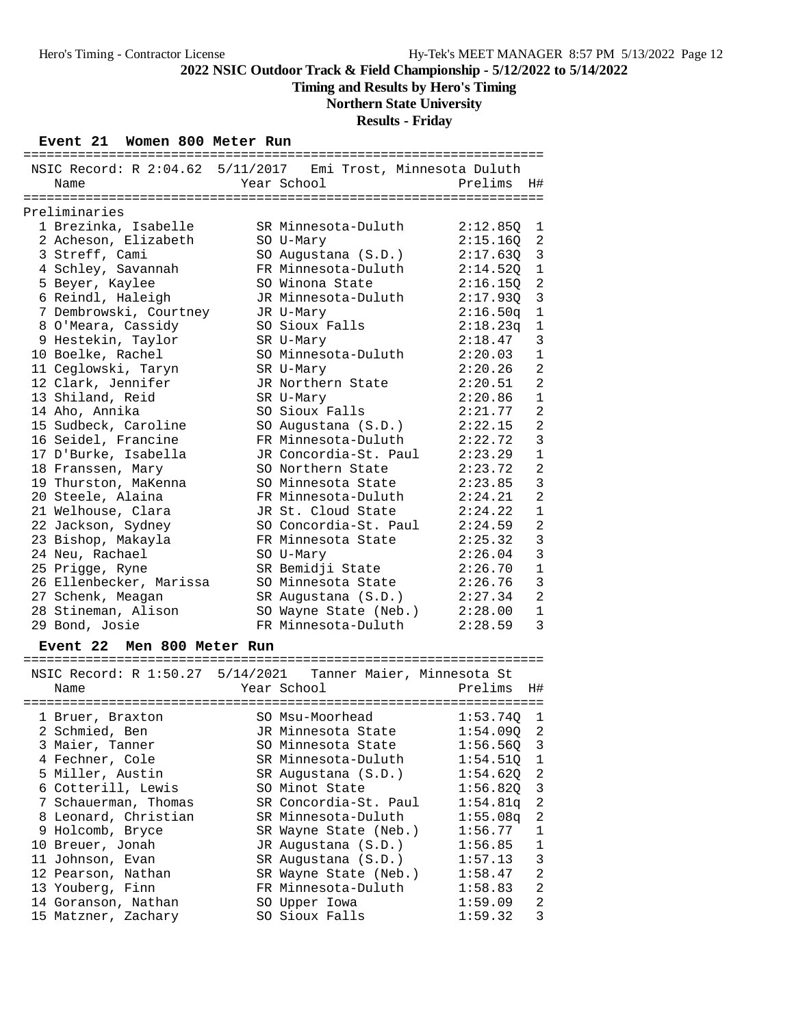# **Timing and Results by Hero's Timing**

# **Northern State University**

## **Results - Friday**

### **Event 21 Women 800 Meter Run**

| --------                                                     |                       | :====================== |          |                |
|--------------------------------------------------------------|-----------------------|-------------------------|----------|----------------|
| NSIC Record: R 2:04.62 5/11/2017 Emi Trost, Minnesota Duluth |                       |                         |          |                |
| Name                                                         | Year School           |                         | Prelims  | H#             |
|                                                              |                       |                         |          |                |
| Preliminaries                                                |                       |                         |          |                |
| 1 Brezinka, Isabelle                                         | SR Minnesota-Duluth   |                         | 2:12.850 | 1              |
| 2 Acheson, Elizabeth                                         | SO U-Mary             |                         | 2:15.16Q | 2              |
| 3 Streff, Cami                                               | SO Augustana (S.D.)   |                         | 2:17.63Q | $\mathbf{3}$   |
| 4 Schley, Savannah                                           | FR Minnesota-Duluth   |                         | 2:14.520 | $1\,$          |
| 5 Beyer, Kaylee                                              | SO Winona State       |                         | 2:16.15Q | $\overline{2}$ |
| 6 Reindl, Haleigh                                            | JR Minnesota-Duluth   |                         | 2:17.93Q | $\mathbf{3}$   |
| 7 Dembrowski, Courtney                                       | JR U-Mary             |                         | 2:16.50q | $\mathbf 1$    |
| 8 O'Meara, Cassidy                                           | SO Sioux Falls        |                         | 2:18.23q | $\mathbf{1}$   |
| 9 Hestekin, Taylor                                           | SR U-Mary             |                         | 2:18.47  | 3              |
| 10 Boelke, Rachel                                            | SO Minnesota-Duluth   |                         | 2:20.03  | $\mathbf{1}$   |
| 11 Ceglowski, Taryn                                          | SR U-Mary             |                         | 2:20.26  | $\overline{2}$ |
| 12 Clark, Jennifer                                           | JR Northern State     |                         | 2:20.51  | $\overline{a}$ |
| 13 Shiland, Reid                                             | SR U-Mary             |                         | 2:20.86  | $\mathbf{1}$   |
| 14 Aho, Annika                                               | SO Sioux Falls        |                         | 2:21.77  | $\overline{a}$ |
| 15 Sudbeck, Caroline                                         | SO Augustana (S.D.)   |                         | 2:22.15  | $\overline{2}$ |
| 16 Seidel, Francine                                          | FR Minnesota-Duluth   |                         | 2:22.72  | $\overline{3}$ |
| 17 D'Burke, Isabella                                         | JR Concordia-St. Paul |                         | 2:23.29  | $\mathbf 1$    |
| 18 Franssen, Mary                                            | SO Northern State     |                         | 2:23.72  | $\overline{a}$ |
| 19 Thurston, MaKenna                                         | SO Minnesota State    |                         | 2:23.85  | $\mathbf{3}$   |
| 20 Steele, Alaina                                            | FR Minnesota-Duluth   |                         | 2:24.21  | $\overline{a}$ |
| 21 Welhouse, Clara                                           | JR St. Cloud State    |                         | 2:24.22  | $\mathbf{1}$   |
| 22 Jackson, Sydney                                           | SO Concordia-St. Paul |                         | 2:24.59  | $\overline{a}$ |
| 23 Bishop, Makayla                                           | FR Minnesota State    |                         | 2:25.32  | $\mathbf{3}$   |
| 24 Neu, Rachael                                              | SO U-Mary             |                         | 2:26.04  | 3              |
| 25 Prigge, Ryne                                              | SR Bemidji State      |                         | 2:26.70  | $\mathbf{1}$   |
| 26 Ellenbecker, Marissa                                      | SO Minnesota State    |                         | 2:26.76  | $\overline{3}$ |
| 27 Schenk, Meagan                                            | SR Augustana (S.D.)   |                         | 2:27.34  | $\overline{2}$ |
| 28 Stineman, Alison                                          | SO Wayne State (Neb.) |                         | 2:28.00  | $\mathbf{1}$   |
| 29 Bond, Josie                                               | FR Minnesota-Duluth   |                         | 2:28.59  | $\overline{3}$ |

#### **Event 22 Men 800 Meter Run**

| NSIC Record: R 1:50.27 5/14/2021 Tanner Maier, Minnesota St |                       |              |                |
|-------------------------------------------------------------|-----------------------|--------------|----------------|
| Name                                                        | Year School           | Prelims      | H#             |
|                                                             |                       |              |                |
| 1 Bruer, Braxton                                            | SO Msu-Moorhead       | 1:53.740     | -1             |
| 2 Schmied, Ben                                              | JR Minnesota State    | $1:54.09Q$ 2 |                |
| 3 Maier, Tanner                                             | SO Minnesota State    | $1:56.56Q$ 3 |                |
| 4 Fechner, Cole                                             | SR Minnesota-Duluth   | 1:54.510     | 1              |
| 5 Miller, Austin                                            | SR Augustana (S.D.)   | 1:54.620     | 2              |
| 6 Cotterill, Lewis                                          | SO Minot State        | 1:56.820     | 3              |
| 7 Schauerman, Thomas                                        | SR Concordia-St. Paul | 1:54.81q     | 2              |
| 8 Leonard, Christian                                        | SR Minnesota-Duluth   | 1:55.08q     | 2              |
| 9 Holcomb, Bryce                                            | SR Wayne State (Neb.) | 1:56.77      | 1              |
| 10 Breuer, Jonah                                            | JR Augustana (S.D.)   | 1:56.85      | $\mathbf{1}$   |
| 11 Johnson, Evan                                            | SR Augustana (S.D.)   | 1:57.13      | 3              |
| 12 Pearson, Nathan                                          | SR Wayne State (Neb.) | 1:58.47      | $\mathfrak{D}$ |
| 13 Youberg, Finn                                            | FR Minnesota-Duluth   | 1:58.83      | $\mathfrak{D}$ |
| 14 Goranson, Nathan                                         | SO Upper Iowa         | 1:59.09      | $\overline{2}$ |
| 15 Matzner, Zachary                                         | SO Sioux Falls        | 1:59.32      | 3              |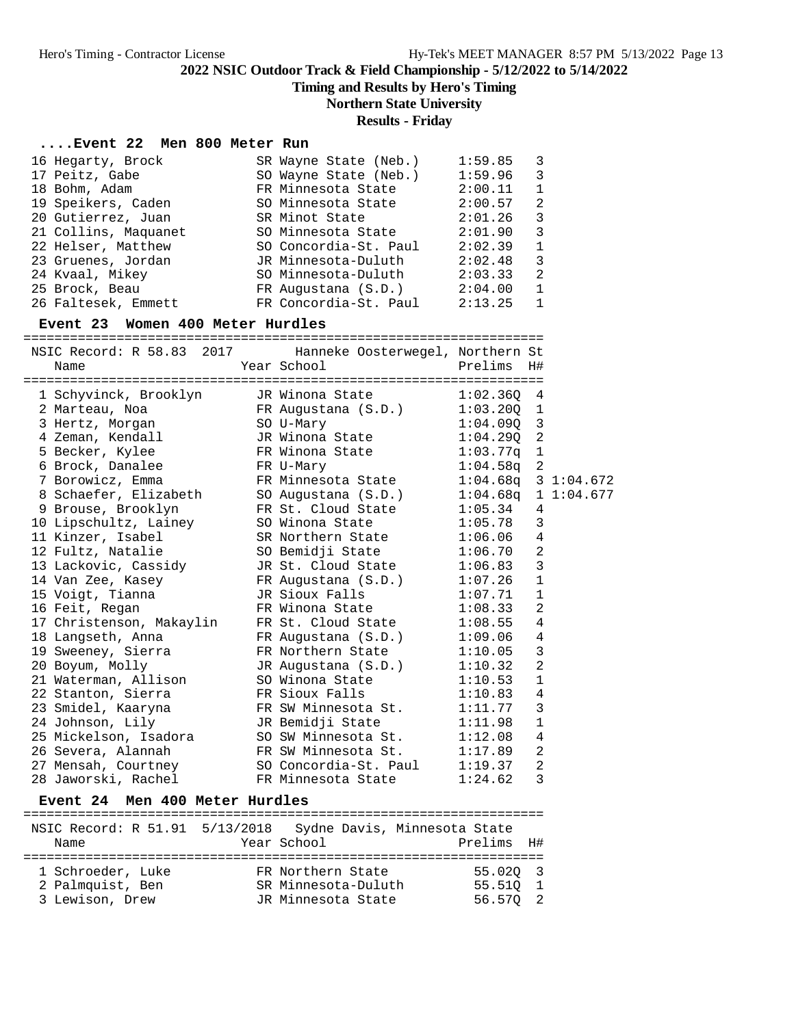**Timing and Results by Hero's Timing**

# **Northern State University**

### **Results - Friday**

## **....Event 22 Men 800 Meter Run**

| 16 Hegarty, Brock    | SR Wayne State (Neb.) | 1:59.85 | $\overline{\mathbf{3}}$ |
|----------------------|-----------------------|---------|-------------------------|
| 17 Peitz, Gabe       | SO Wayne State (Neb.) | 1:59.96 | - 3                     |
| 18 Bohm, Adam        | FR Minnesota State    | 2:00.11 | $\overline{1}$          |
| 19 Speikers, Caden   | SO Minnesota State    | 2:00.57 | $\overline{2}$          |
| 20 Gutierrez, Juan   | SR Minot State        | 2:01.26 | $\overline{3}$          |
| 21 Collins, Maquanet | SO Minnesota State    | 2:01.90 | -3                      |
| 22 Helser, Matthew   | SO Concordia-St. Paul | 2:02.39 | $\mathbf{1}$            |
| 23 Gruenes, Jordan   | JR Minnesota-Duluth   | 2:02.48 | 3                       |
| 24 Kvaal, Mikey      | SO Minnesota-Duluth   | 2:03.33 | $\overline{2}$          |
| 25 Brock, Beau       | FR Augustana (S.D.)   | 2:04.00 | -1                      |
| 26 Faltesek, Emmett  | FR Concordia-St. Paul | 2:13.25 | -1                      |

#### **Event 23 Women 400 Meter Hurdles**

|  | NSIC Record: R 58.83 2017 Hanneke Oosterwegel, Northern St                                                                                                                                                                     |  |                             |         |                |  |  |  |
|--|--------------------------------------------------------------------------------------------------------------------------------------------------------------------------------------------------------------------------------|--|-----------------------------|---------|----------------|--|--|--|
|  | Year School<br>Name                                                                                                                                                                                                            |  |                             | Prelims | H#             |  |  |  |
|  |                                                                                                                                                                                                                                |  |                             |         |                |  |  |  |
|  | 1 Schyvinck, Brooklyn JR Winona State 1:02.360                                                                                                                                                                                 |  |                             |         | 4              |  |  |  |
|  |                                                                                                                                                                                                                                |  |                             |         |                |  |  |  |
|  | 2 Marteau, Noa (R. P. P. 1:03.200)<br>2 Marteau, Noa (R. P. P. 1:03.200)<br>3 Hertz, Morgan (S. D. SO U-Mary 1:04.090)<br>4 Zeman, Kendall (R. P. P. Ninona State 1:04.290)                                                    |  |                             |         |                |  |  |  |
|  |                                                                                                                                                                                                                                |  |                             |         |                |  |  |  |
|  |                                                                                                                                                                                                                                |  |                             |         |                |  |  |  |
|  | 5 Becker, Kylee               FR Winona State             1:03.77q  1<br>6 Brock, Danalee             FR U-Mary               1:04.58q  2                                                                                      |  |                             |         |                |  |  |  |
|  | 7 Borowicz, Emma TR Minnesota State 1:04.68q 3 1:04.672                                                                                                                                                                        |  |                             |         |                |  |  |  |
|  | 8 Schaefer, Elizabeth SO Augustana (S.D.) 1:04.68q 1 1:04.677                                                                                                                                                                  |  |                             |         |                |  |  |  |
|  | 9 Brouse, Brooklyn                                                                                                                                                                                                             |  | FR St. Cloud State 1:05.34  |         | 4              |  |  |  |
|  |                                                                                                                                                                                                                                |  |                             |         | 3              |  |  |  |
|  | 10 Lipschultz, Lainey 50 Winona State 1:05.78<br>11 Kinzer, Isabel 58 Northern State 1:06.06                                                                                                                                   |  |                             |         | $\overline{4}$ |  |  |  |
|  | 12 Fultz, Natalie                                                                                                                                                                                                              |  | SO Bemidji State 1:06.70    |         | $\overline{2}$ |  |  |  |
|  |                                                                                                                                                                                                                                |  |                             |         | 3              |  |  |  |
|  | 13 Lackovic, Cassidy JR St. Cloud State 1:06.83<br>14 Van Zee, Kasey FR Augustana (S.D.) 1:07.26                                                                                                                               |  |                             |         | $\mathbf{1}$   |  |  |  |
|  | 15 Voigt, Tianna                        JR Sioux Falls                        1:07.71                                                                                                                                          |  |                             |         | $\mathbf{1}$   |  |  |  |
|  |                                                                                                                                                                                                                                |  |                             |         | 2              |  |  |  |
|  | 16 Feit, Regan FR Winona State 1:08.33<br>17 Christenson, Makaylin FR St. Cloud State 1:08.55                                                                                                                                  |  |                             |         | $\overline{4}$ |  |  |  |
|  | 18 Langseth, Anna                                                                                                                                                                                                              |  | FR Augustana (S.D.) 1:09.06 |         | $\overline{4}$ |  |  |  |
|  | 19 Sweeney, Sierra           FR Northern State         1:10.05<br>20 Boyum, Molly             JR Augustana (S.D.)       1:10.32                                                                                                |  |                             |         | 3              |  |  |  |
|  |                                                                                                                                                                                                                                |  |                             |         | $\overline{2}$ |  |  |  |
|  | 21 Waterman, Allison SO Winona State 1:10.53                                                                                                                                                                                   |  |                             |         | $\mathbf{1}$   |  |  |  |
|  | 22 Stanton, Sierra           FR Sioux Falls           1:10.83                                                                                                                                                                  |  |                             |         | 4              |  |  |  |
|  | 23 Smidel, Kaaryna KR SW Minnesota St. 1:11.77                                                                                                                                                                                 |  |                             |         | $\overline{3}$ |  |  |  |
|  | 24 Johnson, Lily Communication Communication Communication Communication Communication Communication Communication Communication Communication Communication Communication Communication Communication Communication Communica |  |                             |         | $\mathbf{1}$   |  |  |  |
|  | 25 Mickelson, Isadora SO SW Minnesota St. 1:12.08                                                                                                                                                                              |  |                             |         | 4              |  |  |  |
|  | 26 Severa, Alannah                                                                                                                                                                                                             |  | FR SW Minnesota St. 1:17.89 |         | $\overline{2}$ |  |  |  |
|  | 27 Mensah, Courtney 50 Concordia-St. Paul 1:19.37                                                                                                                                                                              |  |                             |         | $\overline{a}$ |  |  |  |
|  | 28 Jaworski, Rachel                                                                                                                                                                                                            |  | FR Minnesota State          | 1:24.62 | 3              |  |  |  |

### **Event 24 Men 400 Meter Hurdles**

| NSIC Record: R 51.91 5/13/2018 |                     | Sydne Davis, Minnesota State |                |
|--------------------------------|---------------------|------------------------------|----------------|
| Name                           | Year School         | Prelims H#                   |                |
|                                |                     |                              |                |
| 1 Schroeder, Luke              | FR Northern State   | 55.020 3                     |                |
| 2 Palmquist, Ben               | SR Minnesota-Duluth | 55.510                       | $\overline{1}$ |
| 3 Lewison, Drew                | JR Minnesota State  | 56.570 2                     |                |
|                                |                     |                              |                |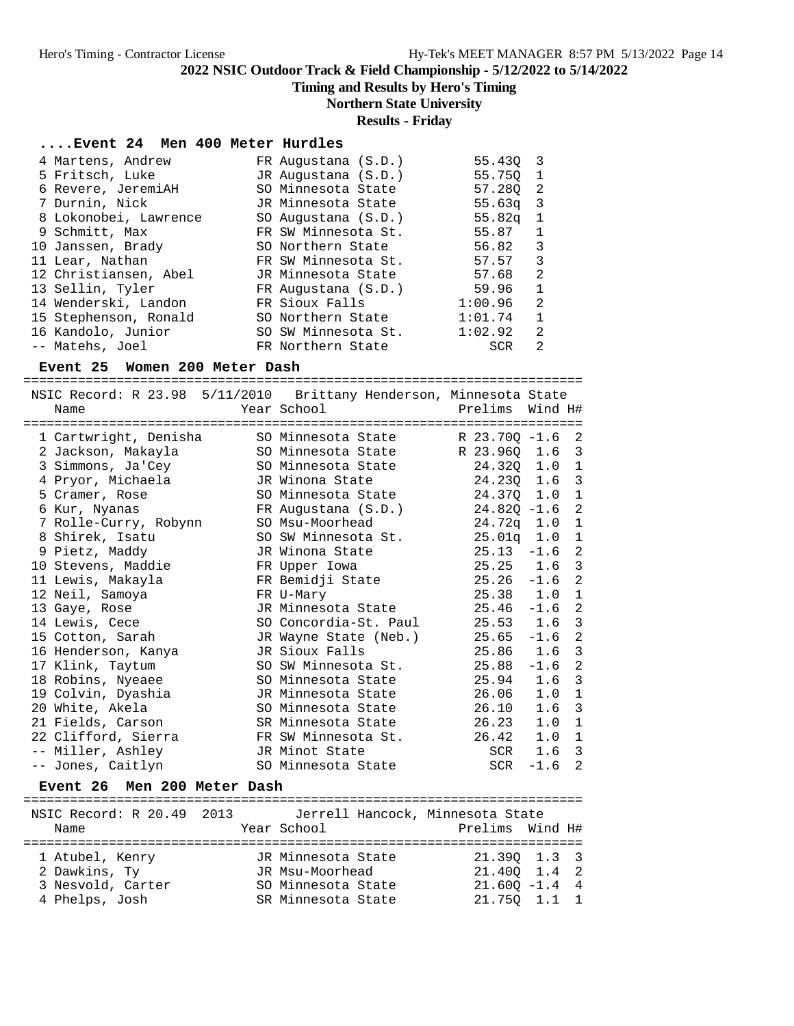**Timing and Results by Hero's Timing**

# **Northern State University**

## **Results - Friday**

## **....Event 24 Men 400 Meter Hurdles**

| 4 Martens, Andrew     | FR Augustana (S.D.) | 55.430             | $\overline{\mathbf{3}}$ |
|-----------------------|---------------------|--------------------|-------------------------|
| 5 Fritsch, Luke       | JR Augustana (S.D.) | 55.750 1           |                         |
| 6 Revere, JeremiAH    | SO Minnesota State  | 57.280             | -2                      |
| 7 Durnin, Nick        | JR Minnesota State  | 55.63 <sub>q</sub> | - 3                     |
| 8 Lokonobei, Lawrence | SO Augustana (S.D.) | 55.82 <sub>q</sub> | $\mathbf{1}$            |
| 9 Schmitt, Max        | FR SW Minnesota St. | 55.87              | 1                       |
| 10 Janssen, Brady     | SO Northern State   | 56.82              | 3                       |
| 11 Lear, Nathan       | FR SW Minnesota St. | 57.57              | 3                       |
| 12 Christiansen, Abel | JR Minnesota State  | 57.68              | 2                       |
| 13 Sellin, Tyler      | FR Augustana (S.D.) | 59.96              | $\mathbf{1}$            |
| 14 Wenderski, Landon  | FR Sioux Falls      | 1:00.96            | -2                      |
| 15 Stephenson, Ronald | SO Northern State   | 1:01.74            | $\mathbf{1}$            |
| 16 Kandolo, Junior    | SO SW Minnesota St. | 1:02.92            | 2                       |
| -- Matehs, Joel       | FR Northern State   | <b>SCR</b>         | 2                       |

#### **Event 25 Women 200 Meter Dash**

========================================================================

| Name |                                                                                                                                                                                                                                                                                                                                                                                                                                                          |                                                |                                                                                                                                                                                                                                                                                                                                                                                                                                                                                                                                      | Wind H# |                                                                                                                                                                                                                                                                                                                                                              |
|------|----------------------------------------------------------------------------------------------------------------------------------------------------------------------------------------------------------------------------------------------------------------------------------------------------------------------------------------------------------------------------------------------------------------------------------------------------------|------------------------------------------------|--------------------------------------------------------------------------------------------------------------------------------------------------------------------------------------------------------------------------------------------------------------------------------------------------------------------------------------------------------------------------------------------------------------------------------------------------------------------------------------------------------------------------------------|---------|--------------------------------------------------------------------------------------------------------------------------------------------------------------------------------------------------------------------------------------------------------------------------------------------------------------------------------------------------------------|
|      |                                                                                                                                                                                                                                                                                                                                                                                                                                                          |                                                |                                                                                                                                                                                                                                                                                                                                                                                                                                                                                                                                      |         |                                                                                                                                                                                                                                                                                                                                                              |
|      |                                                                                                                                                                                                                                                                                                                                                                                                                                                          |                                                |                                                                                                                                                                                                                                                                                                                                                                                                                                                                                                                                      |         |                                                                                                                                                                                                                                                                                                                                                              |
|      |                                                                                                                                                                                                                                                                                                                                                                                                                                                          |                                                |                                                                                                                                                                                                                                                                                                                                                                                                                                                                                                                                      |         | 3                                                                                                                                                                                                                                                                                                                                                            |
|      |                                                                                                                                                                                                                                                                                                                                                                                                                                                          |                                                |                                                                                                                                                                                                                                                                                                                                                                                                                                                                                                                                      |         | 1                                                                                                                                                                                                                                                                                                                                                            |
|      |                                                                                                                                                                                                                                                                                                                                                                                                                                                          |                                                |                                                                                                                                                                                                                                                                                                                                                                                                                                                                                                                                      |         | $\mathbf{3}$                                                                                                                                                                                                                                                                                                                                                 |
|      |                                                                                                                                                                                                                                                                                                                                                                                                                                                          |                                                |                                                                                                                                                                                                                                                                                                                                                                                                                                                                                                                                      |         | $\mathbf{1}$                                                                                                                                                                                                                                                                                                                                                 |
|      |                                                                                                                                                                                                                                                                                                                                                                                                                                                          |                                                |                                                                                                                                                                                                                                                                                                                                                                                                                                                                                                                                      |         | $\overline{c}$                                                                                                                                                                                                                                                                                                                                               |
|      |                                                                                                                                                                                                                                                                                                                                                                                                                                                          |                                                |                                                                                                                                                                                                                                                                                                                                                                                                                                                                                                                                      |         | $\mathbf{1}$                                                                                                                                                                                                                                                                                                                                                 |
|      |                                                                                                                                                                                                                                                                                                                                                                                                                                                          |                                                |                                                                                                                                                                                                                                                                                                                                                                                                                                                                                                                                      |         | $\mathbf{1}$                                                                                                                                                                                                                                                                                                                                                 |
|      |                                                                                                                                                                                                                                                                                                                                                                                                                                                          |                                                |                                                                                                                                                                                                                                                                                                                                                                                                                                                                                                                                      |         | 2                                                                                                                                                                                                                                                                                                                                                            |
|      |                                                                                                                                                                                                                                                                                                                                                                                                                                                          |                                                |                                                                                                                                                                                                                                                                                                                                                                                                                                                                                                                                      |         | $\mathbf{3}$                                                                                                                                                                                                                                                                                                                                                 |
|      |                                                                                                                                                                                                                                                                                                                                                                                                                                                          |                                                |                                                                                                                                                                                                                                                                                                                                                                                                                                                                                                                                      |         | 2                                                                                                                                                                                                                                                                                                                                                            |
|      |                                                                                                                                                                                                                                                                                                                                                                                                                                                          |                                                |                                                                                                                                                                                                                                                                                                                                                                                                                                                                                                                                      | 1.0     | $\mathbf{1}$                                                                                                                                                                                                                                                                                                                                                 |
|      |                                                                                                                                                                                                                                                                                                                                                                                                                                                          |                                                |                                                                                                                                                                                                                                                                                                                                                                                                                                                                                                                                      | $-1.6$  | 2                                                                                                                                                                                                                                                                                                                                                            |
|      |                                                                                                                                                                                                                                                                                                                                                                                                                                                          |                                                |                                                                                                                                                                                                                                                                                                                                                                                                                                                                                                                                      |         | $\overline{3}$                                                                                                                                                                                                                                                                                                                                               |
|      |                                                                                                                                                                                                                                                                                                                                                                                                                                                          |                                                |                                                                                                                                                                                                                                                                                                                                                                                                                                                                                                                                      | $-1.6$  | $\overline{a}$                                                                                                                                                                                                                                                                                                                                               |
|      |                                                                                                                                                                                                                                                                                                                                                                                                                                                          |                                                | 25.86                                                                                                                                                                                                                                                                                                                                                                                                                                                                                                                                | 1.6     | $\overline{3}$                                                                                                                                                                                                                                                                                                                                               |
|      |                                                                                                                                                                                                                                                                                                                                                                                                                                                          |                                                | 25.88                                                                                                                                                                                                                                                                                                                                                                                                                                                                                                                                | $-1.6$  | $\overline{a}$                                                                                                                                                                                                                                                                                                                                               |
|      |                                                                                                                                                                                                                                                                                                                                                                                                                                                          |                                                |                                                                                                                                                                                                                                                                                                                                                                                                                                                                                                                                      |         | $\overline{3}$                                                                                                                                                                                                                                                                                                                                               |
|      |                                                                                                                                                                                                                                                                                                                                                                                                                                                          |                                                |                                                                                                                                                                                                                                                                                                                                                                                                                                                                                                                                      | 1.0     | $\mathbf{1}$                                                                                                                                                                                                                                                                                                                                                 |
|      |                                                                                                                                                                                                                                                                                                                                                                                                                                                          |                                                |                                                                                                                                                                                                                                                                                                                                                                                                                                                                                                                                      | 1.6     | 3                                                                                                                                                                                                                                                                                                                                                            |
|      |                                                                                                                                                                                                                                                                                                                                                                                                                                                          |                                                |                                                                                                                                                                                                                                                                                                                                                                                                                                                                                                                                      | 1.0     | 1                                                                                                                                                                                                                                                                                                                                                            |
|      |                                                                                                                                                                                                                                                                                                                                                                                                                                                          |                                                |                                                                                                                                                                                                                                                                                                                                                                                                                                                                                                                                      |         | $\mathbf{1}$                                                                                                                                                                                                                                                                                                                                                 |
|      |                                                                                                                                                                                                                                                                                                                                                                                                                                                          |                                                |                                                                                                                                                                                                                                                                                                                                                                                                                                                                                                                                      | 1.6     | $\overline{3}$                                                                                                                                                                                                                                                                                                                                               |
|      |                                                                                                                                                                                                                                                                                                                                                                                                                                                          |                                                | SCR                                                                                                                                                                                                                                                                                                                                                                                                                                                                                                                                  | $-1.6$  | $\overline{2}$                                                                                                                                                                                                                                                                                                                                               |
|      | 2 Jackson, Makayla<br>3 Simmons, Ja'Cey<br>4 Pryor, Michaela<br>5 Cramer, Rose<br>6 Kur, Nyanas<br>8 Shirek, Isatu<br>9 Pietz, Maddy<br>10 Stevens, Maddie<br>11 Lewis, Makayla<br>12 Neil, Samoya<br>13 Gaye, Rose<br>14 Lewis, Cece<br>15 Cotton, Sarah<br>16 Henderson, Kanya<br>17 Klink, Taytum<br>18 Robins, Nyeaee<br>19 Colvin, Dyashia<br>20 White, Akela<br>21 Fields, Carson<br>22 Clifford, Sierra<br>-- Miller, Ashley<br>-- Jones, Caitlyn | 1 Cartwright, Denisha<br>7 Rolle-Curry, Robynn | Year School<br>SO Minnesota State<br>SO Minnesota State<br>SO Minnesota State<br>JR Winona State<br>SO Minnesota State<br>FR Augustana (S.D.)<br>SO Msu-Moorhead<br>SO SW Minnesota St.<br>JR Winona State<br>FR Upper Iowa<br>FR Bemidji State<br>FR U-Mary<br>JR Minnesota State<br>SO Concordia-St. Paul<br>JR Wayne State (Neb.)<br>JR Sioux Falls<br>SO SW Minnesota St.<br>SO Minnesota State<br>JR Minnesota State<br>SO Minnesota State<br>SR Minnesota State<br>FR SW Minnesota St.<br>JR Minot State<br>SO Minnesota State | 26.10   | NSIC Record: R 23.98 5/11/2010 Brittany Henderson, Minnesota State<br>Prelims<br>R 23.70Q -1.6 2<br>R 23.960 1.6<br>24.32Q 1.0<br>24.23Q 1.6<br>24.370 1.0<br>$24.820 - 1.6$<br>24.72q 1.0<br>$25.01q$ 1.0<br>$25.13 -1.6$<br>$25.25$ 1.6<br>$25.26 -1.6$<br>25.38<br>25.46<br>$25.53$ 1.6<br>25.65<br>$25.94$ 1.6<br>26.06<br>26.23<br>$26.42 \t1.0$<br>SCR |

#### **Event 26 Men 200 Meter Dash**

| NSIC Record: R 20.49 2013 | Jerrell Hancock, Minnesota State |                  |  |
|---------------------------|----------------------------------|------------------|--|
| Name                      | Year School                      | Prelims Wind H#  |  |
|                           |                                  |                  |  |
| 1 Atubel, Kenry           | JR Minnesota State               | 21.390 1.3 3     |  |
| 2 Dawkins, Ty             | JR Msu-Moorhead                  | 21.400 1.4 2     |  |
| 3 Nesvold, Carter         | SO Minnesota State               | $21.600 - 1.4$ 4 |  |
| 4 Phelps, Josh            | SR Minnesota State               | 21.750 1.1 1     |  |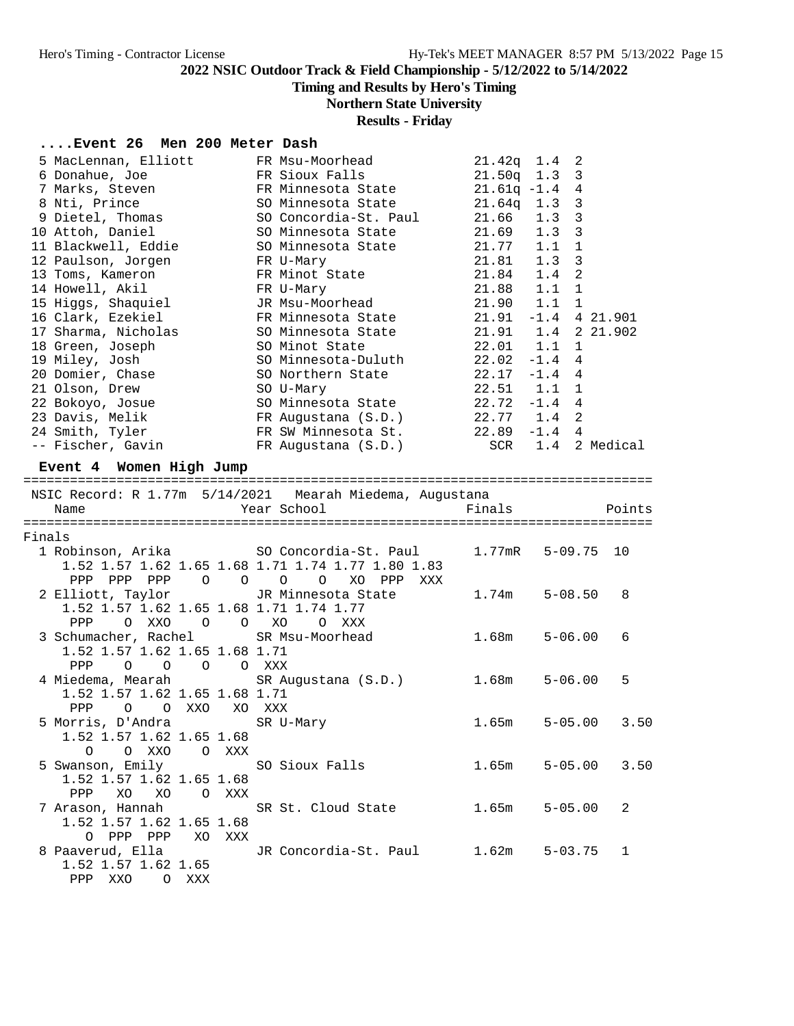# **Timing and Results by Hero's Timing**

# **Northern State University**

# **Results - Friday**

## **....Event 26 Men 200 Meter Dash**

|        | 5 MacLennan, Elliott                    | FR Msu-Moorhead                                          | $21.42q$ 1.4  | 2                     |          |
|--------|-----------------------------------------|----------------------------------------------------------|---------------|-----------------------|----------|
|        | 6 Donahue, Joe                          | FR Sioux Falls                                           | $21.50q$ 1.3  | 3                     |          |
|        | 7 Marks, Steven                         | FR Minnesota State                                       | $21.61q -1.4$ | 4                     |          |
|        | 8 Nti, Prince                           | SO Minnesota State                                       | $21.64q$ 1.3  | 3                     |          |
|        | 9 Dietel, Thomas                        | SO Concordia-St. Paul                                    | 21.66         | $\mathbf{3}$<br>1.3   |          |
|        | 10 Attoh, Daniel                        | SO Minnesota State                                       | 21.69         | 3<br>1.3              |          |
|        | 11 Blackwell, Eddie                     | SO Minnesota State                                       | 21.77         | $\mathbf{1}$<br>1.1   |          |
|        | 12 Paulson, Jorgen                      | FR U-Mary                                                | 21.81         | 3<br>1.3              |          |
|        | 13 Toms, Kameron                        | FR Minot State                                           | 21.84         | $\overline{2}$<br>1.4 |          |
|        | 14 Howell, Akil                         | FR U-Mary                                                | 21.88         | 1.1<br>$\mathbf{1}$   |          |
|        | 15 Higgs, Shaquiel                      | JR Msu-Moorhead                                          | 21.90         | 1.1<br>$\mathbf{1}$   |          |
|        | 16 Clark, Ezekiel                       | FR Minnesota State                                       | 21.91         | $-1.4$ 4 21.901       |          |
|        | 17 Sharma, Nicholas                     | SO Minnesota State                                       | $21.91$ $1.4$ |                       | 2 21.902 |
|        | 18 Green, Joseph                        | SO Minot State                                           | $22.01$ $1.1$ | 1                     |          |
|        | 19 Miley, Josh                          | SO Minnesota-Duluth                                      | 22.02         | $-1.4$<br>4           |          |
|        | 20 Domier, Chase                        | SO Northern State                                        | 22.17         | $-1.4$<br>4           |          |
|        | 21 Olson, Drew                          | SO U-Mary                                                | 22.51         | 1.1<br>1              |          |
|        | 22 Bokoyo, Josue                        | SO Minnesota State                                       | $22.72 - 1.4$ | $\overline{4}$        |          |
|        | 23 Davis, Melik                         | FR Augustana (S.D.)                                      | 22.77 1.4     | $\overline{a}$        |          |
|        | 24 Smith, Tyler                         | FR SW Minnesota St.                                      |               | $22.89 - 1.4 4$       |          |
|        | -- Fischer, Gavin                       | FR Augustana (S.D.)                                      |               | SCR 1.4 2 Medical     |          |
|        |                                         |                                                          |               |                       |          |
|        | Event 4 Women High Jump                 |                                                          |               |                       |          |
|        |                                         | NSIC Record: R 1.77m 5/14/2021 Mearah Miedema, Augustana |               |                       |          |
|        | Name                                    | Year School                                              | Finals        |                       | Points   |
|        |                                         |                                                          |               |                       |          |
| Finals |                                         |                                                          |               |                       |          |
|        | 1 Robinson, Arika                       | SO Concordia-St. Paul                                    | 1.77mR        | $5 - 09.75$           | 10       |
|        |                                         | 1.52 1.57 1.62 1.65 1.68 1.71 1.74 1.77 1.80 1.83        |               |                       |          |
|        | PPP PPP PPP<br>$\circ$                  | $\circ$ $\circ$<br>$\circ$<br>XO PPP<br>XXX              |               |                       |          |
|        | 2 Elliott, Taylor                       | JR Minnesota State                                       | 1.74m         | $5 - 08.50$           | 8        |
|        | 1.52 1.57 1.62 1.65 1.68 1.71 1.74 1.77 |                                                          |               |                       |          |
|        | PPP<br>O XXO<br>$\circ$<br>$\circ$      | XO<br>$\circ$<br>XXX                                     |               |                       |          |
|        | 3 Schumacher, Rachel                    | SR Msu-Moorhead                                          | 1.68m         | $5 - 06.00$           | 6        |
|        | 1.52 1.57 1.62 1.65 1.68 1.71           |                                                          |               |                       |          |
|        | PPP<br>$\circ$<br>$\circ$<br>$\circ$    | O XXX                                                    |               |                       |          |
|        | 4 Miedema, Mearah                       | SR Augustana (S.D.)                                      | 1.68m         | $5 - 06.00$           | 5        |
|        | 1.52 1.57 1.62 1.65 1.68 1.71           |                                                          |               |                       |          |
|        | PPP<br>O XXO<br>$\circ$                 | XO XXX                                                   |               |                       |          |
|        | 5 Morris, D'Andra                       | SR U-Mary                                                | 1.65m         | $5 - 05.00$           | 3.50     |
|        | 1.52 1.57 1.62 1.65 1.68                |                                                          |               |                       |          |
|        | O O XXO O XXX                           |                                                          |               |                       |          |
|        | 5 Swanson, Emily                        |                                                          |               |                       |          |
|        |                                         | SO Sioux Falls                                           | 1.65m         | $5 - 05.00$ 3.50      |          |
|        | 1.52 1.57 1.62 1.65 1.68                |                                                          |               |                       |          |
|        | XO XO O XXX<br>PPP                      |                                                          |               |                       |          |
|        |                                         |                                                          |               | $5 - 05.00$           | 2        |
|        | 7 Arason, Hannah                        | SR St. Cloud State                                       | 1.65m         |                       |          |
|        | 1.52 1.57 1.62 1.65 1.68                |                                                          |               |                       |          |
|        | O PPP PPP XO XXX                        |                                                          |               |                       |          |
|        | 8 Paaverud, Ella                        | JR Concordia-St. Paul                                    | 1.62m         | $5 - 03.75$           | 1        |
|        | 1.52 1.57 1.62 1.65<br>PPP XXO<br>O XXX |                                                          |               |                       |          |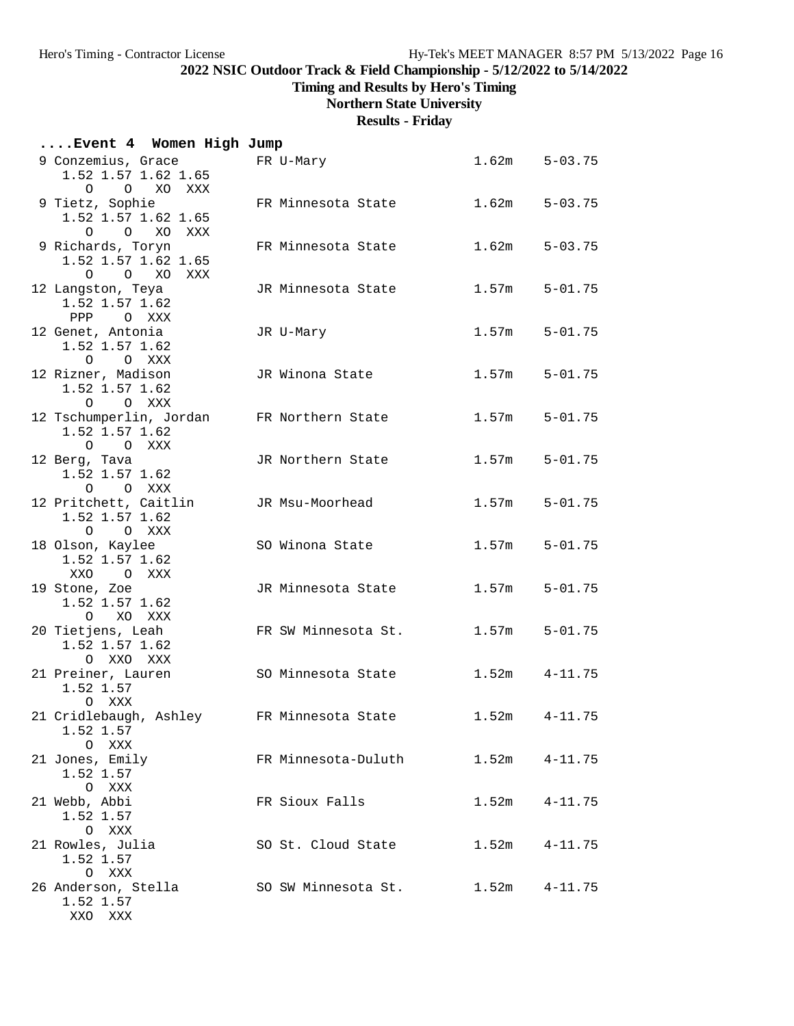**Timing and Results by Hero's Timing**

**Northern State University**

**Results - Friday**

| Event 4 Women High Jump                                                |                     |       |                   |
|------------------------------------------------------------------------|---------------------|-------|-------------------|
| 9 Conzemius, Grace<br>1.52 1.57 1.62 1.65<br>O O XO XXX                | FR U-Mary           |       | $1.62m$ $5-03.75$ |
| 9 Tietz, Sophie<br>1.52 1.57 1.62 1.65<br>$\circ$<br>XO XXX<br>$\circ$ | FR Minnesota State  | 1.62m | $5 - 03.75$       |
| 9 Richards, Toryn<br>1.52 1.57 1.62 1.65<br>O O XO XXX                 | FR Minnesota State  | 1.62m | $5 - 03.75$       |
| 12 Langston, Teya<br>1.52 1.57 1.62<br>PPP OXXX                        | JR Minnesota State  | 1.57m | $5 - 01.75$       |
| 12 Genet, Antonia<br>1.52 1.57 1.62<br>O O XXX                         | JR U-Mary           | 1.57m | $5 - 01.75$       |
| 12 Rizner, Madison<br>1.52 1.57 1.62<br>O XXX<br>$\circ$               | JR Winona State     | 1.57m | $5 - 01.75$       |
| 12 Tschumperlin, Jordan<br>1.52 1.57 1.62<br>$O$ $O$ $XXX$             | FR Northern State   | 1.57m | $5 - 01.75$       |
| 12 Berg, Tava<br>1.52 1.57 1.62<br>O O XXX                             | JR Northern State   | 1.57m | $5 - 01.75$       |
| 12 Pritchett, Caitlin<br>1.52 1.57 1.62<br>O O XXX                     | JR Msu-Moorhead     | 1.57m | $5 - 01.75$       |
| 18 Olson, Kaylee<br>1.52 1.57 1.62<br>XXO<br>O XXX                     | SO Winona State     | 1.57m | $5 - 01.75$       |
| 19 Stone, Zoe<br>1.52 1.57 1.62<br>$\circ$<br>XO XXX                   | JR Minnesota State  | 1.57m | $5 - 01.75$       |
| 20 Tietjens, Leah<br>1.52 1.57 1.62<br>O XXO XXX                       | FR SW Minnesota St. | 1.57m | $5 - 01.75$       |
| 21 Preiner, Lauren<br>1.52 1.57<br>O XXX                               | SO Minnesota State  | 1.52m | $4 - 11.75$       |
| 21 Cridlebaugh, Ashley<br>1.52 1.57<br>O XXX                           | FR Minnesota State  |       | $1.52m$ $4-11.75$ |
| 21 Jones, Emily<br>1.52 1.57<br>O XXX                                  | FR Minnesota-Duluth |       | $1.52m$ $4-11.75$ |
| 21 Webb, Abbi<br>1.52 1.57<br>O XXX                                    | FR Sioux Falls      | 1.52m | $4 - 11.75$       |
| 21 Rowles, Julia<br>1.52 1.57<br>O XXX                                 | SO St. Cloud State  | 1.52m | $4 - 11.75$       |
| 26 Anderson, Stella<br>1.52 1.57<br>XXO XXX                            | SO SW Minnesota St. | 1.52m | $4 - 11.75$       |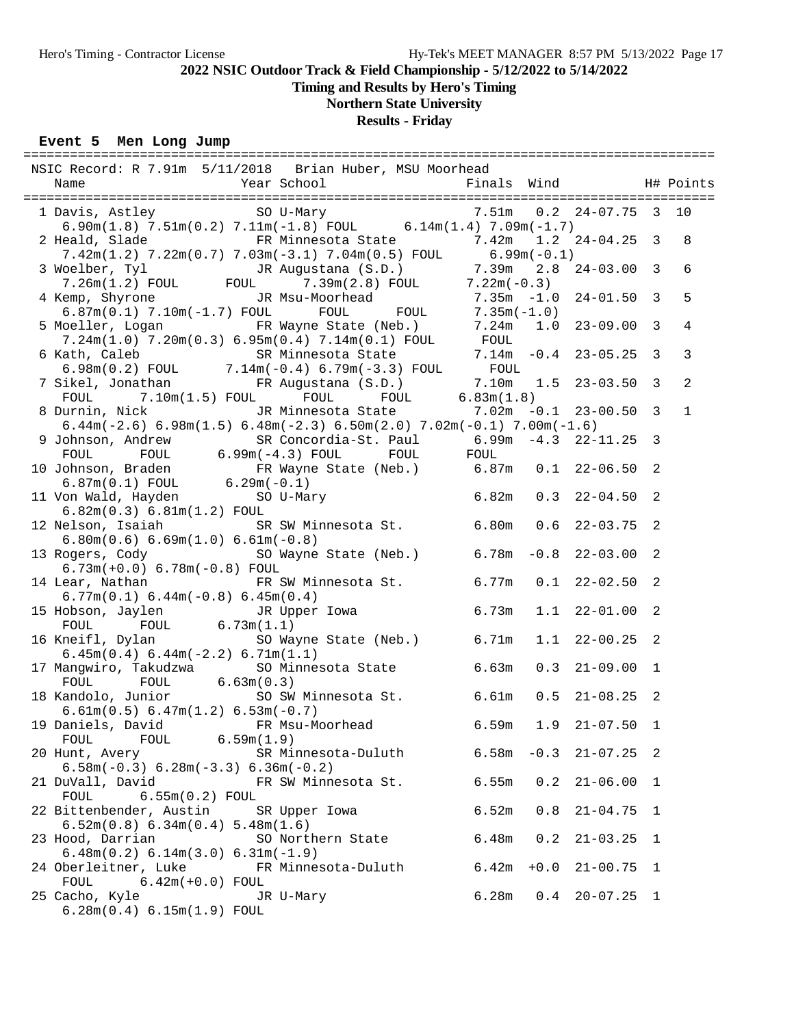# **Timing and Results by Hero's Timing**

# **Northern State University**

## **Results - Friday**

## **Event 5 Men Long Jump**

| NSIC Record: R 7.91m 5/11/2018 Brian Huber, MSU Moorhead                                                                                                                                                                                |       |        |                          |     |                |
|-----------------------------------------------------------------------------------------------------------------------------------------------------------------------------------------------------------------------------------------|-------|--------|--------------------------|-----|----------------|
|                                                                                                                                                                                                                                         |       |        |                          |     |                |
| 1 Davis, Astley 50 U-Mary 7.51m 0.2 24-07.75 3 10<br>6.90m(1.8) 7.51m(0.2) 7.11m(-1.8) FOUL 6.14m(1.4) 7.09m(-1.7)                                                                                                                      |       |        |                          |     |                |
| 2 Heald, Slade 6 FR Minnesota State 7.42m 1.2 24-04.25 3<br>$7.42m(1.2)$ $7.22m(0.7)$ $7.03m(-3.1)$ $7.04m(0.5)$ FOUL 6.99m(-0.1)                                                                                                       |       |        |                          |     | 8              |
| 3 Woelber, Tyl 51 JR Augustana (S.D.) 7.39m 2.8 24-03.00 3<br>7.26m(1.2) FOUL FOUL 7.39m(2.8) FOUL 7.22m(-0.3)                                                                                                                          |       |        |                          |     | 6              |
|                                                                                                                                                                                                                                         |       |        |                          |     | 5              |
| 4 Kemp, Shyrone JR Msu-Moorhead 7.35m -1.0 24-01.50 3<br>6.87m(0.1) 7.10m(-1.7) FOUL FOUL FOUL 7.35m -1.0 24-01.50 3<br>5 Moeller, Logan FR Wayne State (Neb.) 7.24m 1.0 23-09.00 3<br>7.24m(1.0) 7.20m(0.3) 6.95m(0.4) 7.14m(0.1) FOUL |       |        |                          |     | $\overline{4}$ |
| 6 Kath, Caleb SR Minnesota State 7.14m -0.4 23-05.25 3<br>6.98m(0.2) FOUL 7.14m(-0.4) 6.79m(-3.3) FOUL FOUL<br>7 Sikel, Jonathan FR Augustana (S.D.) 7.10m 1.5 23-03.50 3<br>FOUL 7.10m(1.5) FOUL FOUL FOUL 6.83m(1.8)                  |       |        |                          |     | $\mathbf{3}$   |
|                                                                                                                                                                                                                                         |       |        |                          |     | $\overline{2}$ |
| 8 Durnin, Nick JR Minnesota State 7.02m -0.1 23-00.50 3<br>6.44m(-2.6) 6.98m(1.5) 6.48m(-2.3) 6.50m(2.0) 7.02m(-0.1) 7.00m(-1.6)                                                                                                        |       |        |                          |     | $\mathbf{1}$   |
| 9 Johnson, Andrew SR Concordia-St. Paul 6.99m -4.3 22-11.25 3<br>FOUL FOUL 6.99m(-4.3) FOUL FOUL FOUL                                                                                                                                   |       |        |                          |     |                |
|                                                                                                                                                                                                                                         |       |        |                          |     |                |
| 10 Johnson, Braden<br>6.87m(0.1) FOUL 6.29m(-0.1)<br>11 Von Wald, Hayden<br>5.82m(0.3) 6.81m(1.2) FOUL<br>5.82m(0.3) 6.81m(1.2) FOUL<br>6.82m(0.3) 6.81m(1.2) F0UL                                                                      |       |        |                          |     |                |
| 12 Nelson, Isaiah SR SW Minnesota St. 6.80m 0.6 22-03.75 2                                                                                                                                                                              |       |        |                          |     |                |
| $6.80m(0.6) 6.69m(1.0) 6.61m(-0.8)$<br>13 Rogers, Cody 6.78m -0.8 22-03.00 2                                                                                                                                                            |       |        |                          |     |                |
| $6.73m(+0.0) 6.78m(-0.8)$ FOUL<br>14 Lear, Nathan TR SW Minnesota St. 6.77m 0.1 22-02.50 2                                                                                                                                              |       |        |                          |     |                |
| $6.77m(0.1) 6.44m(-0.8) 6.45m(0.4)$<br>15 Hobson, Jaylen JR Upper Iowa 6.73m                                                                                                                                                            |       |        | $1.1$ $22-01.00$ 2       |     |                |
| FOUL FOUL $6.73\text{m}(1.1)$<br>16 Kneifl, Dylan SO Wayne State (Neb.) 6.71m                                                                                                                                                           |       | 1.1    | $22 - 00.25$ 2           |     |                |
| $6.45m(0.4) 6.44m(-2.2) 6.71m(1.1)$<br>17 Mangwiro, Takudzwa SO Minnesota State 6.63m                                                                                                                                                   |       | 0.3    | $21 - 09.00$ 1           |     |                |
| FOUL $6.63m(0.3)$<br>FOUL<br>18 Kandolo, Junior 50 SW Minnesota St. 6.61m                                                                                                                                                               |       |        | $0.5$ 21-08.25 2         |     |                |
| $6.61m(0.5) 6.47m(1.2) 6.53m(-0.7)$<br>19 Daniels, David FR Msu-Moorhead 6.59m                                                                                                                                                          |       | 1.9    | $21 - 07.50$ 1           |     |                |
| $FOUL$ 6.59 $m(1.9)$<br>FOUL<br>20 Hunt, Avery<br>SR Minnesota-Duluth                                                                                                                                                                   |       |        | $6.58m - 0.3$ $21-07.25$ | - 2 |                |
| $6.58m(-0.3) 6.28m(-3.3) 6.36m(-0.2)$<br>21 DuVall, David<br>FR SW Minnesota St.                                                                                                                                                        | 6.55m | 0.2    | $21 - 06.00$             | 1   |                |
| $6.55m(0.2)$ FOUL<br>FOUL<br>22 Bittenbender, Austin SR Upper Iowa                                                                                                                                                                      | 6.52m | 0.8    | $21 - 04.75$             | 1   |                |
| 6.52m(0.8) 6.34m(0.4) 5.48m(1.6)<br>23 Hood, Darrian<br>SO Northern State                                                                                                                                                               | 6.48m | 0.2    | $21 - 03.25$             | 1   |                |
| $6.48m(0.2) 6.14m(3.0) 6.31m(-1.9)$<br>24 Oberleitner, Luke<br>FR Minnesota-Duluth                                                                                                                                                      | 6.42m | $+0.0$ | $21 - 00.75$ 1           |     |                |
| FOUL<br>$6.42m(+0.0)$ FOUL<br>25 Cacho, Kyle<br>JR U-Mary                                                                                                                                                                               | 6.28m | 0.4    | $20 - 07.25$ 1           |     |                |
| 6.28m(0.4) 6.15m(1.9) F0UL                                                                                                                                                                                                              |       |        |                          |     |                |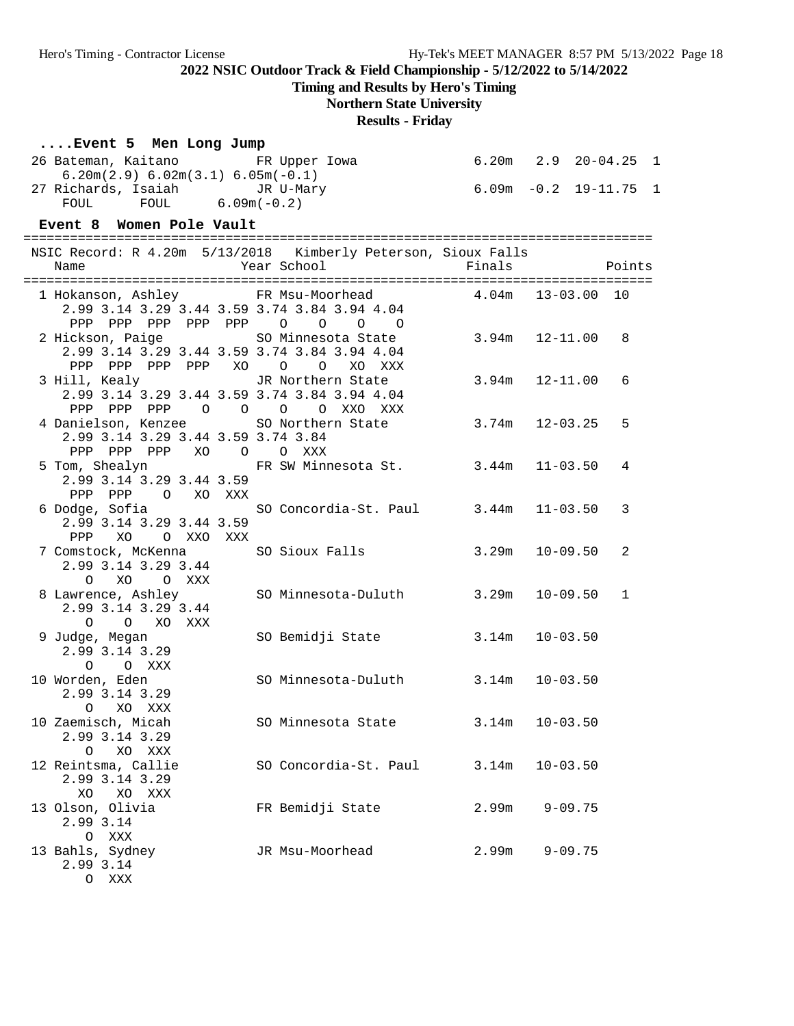**Timing and Results by Hero's Timing**

# **Northern State University**

**Results - Friday**

| Event 5 Men Long Jump                                         |                                    |                            |              |        |  |
|---------------------------------------------------------------|------------------------------------|----------------------------|--------------|--------|--|
| 26 Bateman, Kaitano<br>$6.20m(2.9) 6.02m(3.1) 6.05m(-0.1)$    | FR Upper Iowa                      | $6.20m$ $2.9$ $20-04.25$ 1 |              |        |  |
| 27 Richards, Isaiah JR U-Mary<br>FOUL FOUL 6.09m(-0.2)        |                                    | 6.09m -0.2 19-11.75 1      |              |        |  |
|                                                               |                                    |                            |              |        |  |
| Event 8 Women Pole Vault                                      |                                    |                            |              |        |  |
|                                                               |                                    |                            |              |        |  |
| NSIC Record: R 4.20m 5/13/2018 Kimberly Peterson, Sioux Falls |                                    |                            |              |        |  |
| Name                                                          | Year School                        | Finals                     |              | Points |  |
| 1 Hokanson, Ashley FR Msu-Moorhead 4.04m 13-03.00 10          |                                    |                            |              |        |  |
| 2.99 3.14 3.29 3.44 3.59 3.74 3.84 3.94 4.04                  |                                    |                            |              |        |  |
| PPP PPP PPP PPP PPP 0 0                                       | $\overline{O}$<br>$\overline{O}$   |                            |              |        |  |
| 2 Hickson, Paige                                              | SO Minnesota State                 | 3.94m                      | 12-11.00     | - 8    |  |
| 2.99 3.14 3.29 3.44 3.59 3.74 3.84 3.94 4.04                  |                                    |                            |              |        |  |
| PPP PPP PPP PPP XO O O                                        | XO XXX                             |                            |              |        |  |
| 3 Hill, Kealy                                                 | JR Northern State                  | 3.94m                      | 12-11.00     | 6      |  |
| 2.99 3.14 3.29 3.44 3.59 3.74 3.84 3.94 4.04                  |                                    |                            |              |        |  |
| PPP PPP PPP<br>$\overline{O}$<br>4 Danielson, Kenzee          | O O O XXO XXX<br>SO Northern State | 3.74m 12-03.25             |              | 5      |  |
| 2.99 3.14 3.29 3.44 3.59 3.74 3.84                            |                                    |                            |              |        |  |
| PPP PPP PPP XO O                                              | O XXX                              |                            |              |        |  |
| 5 Tom, Shealyn                                                | FR SW Minnesota St. 3.44m          |                            | 11-03.50     | 4      |  |
| 2.99 3.14 3.29 3.44 3.59                                      |                                    |                            |              |        |  |
| PPP PPP<br>O XO XXX                                           |                                    |                            |              |        |  |
| 6 Dodge, Sofia                                                | SO Concordia-St. Paul 3.44m        |                            | 11-03.50     | 3      |  |
| 2.99 3.14 3.29 3.44 3.59                                      |                                    |                            |              |        |  |
| PPP XO OXXOXXX                                                |                                    |                            |              |        |  |
| 7 Comstock, McKenna                                           | SO Sioux Falls                     | 3.29m                      | 10-09.50     | 2      |  |
| 2.99 3.14 3.29 3.44                                           |                                    |                            |              |        |  |
| O XO<br>O XXX<br>8 Lawrence, Ashley                           | SO Minnesota-Duluth                | 3.29m                      | 10-09.50     | 1      |  |
| 2.99 3.14 3.29 3.44                                           |                                    |                            |              |        |  |
| O O XO XXX                                                    |                                    |                            |              |        |  |
| 9 Judge, Megan                                                | SO Bemidji State                   | 3.14m                      | $10 - 03.50$ |        |  |
| 2.99 3.14 3.29                                                |                                    |                            |              |        |  |
| $\circ$<br>O XXX                                              |                                    |                            |              |        |  |
| 10 Worden, Eden                                               | SO Minnesota-Duluth 3.14m 10-03.50 |                            |              |        |  |
| 2.99 3.14 3.29                                                |                                    |                            |              |        |  |
| O XO XXX                                                      |                                    |                            |              |        |  |
| 10 Zaemisch, Micah                                            | SO Minnesota State                 | 3.14m                      | $10 - 03.50$ |        |  |
| 2.99 3.14 3.29                                                |                                    |                            |              |        |  |
| XO XXX<br>$\circ$                                             |                                    |                            |              |        |  |
| 12 Reintsma, Callie<br>2.99 3.14 3.29                         | SO Concordia-St. Paul              | 3.14m                      | $10 - 03.50$ |        |  |
| XO<br>XO XXX                                                  |                                    |                            |              |        |  |
| 13 Olson, Olivia                                              | FR Bemidji State                   | 2.99m                      | $9 - 09.75$  |        |  |
| 2.99 3.14                                                     |                                    |                            |              |        |  |
| O XXX                                                         |                                    |                            |              |        |  |
| 13 Bahls, Sydney                                              | JR Msu-Moorhead                    | 2.99m                      | $9 - 09.75$  |        |  |
| 2.99 3.14                                                     |                                    |                            |              |        |  |
| O XXX                                                         |                                    |                            |              |        |  |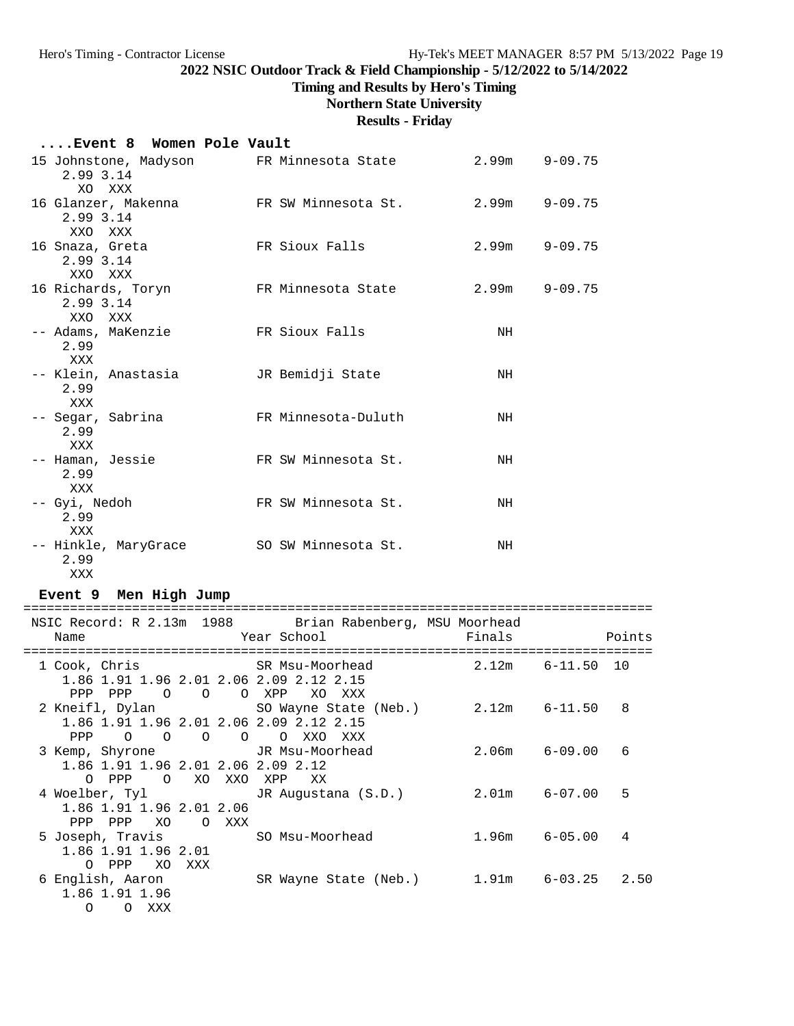**Timing and Results by Hero's Timing**

# **Northern State University**

**Results - Friday**

## **....Event 8 Women Pole Vault**

| 15 Johnstone, Madyson       FR Minnesota State<br>2.99 3.14<br>XO XXX |                                                         | 2.99m | $9 - 09.75$ |
|-----------------------------------------------------------------------|---------------------------------------------------------|-------|-------------|
| 2.99 3.14<br>XXO XXX                                                  | 16 Glanzer, Makenna 6 FR SW Minnesota St. 2.99m 9-09.75 |       |             |
| 16 Snaza, Greta<br>2.99 3.14<br>XXO XXX                               | FR Sioux Falls                                          | 2.99m | $9 - 09.75$ |
| 16 Richards, Toryn<br>2.99 3.14<br>XXO XXX                            | FR Minnesota State                                      | 2.99m | $9 - 09.75$ |
| -- Adams, MaKenzie<br>2.99<br>XXX                                     | FR Sioux Falls                                          | NH    |             |
| -- Klein, Anastasia<br>2.99<br>XXX                                    | JR Bemidji State                                        | NH    |             |
| -- Segar, Sabrina<br>2.99<br>XXX                                      | FR Minnesota-Duluth                                     | NH    |             |
| -- Haman, Jessie<br>2.99<br>XXX                                       | FR SW Minnesota St.                                     | NH    |             |
| -- Gyi, Nedoh<br>2.99<br>XXX                                          | FR SW Minnesota St.                                     | NH    |             |
| -- Hinkle, MaryGrace<br>2.99<br>XXX                                   | SO SW Minnesota St.                                     | NH    |             |

## **Event 9 Men High Jump**

| NSIC Record: R 2.13m 1988 Brian Rabenberg, MSU Moorhead                         |                                                                                     |                 |   |
|---------------------------------------------------------------------------------|-------------------------------------------------------------------------------------|-----------------|---|
| Name                                                                            | <b>Example 19 Year School Example 2</b> Points Points                               |                 |   |
| ==================================                                              | =====================                                                               |                 |   |
| 1 Cook, Chris                 SR Msu-Moorhead             2.12m     6-11.50  10 |                                                                                     |                 |   |
| 1.86 1.91 1.96 2.01 2.06 2.09 2.12 2.15                                         |                                                                                     |                 |   |
| PPP PPP                                                                         | O O O XPP XO XXX                                                                    |                 |   |
| 2 Kneifl, Dylan SO Wayne State (Neb.) 2.12m 6-11.50                             |                                                                                     |                 | 8 |
| 1.86 1.91 1.96 2.01 2.06 2.09 2.12 2.15                                         |                                                                                     |                 |   |
| PPP 0 0 0                                                                       | $\circ$ 0<br>O XXO XXX                                                              |                 |   |
| 3 Kemp, Shyrone  JR Msu-Moorhead                                                |                                                                                     | $2.06m$ 6-09.00 | 6 |
| 1.86 1.91 1.96 2.01 2.06 2.09 2.12                                              |                                                                                     |                 |   |
| O PPP<br>O XO XXO XPP                                                           | XX                                                                                  |                 |   |
|                                                                                 | 4 Woelber, Tyl               JR Augustana (S.D.)           2.01m     6-07.00        |                 | 5 |
| 1.86 1.91 1.96 2.01 2.06                                                        |                                                                                     |                 |   |
| XO OXXX<br>PPP PPP                                                              |                                                                                     |                 |   |
| 5 Joseph, Travis 60 Msu-Moorhead                                                |                                                                                     | $1.96m$ 6-05.00 | 4 |
| 1.86 1.91 1.96 2.01                                                             |                                                                                     |                 |   |
| O PPP XO XXX                                                                    |                                                                                     |                 |   |
|                                                                                 | 6 English, Aaron             SR Wayne State (Neb.)       1.91m     6-03.25     2.50 |                 |   |
| 1.86 1.91 1.96                                                                  |                                                                                     |                 |   |
| O XXX<br>$\Omega$                                                               |                                                                                     |                 |   |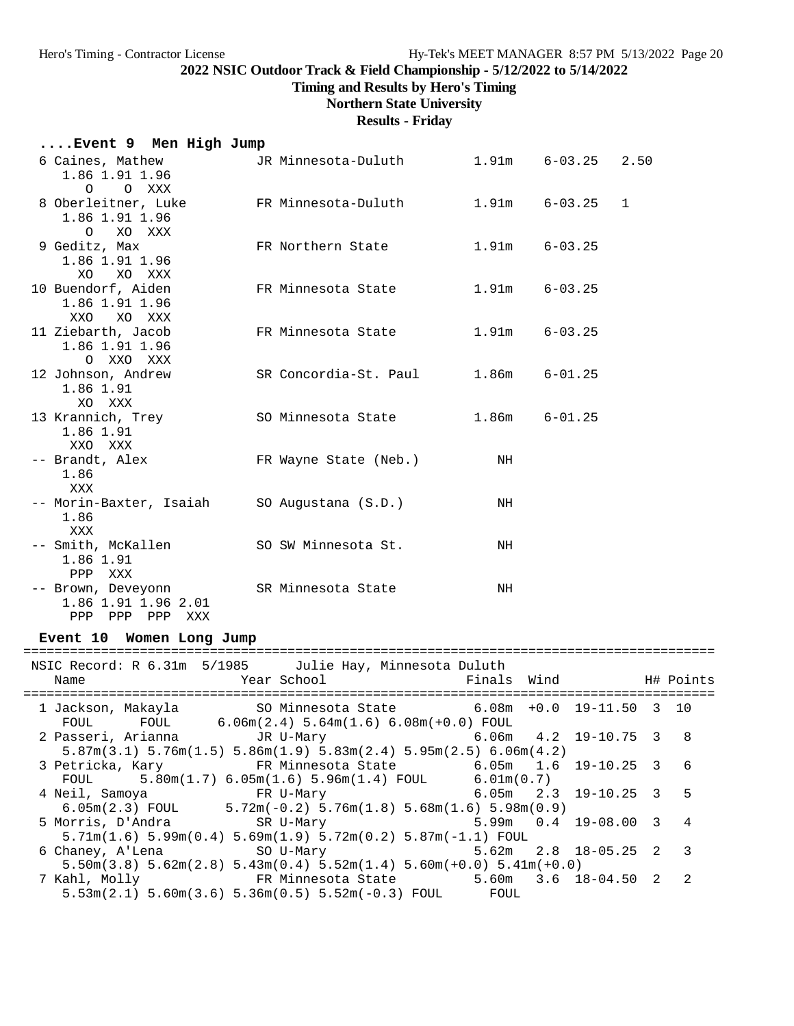**Timing and Results by Hero's Timing**

# **Northern State University**

**Results - Friday**

| Event 9 Men High Jump                                                      |                                     |       |                          |              |
|----------------------------------------------------------------------------|-------------------------------------|-------|--------------------------|--------------|
| 6 Caines, Mathew<br>1.86 1.91 1.96<br>O XXX<br>$\circ$                     | JR Minnesota-Duluth                 |       | $1.91m$ $6-03.25$ $2.50$ |              |
| 8 Oberleitner, Luke<br>1.86 1.91 1.96<br>O XO XXX                          | FR Minnesota-Duluth                 |       | $1.91m$ $6-03.25$        | $\mathbf{1}$ |
| 9 Geditz, Max<br>1.86 1.91 1.96<br>XO XO XXX                               | FR Northern State                   |       | $1.91m$ $6-03.25$        |              |
| 10 Buendorf, Aiden<br>1.86 1.91 1.96<br>XXO XO XXX                         | FR Minnesota State                  | 1.91m | $6 - 03.25$              |              |
| 11 Ziebarth, Jacob<br>1.86 1.91 1.96<br>O XXO XXX                          | FR Minnesota State                  | 1.91m | $6 - 03.25$              |              |
| 12 Johnson, Andrew<br>1.86 1.91<br>XO XXX                                  | SR Concordia-St. Paul 1.86m 6-01.25 |       |                          |              |
| 13 Krannich, Trey<br>1.86 1.91<br>XXO XXX                                  | SO Minnesota State                  |       | $1.86m$ $6-01.25$        |              |
| -- Brandt, Alex<br>1.86<br>XXX                                             | FR Wayne State (Neb.)               | NH    |                          |              |
| -- Morin-Baxter, Isaiah<br>1.86<br>XXX                                     | SO Augustana (S.D.)                 | NH    |                          |              |
| -- Smith, McKallen<br>1.86 1.91<br>PPP XXX                                 | SO SW Minnesota St.                 | NH    |                          |              |
| -- Brown, Deveyonn<br>1.86 1.91 1.96 2.01<br>PPP PPP<br>${\rm PPP}$<br>XXX | SR Minnesota State                  | NH    |                          |              |

## **Event 10 Women Long Jump**

| NSIC Record: R 6.31m 5/1985 Julie Hay, Minnesota Duluth<br>Name                                                           |  |  |                          |
|---------------------------------------------------------------------------------------------------------------------------|--|--|--------------------------|
|                                                                                                                           |  |  |                          |
| 1 Jackson, Makayla           SO Minnesota State           6.08m +0.0 19-11.50 3 10                                        |  |  |                          |
| FOUL FOUL $6.06m(2.4) 5.64m(1.6) 6.08m(+0.0)$ FOUL                                                                        |  |  |                          |
| 2 Passeri, Arianna           JR U-Mary                     6.06m   4.2 19-10.75   3   8                                   |  |  |                          |
| $5.87$ m $(3.1)$ $5.76$ m $(1.5)$ $5.86$ m $(1.9)$ $5.83$ m $(2.4)$ $5.95$ m $(2.5)$ $6.06$ m $(4.2)$                     |  |  |                          |
| 3 Petricka, Kary 6.05m 1.6 19-10.25 3 6                                                                                   |  |  |                          |
| FOUL $5.80m(1.7) 6.05m(1.6) 5.96m(1.4) F0UL$ $6.01m(0.7)$                                                                 |  |  |                          |
| $6.05m$ $2.3$ $19-10.25$ $3$ 5                                                                                            |  |  |                          |
| 6.05m(2.3) FOUL $5.72m(-0.2)$ 5.76m(1.8) 5.68m(1.6) 5.98m(0.9)                                                            |  |  |                          |
| 5 Morris, D'Andra (SR U-Mary<br>$5.99m$ 0.4 19-08.00 3 4                                                                  |  |  |                          |
| $5.71m(1.6)$ 5.99 $m(0.4)$ 5.69 $m(1.9)$ 5.72 $m(0.2)$ 5.87 $m(-1.1)$ FOUL                                                |  |  |                          |
| $5.62m$ $2.8$ $18-05.25$ $2$<br>6 Chaney, A'Lena SO U-Mary                                                                |  |  | $\overline{\phantom{a}}$ |
| $5.50\text{m}(3.8)$ $5.62\text{m}(2.8)$ $5.43\text{m}(0.4)$ $5.52\text{m}(1.4)$ $5.60\text{m}(+0.0)$ $5.41\text{m}(+0.0)$ |  |  |                          |
| 7 Kahl, Molly 6.18-04.50 FR Minnesota State 5.60m 3.6 18-04.50 2                                                          |  |  | -2                       |
| $5.53\text{m}(2.1)$ $5.60\text{m}(3.6)$ $5.36\text{m}(0.5)$ $5.52\text{m}(-0.3)$ FOUL FOUL                                |  |  |                          |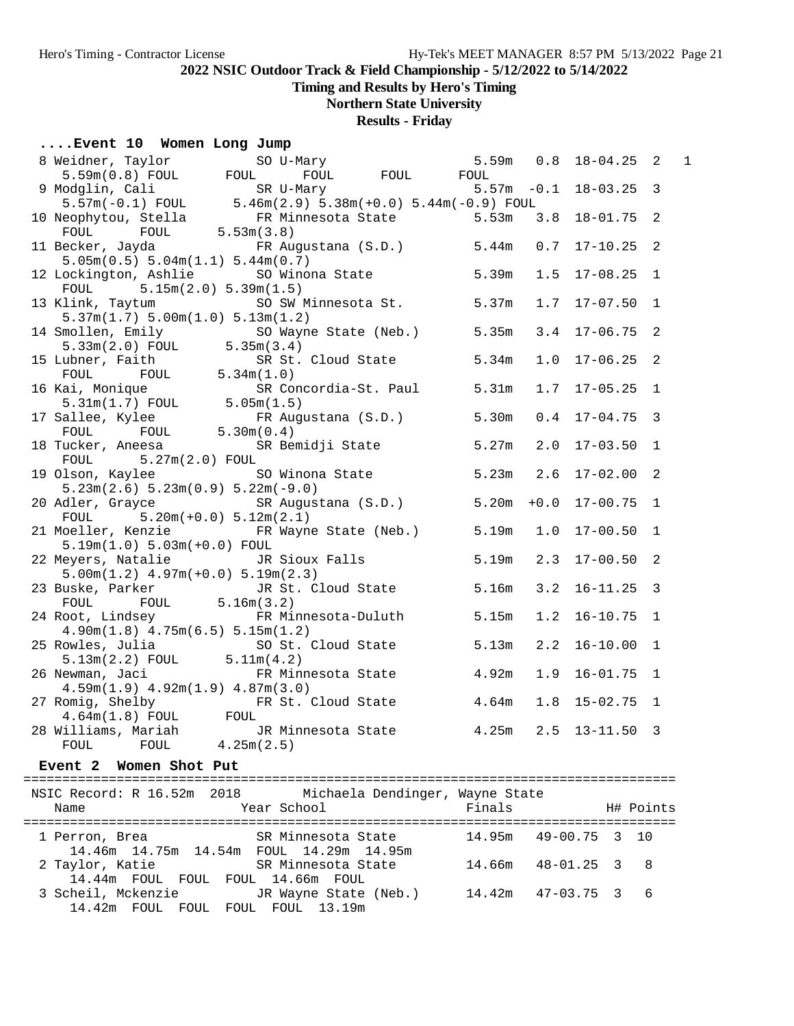## **Timing and Results by Hero's Timing**

## **Northern State University**

## **Results - Friday**

#### **....Event 10 Women Long Jump**

14.46m 14.75m 14.54m FOUL 14.29m 14.95m

14.44m FOUL FOUL FOUL 14.66m FOUL

14.42m FOUL FOUL FOUL FOUL 13.19m

| 8 Weidner, Taylor So U-Mary 5.59m 0.8<br>5.59m (0.8) FOUL FOUL FOUL FOUL FOUL<br>9 Modglin, Cali SR U-Mary 5.57m -0.1<br>5.57m (-0.1) FOUL 5.46m (2.9) 5.38m (+0.0) 5.44m (-0.9) FOUL<br>10 Neophytou, Stella FR Minnesota State 5.53m |            |                    |                                           |              | $18 - 04.25$ 2   |    | $\mathbf 1$ |
|----------------------------------------------------------------------------------------------------------------------------------------------------------------------------------------------------------------------------------------|------------|--------------------|-------------------------------------------|--------------|------------------|----|-------------|
|                                                                                                                                                                                                                                        |            |                    |                                           |              | $18 - 03.25$ 3   |    |             |
|                                                                                                                                                                                                                                        |            |                    |                                           |              |                  |    |             |
| FOUL FOUL 5.53m(3.8)                                                                                                                                                                                                                   |            |                    |                                           |              | $18 - 01.75$ 2   |    |             |
| 11 Becker, Jayda KR Augustana (S.D.) 5.44m<br>5.05m(0.5) 5.04m(1.1) 5.44m(0.7)                                                                                                                                                         |            |                    |                                           | 0.7          | $17 - 10.25$ 2   |    |             |
| 12 Lockington, Ashlie SO Winona State 5.39m<br>FOUL $5.15m(2.0) 5.39m(1.5)$                                                                                                                                                            |            |                    |                                           | 1.5          | $17 - 08.25$ 1   |    |             |
| 13 Klink, Taytum SO SW Minnesota St. 5.37m                                                                                                                                                                                             |            |                    |                                           | 1.7          | $17 - 07.50$ 1   |    |             |
| 5.37m(1.7) 5.00m(1.0) 5.13m(1.2)                                                                                                                                                                                                       |            |                    |                                           |              |                  |    |             |
| 14 Smollen, Emily SO Wayne State (Neb.) 5.35m                                                                                                                                                                                          |            |                    |                                           | 3.4          | $17 - 06.75$ 2   |    |             |
|                                                                                                                                                                                                                                        |            |                    |                                           | 1.0          | $17 - 06.25$ 2   |    |             |
| 5.33m(2.0) FOUL 5.35m(3.4)<br>5.33m(2.0) FOUL 5.35m(3.4)<br>15 Lubner, Faith SR St. Cloud State 5.34m<br>FOUL FOUL 5.34m(1.0)<br>16 Kai, Monique SR Concordia-St. Paul 5.31m<br>5.31m(1.7) FOUL 5.05m(1.5)                             |            |                    |                                           | 1.7          | $17 - 05.25$ 1   |    |             |
| 17 Sallee, Kylee FR Augustana (S.D.) 5.30m<br>FOUL FOUL 5.30m (0.4) 5.30m CD and the Charles of Charles Charles Charles F                                                                                                              |            |                    |                                           |              | $0.4$ 17-04.75 3 |    |             |
| 18 Tucker, Aneesa SR Bemidji State 5.27m<br>$FOUL$ 5.27m(2.0) $FOUL$                                                                                                                                                                   |            |                    |                                           | 2.0          | $17 - 03.50$ 1   |    |             |
| 19 Olson, Kaylee SO Winona State 5.23m 2.6                                                                                                                                                                                             |            |                    |                                           |              | $17 - 02.00$ 2   |    |             |
| $5.23m(2.6) 5.23m(0.9) 5.22m(-9.0)$                                                                                                                                                                                                    |            |                    |                                           |              |                  |    |             |
| 20 Adler, Grayce SR Augustana (S.D.) 5.20m +0.0<br>FOUL $5.20m(+0.0) 5.12m(2.1)$                                                                                                                                                       |            |                    |                                           |              | $17 - 00.75$ 1   |    |             |
| 21 Moeller, Kenzie 6 FR Wayne State (Neb.) 5.19m 1.0<br>$5.19m(1.0) 5.03m(+0.0) F0UL$                                                                                                                                                  |            |                    |                                           |              | $17 - 00.50$ 1   |    |             |
| 22 Meyers, Natalie <i>IR Sioux Falls</i> 5.19m<br>$5.00m(1.2)$ 4.97m(+0.0) $5.19m(2.3)$                                                                                                                                                |            |                    |                                           | 2.3          | $17 - 00.50$ 2   |    |             |
| 23 Buske, Parker JR St. Cloud State 5.16m<br>FOUL FOUL 5.16m(3.2)                                                                                                                                                                      |            |                    |                                           | 3.2          | $16 - 11.25$ 3   |    |             |
| 24 Root, Lindsey FR Minnesota-Duluth 5.15m<br>$4.90m(1.8)$ $4.75m(6.5)$ $5.15m(1.2)$                                                                                                                                                   |            |                    |                                           | 1.2          | $16 - 10.75$ 1   |    |             |
| 25 Rowles, Julia 5.13m<br>5.13m S.13m (2.2) FOUL 5.11m (4.2)                                                                                                                                                                           |            |                    |                                           | 2.2          | $16 - 10.00$ 1   |    |             |
| 26 Newman, Jaci <b>FR</b> Minnesota State 4.92m                                                                                                                                                                                        |            |                    |                                           | 1.9          | $16 - 01.75$ 1   |    |             |
| $4.59m(1.9)$ $4.92m(1.9)$ $4.87m(3.0)$<br>27 Romig, Shelby FR St. Cloud State 4.64m<br>4.64m(1.8) FOUL FOUL                                                                                                                            |            |                    |                                           | 1.8          | $15 - 02.75$ 1   |    |             |
| 28 Williams, Mariah 1.25m 2.5 13-11.50 3<br>FOUL<br>FOUL                                                                                                                                                                               |            |                    |                                           |              |                  |    |             |
| Event 2 Women Shot Put                                                                                                                                                                                                                 | 4.25m(2.5) |                    |                                           |              |                  |    |             |
|                                                                                                                                                                                                                                        |            |                    |                                           |              |                  |    |             |
| NSIC Record: R 16.52m 2018<br>Name                                                                                                                                                                                                     |            | Year School        | Michaela Dendinger, Wayne State<br>Finals |              | H# Points        |    |             |
| 1 Perron, Brea                                                                                                                                                                                                                         |            | SR Minnesota State | 14.95m                                    | $49 - 00.75$ | 3                | 10 |             |

2 Taylor, Katie SR Minnesota State 14.66m 48-01.25 3 8

3 Scheil, Mckenzie JR Wayne State (Neb.) 14.42m 47-03.75 3 6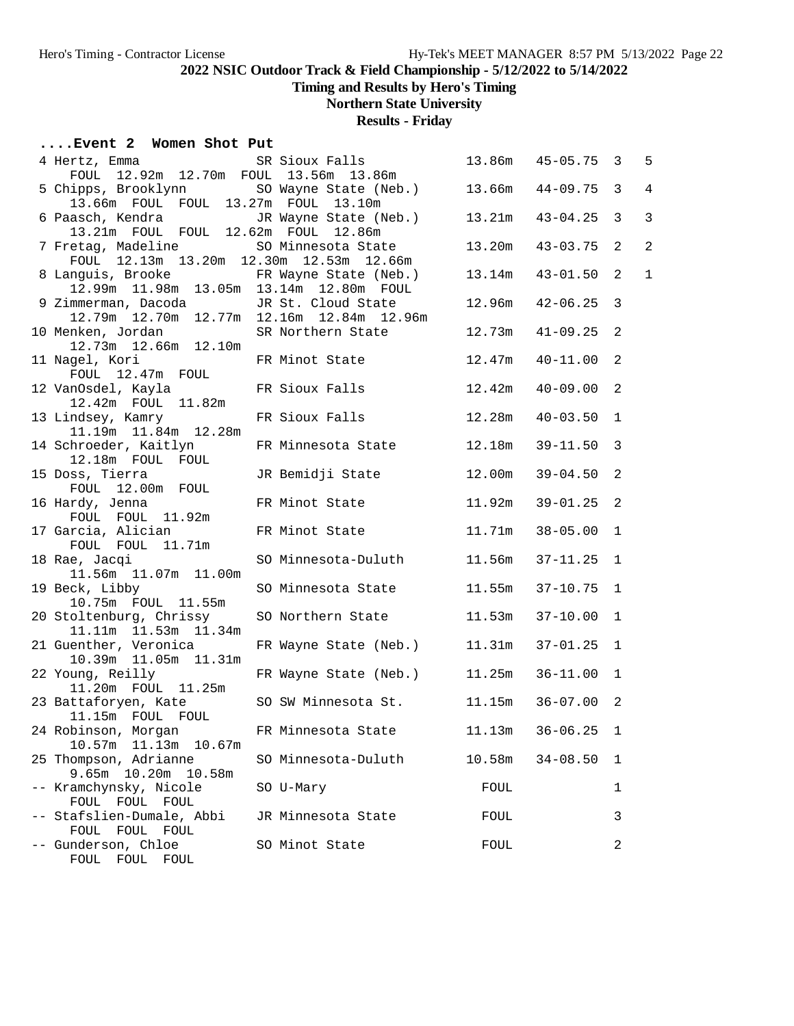**Timing and Results by Hero's Timing**

# **Northern State University**

## **Results - Friday**

## **....Event 2 Women Shot Put**

| 4 Hertz, Emma<br>SR Sioux Falls              |                                                |        | 13.86m  45-05.75  3 |                | 5              |
|----------------------------------------------|------------------------------------------------|--------|---------------------|----------------|----------------|
| FOUL 12.92m 12.70m FOUL 13.56m 13.86m        |                                                |        |                     |                |                |
| 5 Chipps, Brooklynn                          | SO Wayne State (Neb.) 13.66m                   |        | $44 - 09.75$        | $\overline{3}$ | $\overline{4}$ |
| 13.66m FOUL FOUL 13.27m FOUL 13.10m          |                                                |        |                     |                |                |
| 6 Paasch, Kendra                             | JR Wayne State (Neb.) 13.21m                   |        | $43 - 04.25$ 3      |                | 3              |
| 13.21m FOUL FOUL 12.62m FOUL 12.86m          |                                                |        |                     |                |                |
| 7 Fretag, Madeline                           | SO Minnesota State                             | 13.20m | 43-03.75            | 2              | $\overline{2}$ |
| FOUL 12.13m 13.20m 12.30m 12.53m 12.66m      |                                                |        |                     |                |                |
| 8 Languis, Brooke FR Wayne State (Neb.)      |                                                | 13.14m | $43 - 01.50$ 2      |                | $\mathbf{1}$   |
| 12.99m  11.98m  13.05m  13.14m  12.80m  FOUL |                                                |        |                     |                |                |
| 9 Zimmerman, Dacoda                          | JR St. Cloud State                             | 12.96m | $42 - 06.25$ 3      |                |                |
|                                              | 12.79m  12.70m  12.77m  12.16m  12.84m  12.96m |        |                     |                |                |
| 10 Menken, Jordan                            | SR Northern State                              | 12.73m | $41 - 09.25$        | 2              |                |
| 12.73m  12.66m  12.10m                       |                                                |        |                     |                |                |
| 11 Nagel, Kori                               | FR Minot State                                 | 12.47m | $40 - 11.00$        | 2              |                |
| FOUL 12.47m FOUL                             | FR Sioux Falls                                 | 12.42m | $40 - 09.00$        | $\overline{2}$ |                |
| 12 VanOsdel, Kayla<br>12.42m  FOUL  11.82m   |                                                |        |                     |                |                |
| 13 Lindsey, Kamry                            | FR Sioux Falls                                 | 12.28m | $40 - 03.50$        | $\mathbf{1}$   |                |
| 11.19m  11.84m  12.28m                       |                                                |        |                     |                |                |
| 14 Schroeder, Kaitlyn                        | FR Minnesota State                             | 12.18m | $39 - 11.50$ 3      |                |                |
| 12.18m FOUL FOUL                             |                                                |        |                     |                |                |
| 15 Doss, Tierra                              | JR Bemidji State                               | 12.00m | $39 - 04.50$ 2      |                |                |
| FOUL 12.00m FOUL                             |                                                |        |                     |                |                |
| 16 Hardy, Jenna                              | FR Minot State                                 | 11.92m | $39 - 01.25$ 2      |                |                |
| FOUL FOUL 11.92m                             |                                                |        |                     |                |                |
| 17 Garcia, Alician                           | FR Minot State                                 | 11.71m | $38 - 05.00$        | $\mathbf{1}$   |                |
| FOUL FOUL 11.71m                             |                                                |        |                     |                |                |
| 18 Rae, Jacqi                                | SO Minnesota-Duluth                            | 11.56m | $37 - 11.25$        | $\mathbf{1}$   |                |
| 11.56m  11.07m  11.00m                       |                                                |        |                     |                |                |
| 19 Beck, Libby                               | SO Minnesota State                             | 11.55m | $37 - 10.75$ 1      |                |                |
| 10.75m  FOUL  11.55m                         |                                                |        |                     |                |                |
| 20 Stoltenburg, Chrissy                      | SO Northern State                              | 11.53m | $37 - 10.00$        | $\mathbf{1}$   |                |
| 11.11m  11.53m  11.34m                       |                                                |        |                     |                |                |
| 21 Guenther, Veronica                        | FR Wayne State (Neb.)                          | 11.31m | $37 - 01.25$ 1      |                |                |
| 10.39m  11.05m  11.31m                       |                                                |        |                     |                |                |
| 22 Young, Reilly                             | FR Wayne State (Neb.)                          | 11.25m | $36 - 11.00$        | $\mathbf{1}$   |                |
| 11.20m  FOUL  11.25m                         |                                                |        |                     |                |                |
| 23 Battaforyen, Kate                         | SO SW Minnesota St.                            | 11.15m | $36 - 07.00$ 2      |                |                |
| 11.15m FOUL FOUL<br>24 Robinson, Morgan      | FR Minnesota State                             | 11.13m | $36 - 06.25$        | $\mathbf{1}$   |                |
| 10.57m  11.13m  10.67m                       |                                                |        |                     |                |                |
| 25 Thompson, Adrianne                        | SO Minnesota-Duluth                            | 10.58m | $34 - 08.50$        | 1              |                |
| 9.65m 10.20m 10.58m                          |                                                |        |                     |                |                |
| -- Kramchynsky, Nicole                       | SO U-Mary                                      | FOUL   |                     | 1              |                |
| FOUL FOUL<br>FOUL                            |                                                |        |                     |                |                |
| -- Stafslien-Dumale, Abbi                    | JR Minnesota State                             | FOUL   |                     | 3              |                |
| FOUL FOUL FOUL                               |                                                |        |                     |                |                |
| -- Gunderson, Chloe                          | SO Minot State                                 | FOUL   |                     | 2              |                |
| FOUL FOUL FOUL                               |                                                |        |                     |                |                |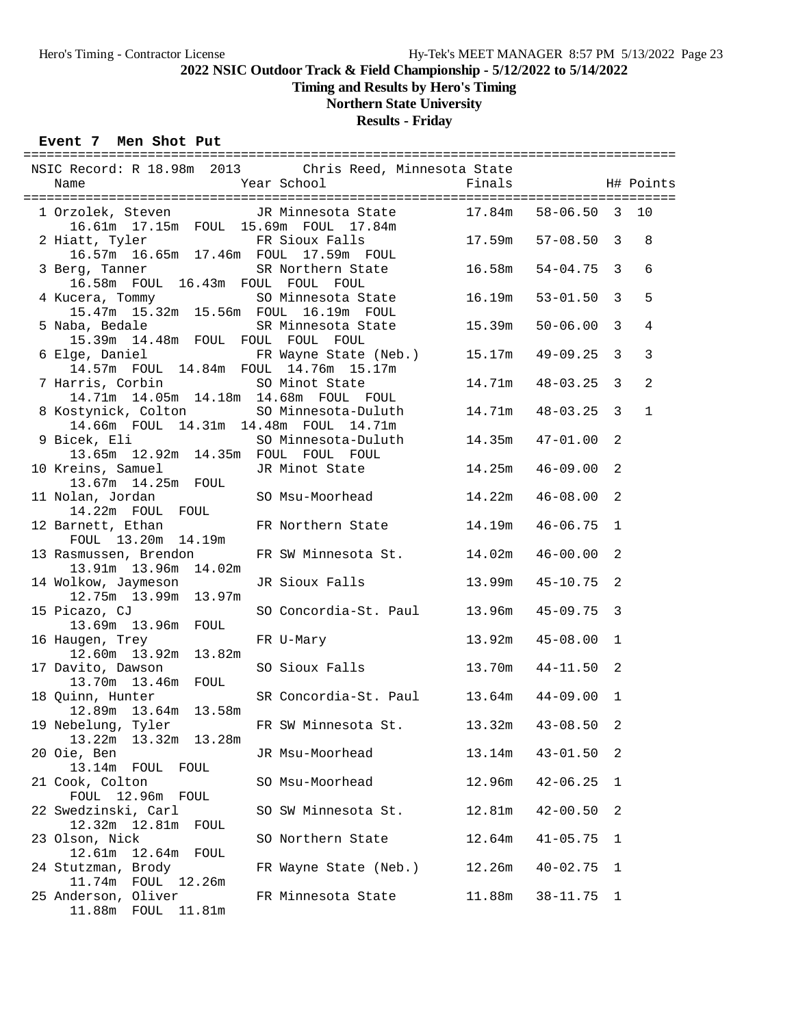**Timing and Results by Hero's Timing**

# **Northern State University**

## **Results - Friday**

## **Event 7 Men Shot Put**

| NSIC Record: R 18.98m 2013 Chris Reed, Minnesota State                                             |                                            |                       |                |                |                |
|----------------------------------------------------------------------------------------------------|--------------------------------------------|-----------------------|----------------|----------------|----------------|
|                                                                                                    |                                            |                       |                |                |                |
| 1 Orzolek, Steven JR Minnesota State 17.84m 58-06.50 3 10<br>16.61m 17.15m FOUL 15.69m FOUL 17.84m |                                            |                       |                |                |                |
| 2 Hiatt, Tyler                                                                                     | FR Sioux Falls                             | $17.59m$ $57-08.50$ 3 |                |                | 8              |
|                                                                                                    | 16.57m  16.65m  17.46m  FOUL  17.59m  FOUL |                       |                |                |                |
| 3 Berg, Tanner                                                                                     | SR Northern State 16.58m                   |                       | $54 - 04.75$ 3 |                | 6              |
| 16.58m FOUL 16.43m FOUL FOUL FOUL                                                                  |                                            |                       |                |                |                |
| 4 Kucera, Tommy                                                                                    | SO Minnesota State 16.19m                  |                       | $53 - 01.50$ 3 |                | 5              |
| 15.47m  15.32m  15.56m  FOUL  16.19m  FOUL                                                         |                                            |                       |                |                |                |
| 5 Naba, Bedale SR Minnesota State 15.39m                                                           |                                            |                       | $50 - 06.00$   | $\mathbf{3}$   | $\overline{4}$ |
| 15.39m 14.48m FOUL FOUL FOUL FOUL                                                                  |                                            |                       |                |                |                |
| 6 Elge, Daniel           FR Wayne State (Neb.)     15.17m<br>14.57m FOUL 14.84m FOUL 14.76m 15.17m |                                            |                       | 49-09.25       | 3              | $\mathbf{3}$   |
|                                                                                                    |                                            | 14.71m                | 48-03.25       | $\overline{3}$ | $\overline{2}$ |
| 7 Harris, Corbin 50 Minot State<br>14.71m 14.05m 14.18m 14.68m FOUL FOUL                           |                                            |                       |                |                |                |
| 8 Kostynick, Colton SO Minnesota-Duluth 14.71m                                                     |                                            |                       | 48-03.25       | 3              | $\mathbf{1}$   |
|                                                                                                    | 14.66m FOUL 14.31m 14.48m FOUL 14.71m      |                       |                |                |                |
|                                                                                                    |                                            |                       |                | 2              |                |
| 13.65m  12.92m  14.35m  FOUL  FOUL  FOUL                                                           |                                            |                       |                |                |                |
| 10 Kreins, Samuel                                                                                  | JR Minot State 14.25m                      |                       | 46-09.00       | 2              |                |
| 13.67m 14.25m FOUL<br>11 Nolan, Jordan SO Msu-Moorhead 14.22m                                      |                                            |                       |                |                |                |
|                                                                                                    |                                            |                       | $46 - 08.00$   | 2              |                |
| 14.22m FOUL FOUL<br>12 Barnett, Ethan FR Northern State 14.19m                                     |                                            |                       | $46 - 06.75$   | 1              |                |
| FOUL 13.20m 14.19m                                                                                 |                                            |                       |                |                |                |
| 13 Rasmussen, Brendon FR SW Minnesota St. 14.02m                                                   |                                            |                       | $46 - 00.00$   | 2              |                |
| 13.91m 13.96m 14.02m                                                                               |                                            |                       |                |                |                |
| 14 Wolkow, Jaymeson                                                                                | JR Sioux Falls 13.99m                      |                       | 45-10.75       | 2              |                |
| 12.75m  13.99m  13.97m                                                                             |                                            |                       |                |                |                |
| 15 Picazo, CJ                                                                                      | SO Concordia-St. Paul 13.96m               |                       | 45-09.75       | 3              |                |
| 13.69m  13.96m  FOUL                                                                               |                                            |                       |                |                |                |
| 16 Haugen, Trey<br>12.60m  13.92m  13.82m                                                          | FR U-Mary                                  | 13.92m                | 45-08.00       | 1              |                |
| 17 Davito, Dawson                                                                                  | SO Sioux Falls 13.70m                      |                       | 44-11.50       | 2              |                |
| 13.70m  13.46m  FOUL                                                                               |                                            |                       |                |                |                |
| 18 Quinn, Hunter                                                                                   | SR Concordia-St. Paul 13.64m               |                       | 44-09.00       | $\mathbf 1$    |                |
| 12.89m  13.64m  13.58m                                                                             |                                            |                       |                |                |                |
| 19 Nebelung, Tyler                                                                                 | FR SW Minnesota St. 13.32m 43-08.50        |                       |                | 2              |                |
| 13.22m<br>13.32m 13.28m                                                                            |                                            |                       |                |                |                |
| 20 Oie, Ben                                                                                        | JR Msu-Moorhead                            | 13.14m                | $43 - 01.50$   | 2              |                |
| 13.14m FOUL<br>FOUL                                                                                |                                            |                       |                |                |                |
| 21 Cook, Colton<br>12.96m FOUL<br>FOUL                                                             | SO Msu-Moorhead                            | 12.96m                | $42 - 06.25$   | 1              |                |
| 22 Swedzinski, Carl                                                                                | SO SW Minnesota St.                        | 12.81m                | $42 - 00.50$   | 2              |                |
| 12.32m  12.81m<br>FOUL                                                                             |                                            |                       |                |                |                |
| 23 Olson, Nick                                                                                     | SO Northern State                          | 12.64m                | $41 - 05.75$   | 1              |                |
| 12.61m<br>12.64m FOUL                                                                              |                                            |                       |                |                |                |
| 24 Stutzman, Brody                                                                                 | FR Wayne State (Neb.)                      | 12.26m                | $40 - 02.75$   | 1              |                |
| 11.74m<br>FOUL 12.26m                                                                              |                                            |                       |                |                |                |
| 25 Anderson, Oliver                                                                                | FR Minnesota State                         | 11.88m                | $38 - 11.75$   | 1              |                |
| 11.88m  FOUL  11.81m                                                                               |                                            |                       |                |                |                |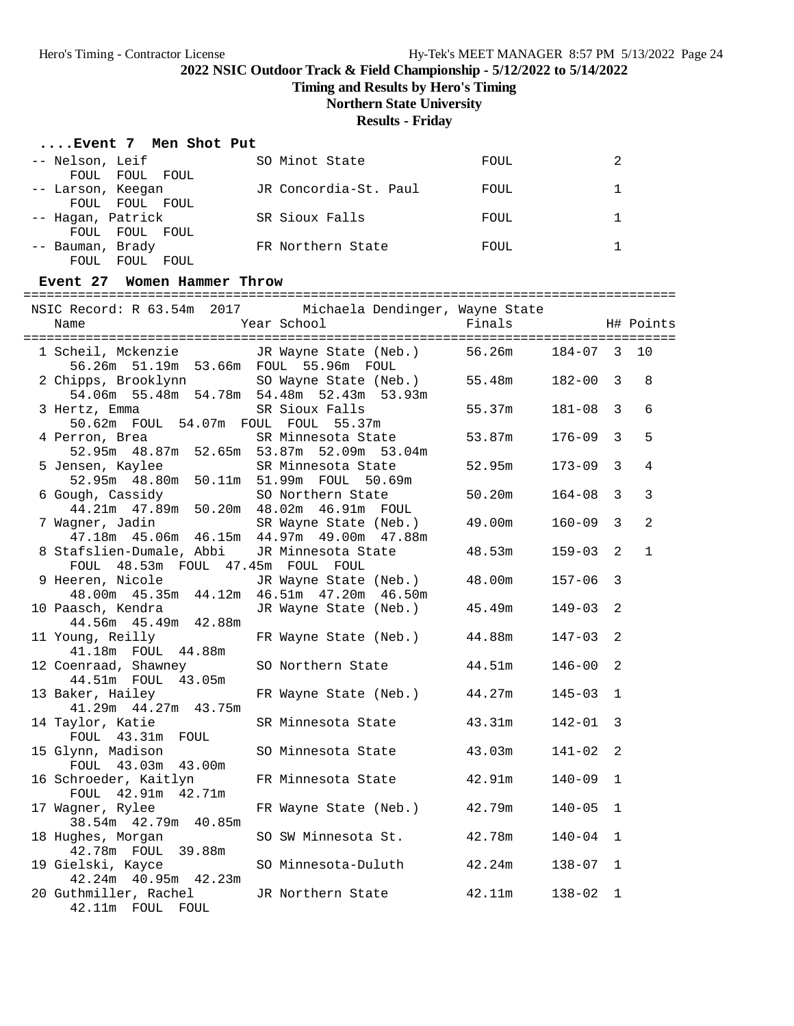**Timing and Results by Hero's Timing**

**Northern State University**

## **Results - Friday**

| Event 7 Men Shot Put |  |  |  |  |
|----------------------|--|--|--|--|
|----------------------|--|--|--|--|

| -- Nelson, Leif       | SO Minot State        | <b>FOUL</b> |  |
|-----------------------|-----------------------|-------------|--|
| FOUL FOUL FOUL        |                       |             |  |
| -- Larson, Keegan     | JR Concordia-St. Paul | FOUL        |  |
| FOUL FOUL FOUL        |                       |             |  |
| -- Hagan, Patrick     | SR Sioux Falls        | FOUL        |  |
| FOUL FOUL FOUL        |                       |             |  |
| -- Bauman, Brady      | FR Northern State     | FOUL        |  |
| FOUL<br>FOUL.<br>FOUL |                       |             |  |

#### **Event 27 Women Hammer Throw**

| Name                                                          | NSIC Record: R 63.54m 2017 Michaela Dendinger, Wayne State<br>Year School                                          | Finals |              |                | H# Points      |
|---------------------------------------------------------------|--------------------------------------------------------------------------------------------------------------------|--------|--------------|----------------|----------------|
|                                                               | 1 Scheil, Mckenzie       JR Wayne State (Neb.)       56.26m<br>56.26m  51.19m  53.66m  FOUL  55.96m  FOUL          |        | 184-07 3 10  |                |                |
|                                                               | 2 Chipps, Brooklynn SO Wayne State (Neb.) 55.48m<br>54.06m 55.48m 54.78m 54.48m 52.43m 53.93m                      |        | $182 - 00$ 3 |                | 8              |
| 3 Hertz, Emma<br>50.62m FOUL 54.07m FOUL FOUL 55.37m          | SR Sioux Falls                                                                                                     | 55.37m | $181 - 08$   | 3              | 6              |
| 4 Perron, Brea                                                | SR Minnesota State 53.87m<br>52.95m 48.87m 52.65m 53.87m 52.09m 53.04m                                             |        | 176-09       | $\overline{3}$ | 5              |
| 5 Jensen, Kaylee                                              | SR Minnesota State<br>52.95m 48.80m 50.11m 51.99m FOUL 50.69m                                                      | 52.95m | $173 - 09$   | $\overline{3}$ | 4              |
| 6 Gough, Cassidy 50 Northern State                            | 44.21m  47.89m  50.20m  48.02m  46.91m  FOUL                                                                       | 50.20m | $164 - 08$   | 3              | 3              |
|                                                               | 7 Wagner, Jadin               SR Wayne State (Neb.)       49.00m<br>47.18m  45.06m  46.15m  44.97m  49.00m  47.88m |        | $160 - 09$   | 3              | $\overline{2}$ |
| 8 Stafslien-Dumale, Abbi<br>FOUL 48.53m FOUL 47.45m FOUL FOUL | JR Minnesota State                                                                                                 | 48.53m | $159 - 03$   | 2              | $\mathbf{1}$   |
| 9 Heeren, Nicole                                              | JR Wayne State (Neb.) 48.00m<br>48.00m  45.35m  44.12m  46.51m  47.20m  46.50m                                     |        | $157 - 06$   | 3              |                |
| 10 Paasch, Kendra<br>44.56m  45.49m  42.88m                   | JR Wayne State (Neb.) 45.49m                                                                                       |        | $149 - 03$   | 2              |                |
| 11 Young, Reilly<br>41.18m  FOUL  44.88m                      | FR Wayne State (Neb.) 44.88m                                                                                       |        | $147 - 03$   | 2              |                |
| 12 Coenraad, Shawney<br>44.51m FOUL 43.05m                    | SO Northern State 44.51m                                                                                           |        | $146 - 00$   | 2              |                |
| 13 Baker, Hailey<br>41.29m  44.27m  43.75m                    | FR Wayne State (Neb.) 44.27m                                                                                       |        | 145-03       | $\mathbf 1$    |                |
| 14 Taylor, Katie<br>FOUL 43.31m FOUL                          | SR Minnesota State 43.31m                                                                                          |        | 142-01       | 3              |                |
| 15 Glynn, Madison<br>FOUL 43.03m 43.00m                       | SO Minnesota State 43.03m                                                                                          |        | 141-02       | 2              |                |
| 16 Schroeder, Kaitlyn<br>FOUL 42.91m 42.71m                   | FR Minnesota State 42.91m                                                                                          |        | $140 - 09$   | $\mathbf{1}$   |                |
| 17 Wagner, Rylee<br>38.54m  42.79m  40.85m                    | FR Wayne State (Neb.) 42.79m                                                                                       |        | $140 - 05$   | $\mathbf{1}$   |                |
| 18 Hughes, Morgan<br>42.78m  FOUL  39.88m                     | SO SW Minnesota St. 42.78m                                                                                         |        | $140 - 04$   | $\mathbf{1}$   |                |
| 19 Gielski, Kayce<br>42.24m  40.95m  42.23m                   | SO Minnesota-Duluth                                                                                                | 42.24m | $138 - 07$   | $\mathbf{1}$   |                |
| 20 Guthmiller, Rachel<br>42.11m FOUL FOUL                     | JR Northern State                                                                                                  | 42.11m | $138 - 02$   | 1              |                |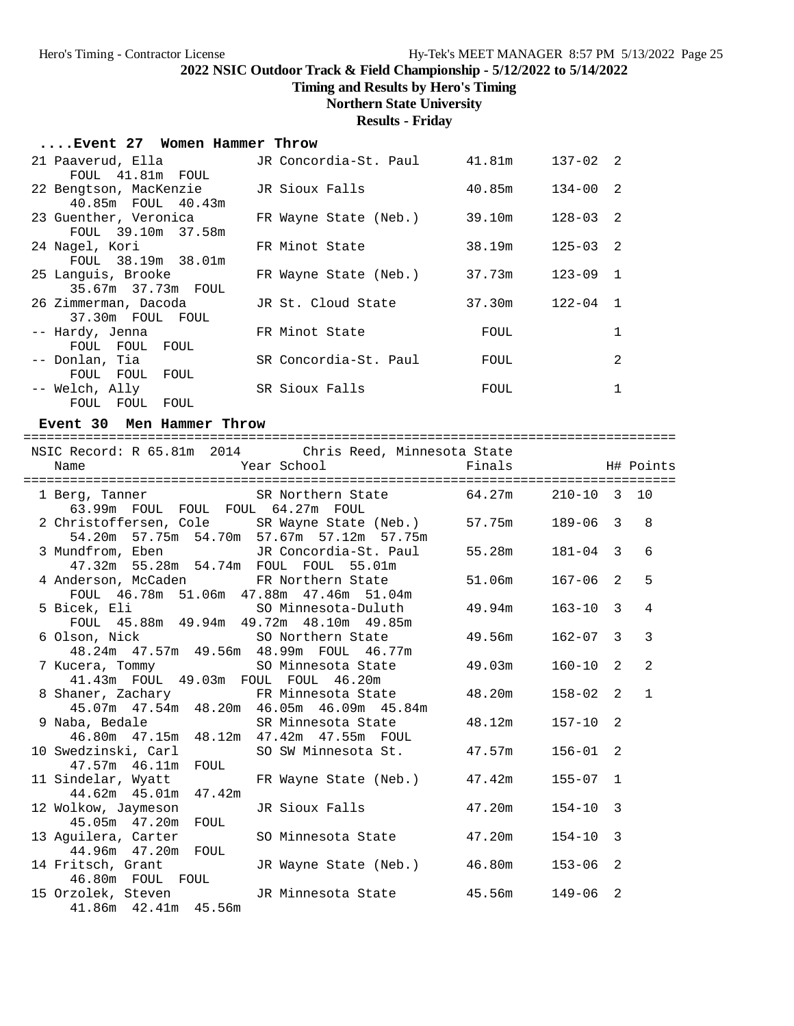**Timing and Results by Hero's Timing**

# **Northern State University**

## **Results - Friday**

#### **....Event 27 Women Hammer Throw**

| 21 Paaverud, Ella<br>FOUL 41.81m FOUL                             | JR Concordia-St. Paul | 41.81m | $137 - 02$ 2 |                |
|-------------------------------------------------------------------|-----------------------|--------|--------------|----------------|
| 22 Bengtson, MacKenzie                                            | JR Sioux Falls        | 40.85m | $134 - 00$ 2 |                |
| 40.85m FOUL 40.43m<br>23 Guenther, Veronica<br>FOUL 39.10m 37.58m | FR Wayne State (Neb.) | 39.10m | $128 - 03$ 2 |                |
| 24 Nagel, Kori                                                    | FR Minot State        | 38.19m | $125 - 03$ 2 |                |
| FOUL 38.19m 38.01m<br>25 Languis, Brooke<br>35.67m 37.73m FOUL    | FR Wayne State (Neb.) | 37.73m | $123 - 09$ 1 |                |
| 26 Zimmerman, Dacoda<br>37.30m FOUL FOUL                          | JR St. Cloud State    | 37.30m | $122 - 04$   | $\overline{1}$ |
| -- Hardy, Jenna                                                   | FR Minot State        | FOUL   |              | 1              |
| FOUL FOUL FOUL<br>-- Donlan, Tia<br>FOUL FOUL FOUL                | SR Concordia-St. Paul | FOUL   |              | 2              |
| -- Welch, Ally<br>FOUL FOUL FOUL                                  | SR Sioux Falls        | FOUL   |              | 1              |

#### **Event 30 Men Hammer Throw**

| Year School<br>Name                         | NSIC Record: R 65.81m 2014 Chris Reed, Minnesota State<br>Finals H# Points                                |                 |              |   |                |
|---------------------------------------------|-----------------------------------------------------------------------------------------------------------|-----------------|--------------|---|----------------|
|                                             |                                                                                                           |                 |              |   |                |
| 63.99m FOUL FOUL FOUL 64.27m FOUL           | 1 Berg, Tanner SR Northern State 64.27m 210-10 3 10                                                       |                 |              |   |                |
|                                             | 2 Christoffersen, Cole SR Wayne State (Neb.) 57.75m 189-06 3<br>54.20m 57.75m 54.70m 57.67m 57.12m 57.75m |                 |              |   | 8              |
| 47.32m 55.28m 54.74m FOUL FOUL 55.01m       | 3 Mundfrom, Eben JR Concordia-St. Paul 55.28m 181-04 3                                                    |                 |              |   | 6              |
|                                             | 4 Anderson, McCaden FR Northern State 51.06m<br>FOUL 46.78m 51.06m 47.88m 47.46m 51.04m                   |                 | $167 - 06$ 2 |   | 5              |
| FOUL 45.88m 49.94m 49.72m 48.10m 49.85m     |                                                                                                           |                 | $163 - 10$ 3 |   | 4              |
|                                             | 6 Olson, Nick 50 Northern State 49.56m<br>48.24m 47.57m 49.56m 48.99m FOUL 46.77m                         |                 | $162 - 07$ 3 |   | $\overline{3}$ |
| 41.43m FOUL 49.03m FOUL FOUL 46.20m         | 7 Kucera, Tommy SO Minnesota State 49.03m                                                                 |                 | $160 - 10$   | 2 | 2              |
|                                             | 8 Shaner, Zachary 6 FR Minnesota State 48.20m<br>45.07m  47.54m  48.20m  46.05m  46.09m  45.84m           |                 | $158 - 02$ 2 |   | $\mathbf{1}$   |
| 9 Naba, Bedale SR Minnesota State           | 46.80m  47.15m  48.12m  47.42m  47.55m  FOUL                                                              | 48.12m 157-10 2 |              |   |                |
| 47.57m  46.11m  FOUL                        | 10 Swedzinski, Carl SO SW Minnesota St. 47.57m 156-01 2                                                   |                 |              |   |                |
| 44.62m  45.01m  47.42m                      | 11 Sindelar, Wyatt 6 FR Wayne State (Neb.) 47.42m                                                         |                 | $155 - 07$ 1 |   |                |
| 12 Wolkow, Jaymeson<br>45.05m  47.20m  FOUL | JR Sioux Falls 47.20m                                                                                     |                 | $154 - 10$   | 3 |                |
| 44.96m  47.20m  FOUL                        | 13 Aguilera, Carter 50 Minnesota State 47.20m                                                             |                 | $154 - 10$ 3 |   |                |
| 46.80m FOUL FOUL                            | 14 Fritsch, Grant CR Wayne State (Neb.) 46.80m 153-06 2                                                   |                 |              |   |                |
| 41.86m  42.41m  45.56m                      | 15 Orzolek, Steven JR Minnesota State 45.56m 149-06                                                       |                 |              | 2 |                |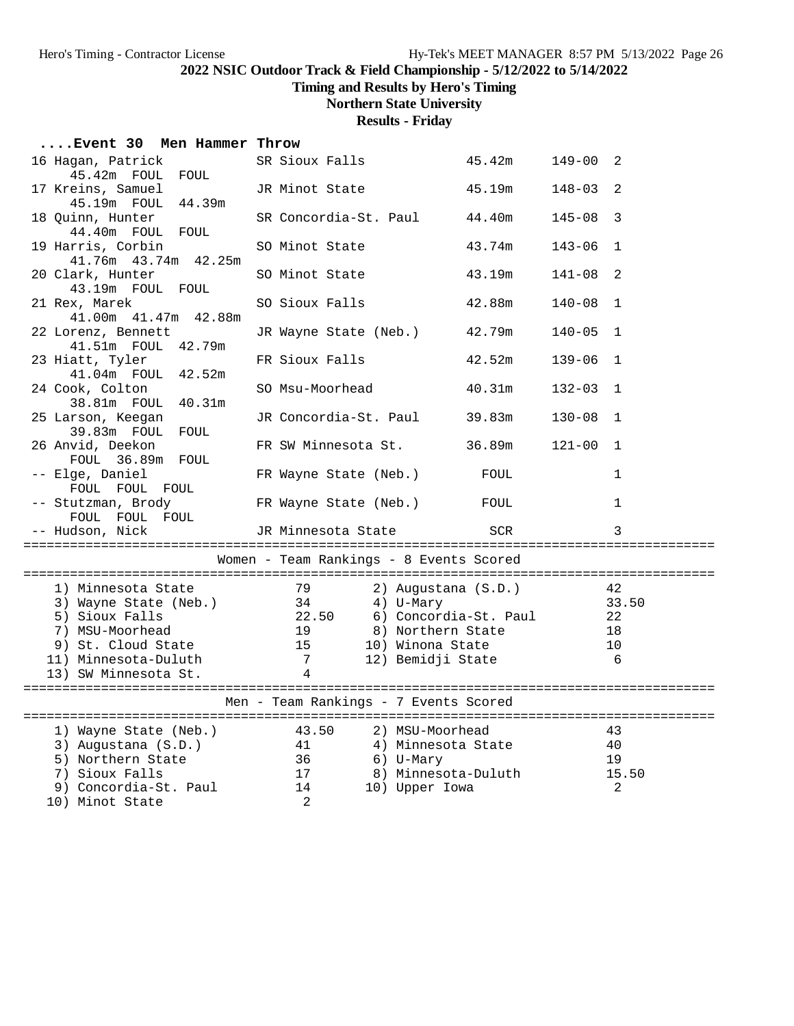**Timing and Results by Hero's Timing**

# **Northern State University**

**Results - Friday**

| Event 30 Men Hammer Throw                   |                                                                                                              |        |                                          |  |  |  |
|---------------------------------------------|--------------------------------------------------------------------------------------------------------------|--------|------------------------------------------|--|--|--|
| 16 Hagan, Patrick<br>45.42m FOUL FOUL       | SR Sioux Falls                                                                                               | 45.42m | $149 - 00$ 2                             |  |  |  |
| 17 Kreins, Samuel                           | JR Minot State                                                                                               | 45.19m | $148 - 03$<br>$\overline{\phantom{0}}^2$ |  |  |  |
| 45.19m FOUL 44.39m<br>18 Quinn, Hunter      | SR Concordia-St. Paul                                                                                        | 44.40m | $145 - 08$<br>$\overline{\phantom{a}}$   |  |  |  |
| 44.40m FOUL FOUL<br>19 Harris, Corbin       | SO Minot State                                                                                               | 43.74m | $143 - 06$<br>1                          |  |  |  |
| 41.76m  43.74m  42.25m<br>20 Clark, Hunter  | SO Minot State                                                                                               | 43.19m | 2<br>141-08                              |  |  |  |
| 43.19m FOUL FOUL<br>21 Rex, Marek           | SO Sioux Falls                                                                                               | 42.88m | $140 - 08$<br>$\overline{1}$             |  |  |  |
| 41.00m  41.47m  42.88m                      |                                                                                                              |        |                                          |  |  |  |
| 22 Lorenz, Bennett<br>41.51m FOUL 42.79m    | JR Wayne State (Neb.)                                                                                        | 42.79m | $140 - 05$ 1                             |  |  |  |
| 23 Hiatt, Tyler<br>41.04m FOUL 42.52m       | FR Sioux Falls                                                                                               | 42.52m | $139 - 06$<br>$\mathbf{1}$               |  |  |  |
| 24 Cook, Colton                             | SO Msu-Moorhead                                                                                              | 40.31m | $132 - 03$<br>$\overline{1}$             |  |  |  |
| 38.81m FOUL 40.31m<br>25 Larson, Keegan     | JR Concordia-St. Paul                                                                                        | 39.83m | $130 - 08$<br>$\overline{1}$             |  |  |  |
| 39.83m FOUL FOUL<br>26 Anvid, Deekon        | FR SW Minnesota St.                                                                                          | 36.89m | $121 - 00$ 1                             |  |  |  |
| FOUL 36.89m FOUL<br>-- Elge, Daniel         | FR Wayne State (Neb.)                                                                                        | FOUL   | 1                                        |  |  |  |
| FOUL FOUL FOUL                              |                                                                                                              |        |                                          |  |  |  |
| -- Stutzman, Brody<br>FOUL FOUL FOUL        | FR Wayne State (Neb.)                                                                                        | FOUL   | 1                                        |  |  |  |
| -- Hudson, Nick                             | JR Minnesota State                                                                                           | SCR    | 3                                        |  |  |  |
|                                             | Women - Team Rankings - 8 Events Scored                                                                      |        |                                          |  |  |  |
|                                             |                                                                                                              |        |                                          |  |  |  |
| 1) Minnesota State<br>3) Wayne State (Neb.) | 79<br>2) Augustana (S.D.)                                                                                    |        | 42<br>33.50                              |  |  |  |
| 5) Sioux Falls                              |                                                                                                              |        |                                          |  |  |  |
| 7) MSU-Moorhead                             | 8) Northern State                                                                                            |        | 18                                       |  |  |  |
| 9) St. Cloud State                          | 19<br>15<br>10) Winona State                                                                                 |        | 10                                       |  |  |  |
| 11) Minnesota-Duluth                        | $7\overline{ }$<br>12) Bemidji State                                                                         |        | 6                                        |  |  |  |
| 13) SW Minnesota St.                        | $\overline{4}$                                                                                               |        |                                          |  |  |  |
| Men - Team Rankings - 7 Events Scored       |                                                                                                              |        |                                          |  |  |  |
|                                             |                                                                                                              |        | 43                                       |  |  |  |
|                                             | 1) Wayne State (Neb.) 43.50 2) MSU-Moorhead<br>3) Augustana (S.D.) 41 4) Minnesota Sta<br>4) Minnesota State |        | 40                                       |  |  |  |
| 5) Northern State 36<br>7) Sioux Falls 17   | 6) U-Mary                                                                                                    |        | 19                                       |  |  |  |
|                                             | 8) Minnesota-Duluth                                                                                          |        | 15.50                                    |  |  |  |
| 9) Concordia-St. Paul                       | $\frac{1}{14}$<br>10) Upper Iowa                                                                             |        | 2                                        |  |  |  |
| 10) Minot State                             | 2                                                                                                            |        |                                          |  |  |  |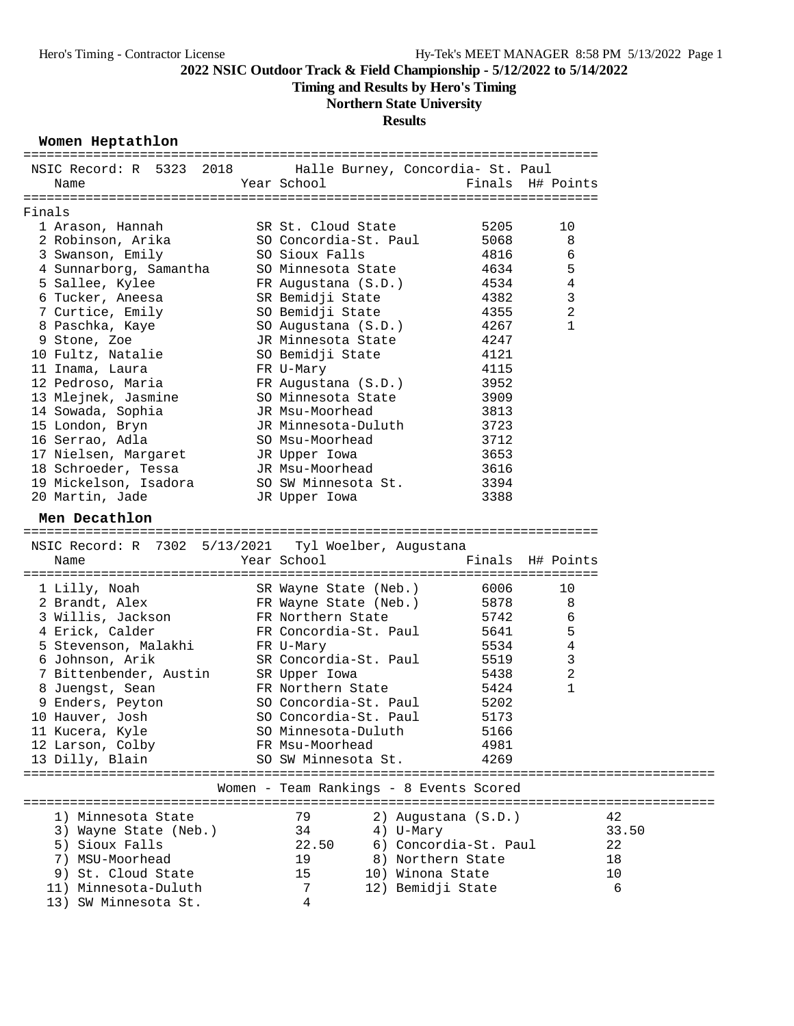**Timing and Results by Hero's Timing**

# **Northern State University**

## **Results**

#### **Women Heptathlon**

| NSIC Record: R 5323 2018                             | Halle Burney, Concordia- St. Paul          |      |                  |       |
|------------------------------------------------------|--------------------------------------------|------|------------------|-------|
| Name                                                 | Year School                                |      | Finals H# Points |       |
|                                                      |                                            |      |                  |       |
| Finals                                               |                                            |      |                  |       |
| 1 Arason, Hannah                                     | SR St. Cloud State                         | 5205 | 10               |       |
| 2 Robinson, Arika                                    | SO Concordia-St. Paul                      | 5068 | 8                |       |
| 3 Swanson, Emily                                     | SO Sioux Falls                             | 4816 | 6                |       |
| 4 Sunnarborg, Samantha                               | SO Minnesota State                         | 4634 | 5                |       |
| 5 Sallee, Kylee                                      | FR Augustana (S.D.)                        | 4534 | 4                |       |
| 6 Tucker, Aneesa                                     | SR Bemidji State                           | 4382 | 3                |       |
| 7 Curtice, Emily                                     | SO Bemidji State                           | 4355 | $\sqrt{2}$       |       |
| 8 Paschka, Kaye                                      | SO Augustana (S.D.)                        | 4267 | $\mathbf{1}$     |       |
| 9 Stone, Zoe                                         | JR Minnesota State                         | 4247 |                  |       |
| 10 Fultz, Natalie                                    | SO Bemidji State                           | 4121 |                  |       |
| 11 Inama, Laura                                      | FR U-Mary                                  | 4115 |                  |       |
| 12 Pedroso, Maria                                    | FR Augustana (S.D.)                        | 3952 |                  |       |
| 13 Mlejnek, Jasmine                                  | SO Minnesota State                         | 3909 |                  |       |
| 14 Sowada, Sophia                                    | JR Msu-Moorhead                            | 3813 |                  |       |
| 15 London, Bryn                                      | JR Minnesota-Duluth                        | 3723 |                  |       |
| 16 Serrao, Adla                                      | SO Msu-Moorhead                            | 3712 |                  |       |
| 17 Nielsen, Margaret                                 | JR Upper Iowa                              | 3653 |                  |       |
| 18 Schroeder, Tessa                                  | JR Msu-Moorhead                            | 3616 |                  |       |
| 19 Mickelson, Isadora                                | SO SW Minnesota St.                        | 3394 |                  |       |
| 20 Martin, Jade                                      | JR Upper Iowa                              | 3388 |                  |       |
|                                                      |                                            |      |                  |       |
| Men Decathlon                                        |                                            |      |                  |       |
|                                                      |                                            |      |                  |       |
| NSIC Record: R 7302 5/13/2021 Tyl Woelber, Augustana |                                            |      |                  |       |
| Name                                                 | Year School                                |      | Finals H# Points |       |
| 1 Lilly, Noah                                        | SR Wayne State (Neb.)                      | 6006 | 10               |       |
| 2 Brandt, Alex                                       |                                            | 5878 | 8                |       |
|                                                      | FR Wayne State (Neb.)<br>FR Northern State | 5742 | 6                |       |
| 3 Willis, Jackson<br>4 Erick, Calder                 | FR Concordia-St. Paul                      | 5641 | 5                |       |
|                                                      |                                            |      | 4                |       |
| 5 Stevenson, Malakhi                                 | FR U-Mary<br>SR Concordia-St. Paul         | 5534 |                  |       |
| 6 Johnson, Arik<br>7 Bittenbender, Austin            |                                            | 5519 | 3                |       |
|                                                      | SR Upper Iowa                              | 5438 | 2<br>1           |       |
| 8 Juengst, Sean                                      | FR Northern State                          | 5424 |                  |       |
| 9 Enders, Peyton                                     | SO Concordia-St. Paul                      | 5202 |                  |       |
| 10 Hauver, Josh                                      | SO Concordia-St. Paul                      | 5173 |                  |       |
| 11 Kucera, Kyle                                      | SO Minnesota-Duluth                        | 5166 |                  |       |
| 12 Larson, Colby                                     | FR Msu-Moorhead                            | 4981 |                  |       |
| 13 Dilly, Blain                                      | SO SW Minnesota St.                        | 4269 |                  |       |
|                                                      |                                            |      |                  |       |
|                                                      | Women - Team Rankings - 8 Events Scored    |      |                  |       |
|                                                      |                                            |      |                  |       |
| 1) Minnesota State                                   | 79<br>2) Augustana (S.D.)                  |      |                  | 42    |
| 3) Wayne State (Neb.)                                | 34<br>4) U-Mary                            |      |                  | 33.50 |
| 5) Sioux Falls                                       | 6) Concordia-St. Paul<br>22.50             |      |                  | 22    |
| 7) MSU-Moorhead                                      | 19<br>8) Northern State                    |      |                  | 18    |
| 9) St. Cloud State                                   | 15<br>10) Winona State                     |      |                  | 10    |
| 11) Minnesota-Duluth                                 | 12) Bemidji State<br>7                     |      |                  | 6     |
| 13) SW Minnesota St.                                 | 4                                          |      |                  |       |